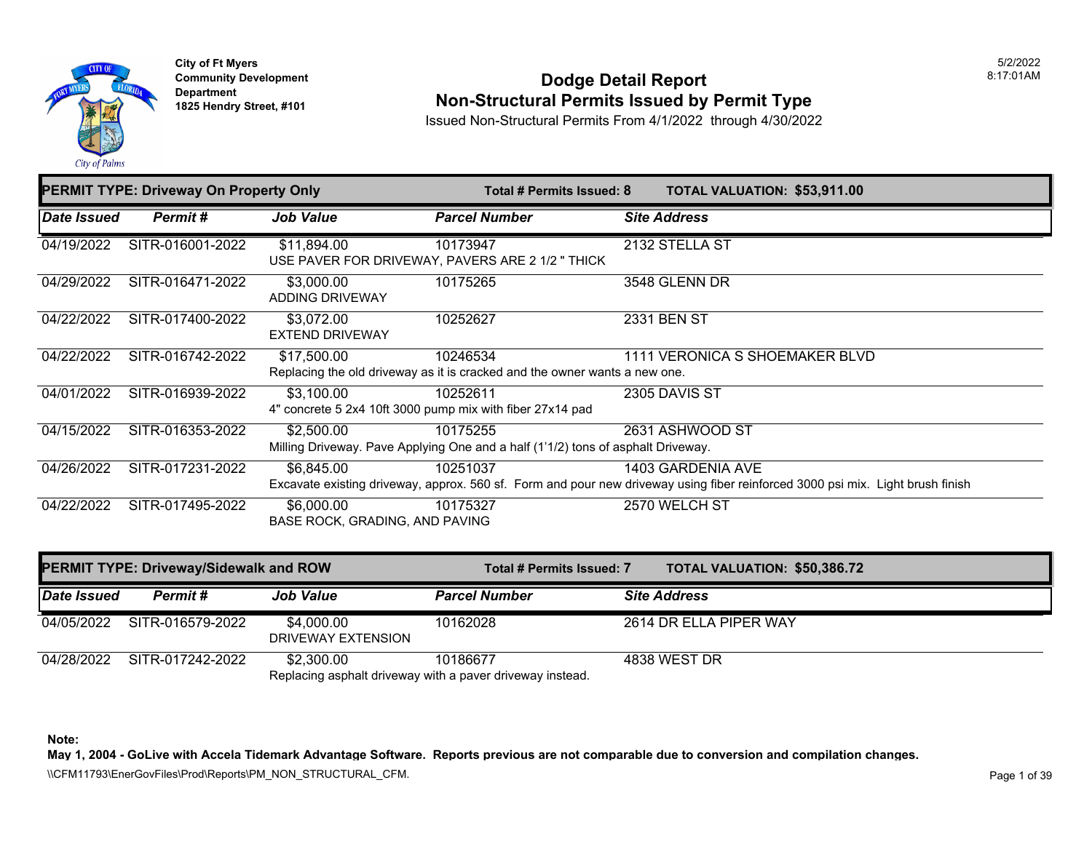

**City of Ft Myers Community Development Department 1825 Hendry Street, #101** 

### **Dodge Detail Report Non-Structural Permits Issued by Permit Type**

Issued Non-Structural Permits From 4/1/2022 through 4/30/2022

| <b>PERMIT TYPE: Driveway On Property Only</b> |                  | <b>TOTAL VALUATION: \$53,911.00</b><br>Total # Permits Issued: 8 |                                                                                              |                                                                                                                                                     |
|-----------------------------------------------|------------------|------------------------------------------------------------------|----------------------------------------------------------------------------------------------|-----------------------------------------------------------------------------------------------------------------------------------------------------|
| Date Issued                                   | Permit#          | <b>Job Value</b>                                                 | <b>Parcel Number</b>                                                                         | <b>Site Address</b>                                                                                                                                 |
| 04/19/2022                                    | SITR-016001-2022 | \$11,894.00                                                      | 10173947<br>USE PAVER FOR DRIVEWAY, PAVERS ARE 2 1/2 "THICK                                  | 2132 STELLA ST                                                                                                                                      |
| 04/29/2022                                    | SITR-016471-2022 | \$3,000.00<br>ADDING DRIVEWAY                                    | 10175265                                                                                     | 3548 GLENN DR                                                                                                                                       |
| 04/22/2022                                    | SITR-017400-2022 | \$3,072.00<br><b>EXTEND DRIVEWAY</b>                             | 10252627                                                                                     | 2331 BEN ST                                                                                                                                         |
| 04/22/2022                                    | SITR-016742-2022 | \$17,500.00                                                      | 10246534<br>Replacing the old driveway as it is cracked and the owner wants a new one.       | 1111 VERONICA S SHOEMAKER BLVD                                                                                                                      |
| 04/01/2022                                    | SITR-016939-2022 | \$3,100.00                                                       | 10252611<br>4" concrete 5 2x4 10ft 3000 pump mix with fiber 27x14 pad                        | 2305 DAVIS ST                                                                                                                                       |
| 04/15/2022                                    | SITR-016353-2022 | \$2,500.00                                                       | 10175255<br>Milling Driveway. Pave Applying One and a half (1'1/2) tons of asphalt Driveway. | 2631 ASHWOOD ST                                                                                                                                     |
| 04/26/2022                                    | SITR-017231-2022 | \$6,845.00                                                       | 10251037                                                                                     | 1403 GARDENIA AVE<br>Excavate existing driveway, approx. 560 sf. Form and pour new driveway using fiber reinforced 3000 psi mix. Light brush finish |
| 04/22/2022                                    | SITR-017495-2022 | \$6,000.00<br>BASE ROCK, GRADING, AND PAVING                     | 10175327                                                                                     | 2570 WELCH ST                                                                                                                                       |

| <b>PERMIT TYPE: Driveway/Sidewalk and ROW</b> |                  |                                  | Total # Permits Issued: 7                                             |  | <b>TOTAL VALUATION: \$50,386.72</b> |
|-----------------------------------------------|------------------|----------------------------------|-----------------------------------------------------------------------|--|-------------------------------------|
| Date Issued                                   | Permit#          | <b>Job Value</b>                 | <b>Parcel Number</b>                                                  |  | <b>Site Address</b>                 |
| 04/05/2022                                    | SITR-016579-2022 | \$4,000.00<br>DRIVEWAY EXTENSION | 10162028                                                              |  | 2614 DR ELLA PIPER WAY              |
| 04/28/2022                                    | SITR-017242-2022 | \$2,300.00                       | 10186677<br>Replacing asphalt driveway with a paver driveway instead. |  | 4838 WEST DR                        |

**Note:** 

**May 1, 2004 - GoLive with Accela Tidemark Advantage Software. Reports previous are not comparable due to conversion and compilation changes.** 

\\CFM11793\EnerGovFiles\Prod\Reports\PM\_NON\_STRUCTURAL\_CFM.<br>Page 1 of 39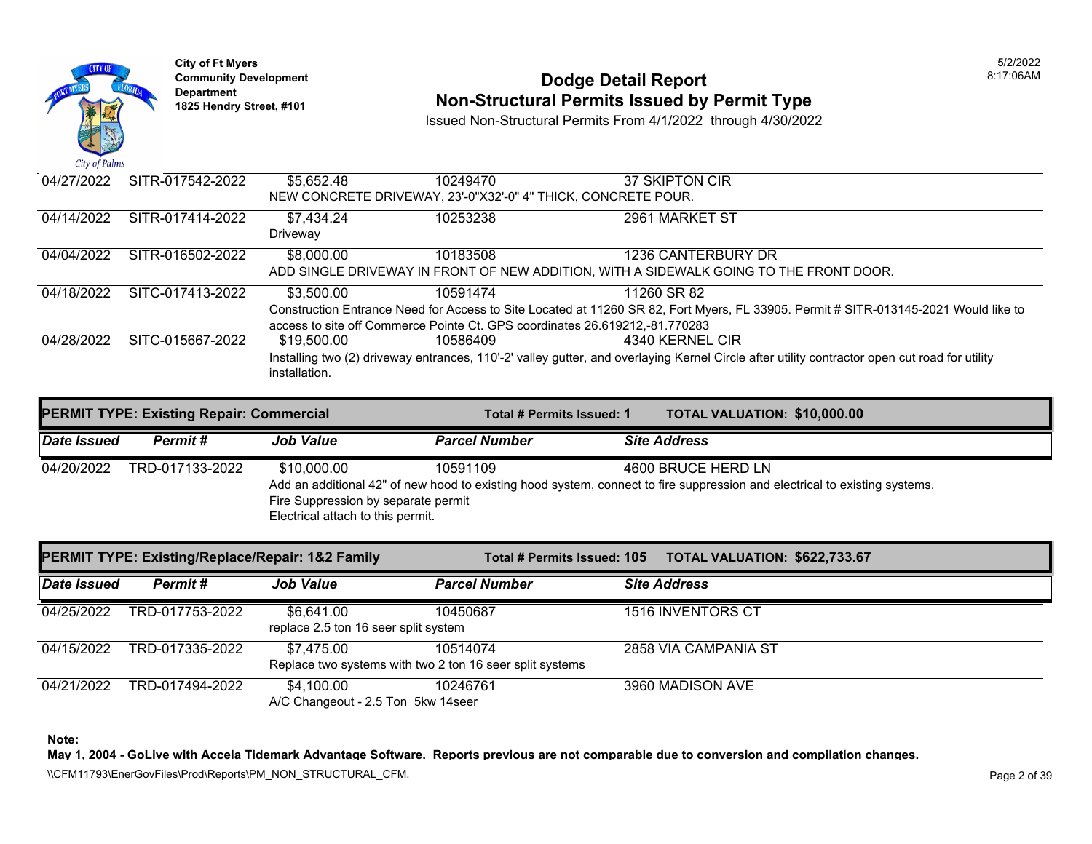



### **Community Development 18:17:06AM**<br>
Dodge Detail Report **Non-Structural Permits Issued by Permit Type** 1825 Hendry Street, #101 **1825 Hendry Street, #101**

Issued Non-Structural Permits From 4/1/2022 through 4/30/2022

| $\mathbf{u}$ $\mathbf{v}$ $\mathbf{v}$ $\mathbf{v}$ $\mathbf{v}$ $\mathbf{v}$ |                  |               |                                                                             |                                                                                                                                               |
|-------------------------------------------------------------------------------|------------------|---------------|-----------------------------------------------------------------------------|-----------------------------------------------------------------------------------------------------------------------------------------------|
| 04/27/2022                                                                    | SITR-017542-2022 | \$5.652.48    | 10249470                                                                    | 37 SKIPTON CIR                                                                                                                                |
|                                                                               |                  |               | NEW CONCRETE DRIVEWAY, 23'-0"X32'-0" 4" THICK, CONCRETE POUR.               |                                                                                                                                               |
| 04/14/2022                                                                    | SITR-017414-2022 | \$7,434.24    | 10253238                                                                    | 2961 MARKET ST                                                                                                                                |
|                                                                               |                  | Driveway      |                                                                             |                                                                                                                                               |
| 04/04/2022                                                                    | SITR-016502-2022 | \$8,000.00    | 10183508                                                                    | 1236 CANTERBURY DR                                                                                                                            |
|                                                                               |                  |               |                                                                             | ADD SINGLE DRIVEWAY IN FRONT OF NEW ADDITION. WITH A SIDEWALK GOING TO THE FRONT DOOR.                                                        |
| 04/18/2022                                                                    | SITC-017413-2022 | \$3,500.00    | 10591474                                                                    | 11260 SR 82                                                                                                                                   |
|                                                                               |                  |               |                                                                             | Construction Entrance Need for Access to Site Located at 11260 SR 82, Fort Myers, FL 33905. Permit # SITR-013145-2021 Would like to           |
|                                                                               |                  |               | access to site off Commerce Pointe Ct. GPS coordinates 26.619212.-81.770283 |                                                                                                                                               |
| 04/28/2022                                                                    | SITC-015667-2022 | \$19,500.00   | 10586409                                                                    | 4340 KERNEL CIR                                                                                                                               |
|                                                                               |                  |               |                                                                             | Installing two (2) driveway entrances, 110'-2' valley gutter, and overlaying Kernel Circle after utility contractor open cut road for utility |
|                                                                               |                  | installation. |                                                                             |                                                                                                                                               |
|                                                                               |                  |               |                                                                             |                                                                                                                                               |

| <b>PERMIT TYPE: Existing Repair: Commercial</b> |                 |                                                                                         | Total # Permits Issued: 1 |                     | <b>TOTAL VALUATION: \$10,000.00</b>                                                                                                              |
|-------------------------------------------------|-----------------|-----------------------------------------------------------------------------------------|---------------------------|---------------------|--------------------------------------------------------------------------------------------------------------------------------------------------|
| Date Issued                                     | Permit#         | <b>Job Value</b>                                                                        | <b>Parcel Number</b>      | <b>Site Address</b> |                                                                                                                                                  |
| 04/20/2022                                      | TRD-017133-2022 | \$10,000.00<br>Fire Suppression by separate permit<br>Electrical attach to this permit. | 10591109                  |                     | 4600 BRUCE HERD LN<br>Add an additional 42" of new hood to existing hood system, connect to fire suppression and electrical to existing systems. |

| PERMIT TYPE: Existing/Replace/Repair: 1&2 Family |                 | Total # Permits Issued: 105                        | <b>TOTAL VALUATION: \$622,733.67</b>                                 |                      |
|--------------------------------------------------|-----------------|----------------------------------------------------|----------------------------------------------------------------------|----------------------|
| Date Issued                                      | Permit#         | <b>Job Value</b>                                   | <b>Parcel Number</b>                                                 | <b>Site Address</b>  |
| 04/25/2022                                       | TRD-017753-2022 | \$6,641.00<br>replace 2.5 ton 16 seer split system | 10450687                                                             | 1516 INVENTORS CT    |
| 04/15/2022                                       | TRD-017335-2022 | \$7.475.00                                         | 10514074<br>Replace two systems with two 2 ton 16 seer split systems | 2858 VIA CAMPANIA ST |
| 04/21/2022                                       | TRD-017494-2022 | \$4.100.00<br>A/C Changeout - 2.5 Ton 5kw 14seer   | 10246761                                                             | 3960 MADISON AVE     |

**Note:** 

**May 1, 2004 - GoLive with Accela Tidemark Advantage Software. Reports previous are not comparable due to conversion and compilation changes.**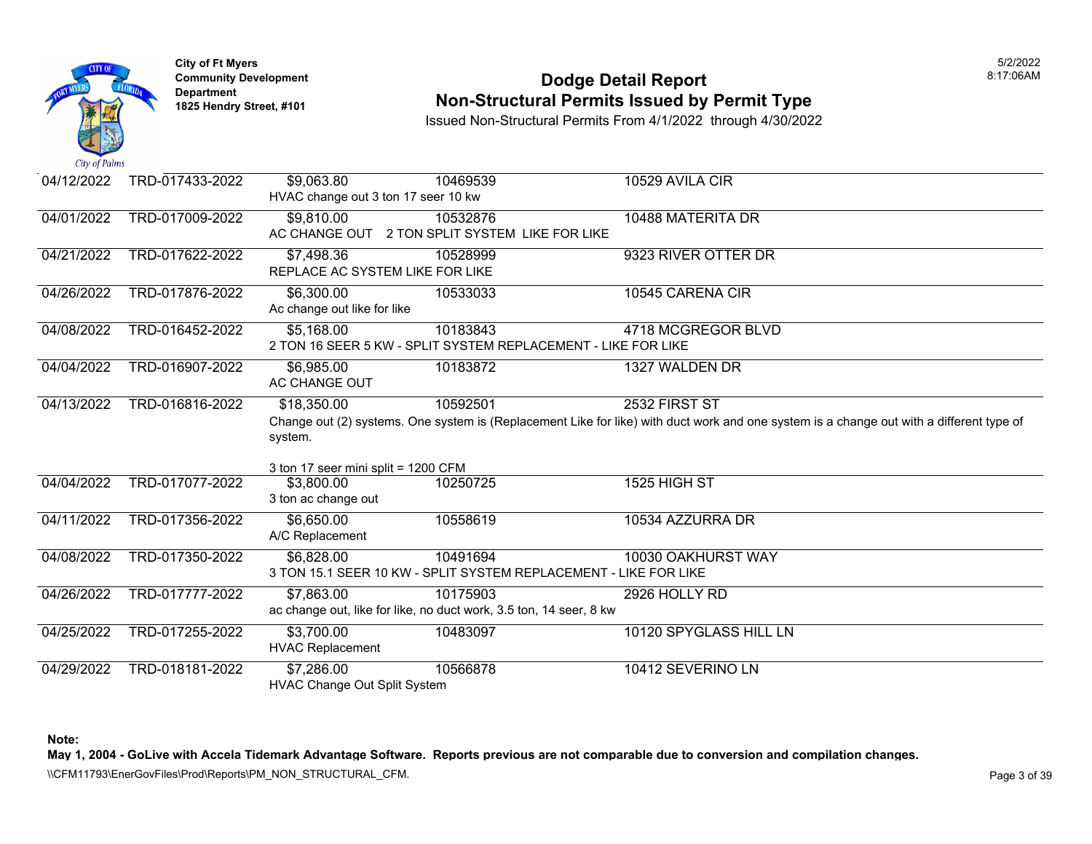

### **Community Development Dodge Detail Report** 8:17:06AM **1825 Non-Structural Permits Issued by Permit Type**

Issued Non-Structural Permits From 4/1/2022 through 4/30/2022

| 04/12/2022 | TRD-017433-2022 | \$9,063.80                                                                                                                               | 10469539                                                           | 10529 AVILA CIR        |  |  |
|------------|-----------------|------------------------------------------------------------------------------------------------------------------------------------------|--------------------------------------------------------------------|------------------------|--|--|
|            |                 | HVAC change out 3 ton 17 seer 10 kw                                                                                                      |                                                                    |                        |  |  |
| 04/01/2022 | TRD-017009-2022 | \$9,810.00                                                                                                                               | 10532876                                                           | 10488 MATERITA DR      |  |  |
|            |                 | AC CHANGE OUT                                                                                                                            | 2 TON SPLIT SYSTEM LIKE FOR LIKE                                   |                        |  |  |
| 04/21/2022 | TRD-017622-2022 | \$7,498.36                                                                                                                               | 10528999                                                           | 9323 RIVER OTTER DR    |  |  |
|            |                 | REPLACE AC SYSTEM LIKE FOR LIKE                                                                                                          |                                                                    |                        |  |  |
| 04/26/2022 | TRD-017876-2022 | \$6,300.00                                                                                                                               | 10533033                                                           | 10545 CARENA CIR       |  |  |
|            |                 | Ac change out like for like                                                                                                              |                                                                    |                        |  |  |
| 04/08/2022 | TRD-016452-2022 | \$5,168.00                                                                                                                               | 10183843                                                           | 4718 MCGREGOR BLVD     |  |  |
|            |                 |                                                                                                                                          | 2 TON 16 SEER 5 KW - SPLIT SYSTEM REPLACEMENT - LIKE FOR LIKE      |                        |  |  |
| 04/04/2022 | TRD-016907-2022 | \$6,985.00                                                                                                                               | 10183872                                                           | 1327 WALDEN DR         |  |  |
|            |                 | AC CHANGE OUT                                                                                                                            |                                                                    |                        |  |  |
| 04/13/2022 | TRD-016816-2022 | \$18,350.00                                                                                                                              | 10592501                                                           | 2532 FIRST ST          |  |  |
|            |                 | Change out (2) systems. One system is (Replacement Like for like) with duct work and one system is a change out with a different type of |                                                                    |                        |  |  |
|            |                 | system.                                                                                                                                  |                                                                    |                        |  |  |
|            |                 |                                                                                                                                          |                                                                    |                        |  |  |
|            |                 | 3 ton 17 seer mini split = 1200 CFM                                                                                                      |                                                                    |                        |  |  |
| 04/04/2022 | TRD-017077-2022 | \$3,800.00                                                                                                                               | 10250725                                                           | 1525 HIGH ST           |  |  |
|            |                 | 3 ton ac change out                                                                                                                      |                                                                    |                        |  |  |
| 04/11/2022 | TRD-017356-2022 | \$6,650.00                                                                                                                               | 10558619                                                           | 10534 AZZURRA DR       |  |  |
|            |                 | A/C Replacement                                                                                                                          |                                                                    |                        |  |  |
| 04/08/2022 | TRD-017350-2022 | \$6,828.00                                                                                                                               | 10491694                                                           | 10030 OAKHURST WAY     |  |  |
|            |                 |                                                                                                                                          | 3 TON 15.1 SEER 10 KW - SPLIT SYSTEM REPLACEMENT - LIKE FOR LIKE   |                        |  |  |
| 04/26/2022 | TRD-017777-2022 | \$7,863.00                                                                                                                               | 10175903                                                           |                        |  |  |
|            |                 |                                                                                                                                          |                                                                    | 2926 HOLLY RD          |  |  |
|            |                 |                                                                                                                                          | ac change out, like for like, no duct work, 3.5 ton, 14 seer, 8 kw |                        |  |  |
| 04/25/2022 | TRD-017255-2022 | \$3,700.00                                                                                                                               | 10483097                                                           | 10120 SPYGLASS HILL LN |  |  |
|            |                 | <b>HVAC Replacement</b>                                                                                                                  |                                                                    |                        |  |  |
| 04/29/2022 | TRD-018181-2022 | \$7,286.00                                                                                                                               | 10566878                                                           | 10412 SEVERINO LN      |  |  |
|            |                 | <b>HVAC Change Out Split System</b>                                                                                                      |                                                                    |                        |  |  |

**Note:** 

**May 1, 2004 - GoLive with Accela Tidemark Advantage Software. Reports previous are not comparable due to conversion and compilation changes.** 

\\CFM11793\EnerGovFiles\Prod\Reports\PM\_NON\_STRUCTURAL\_CFM.<br>Page 3 of 39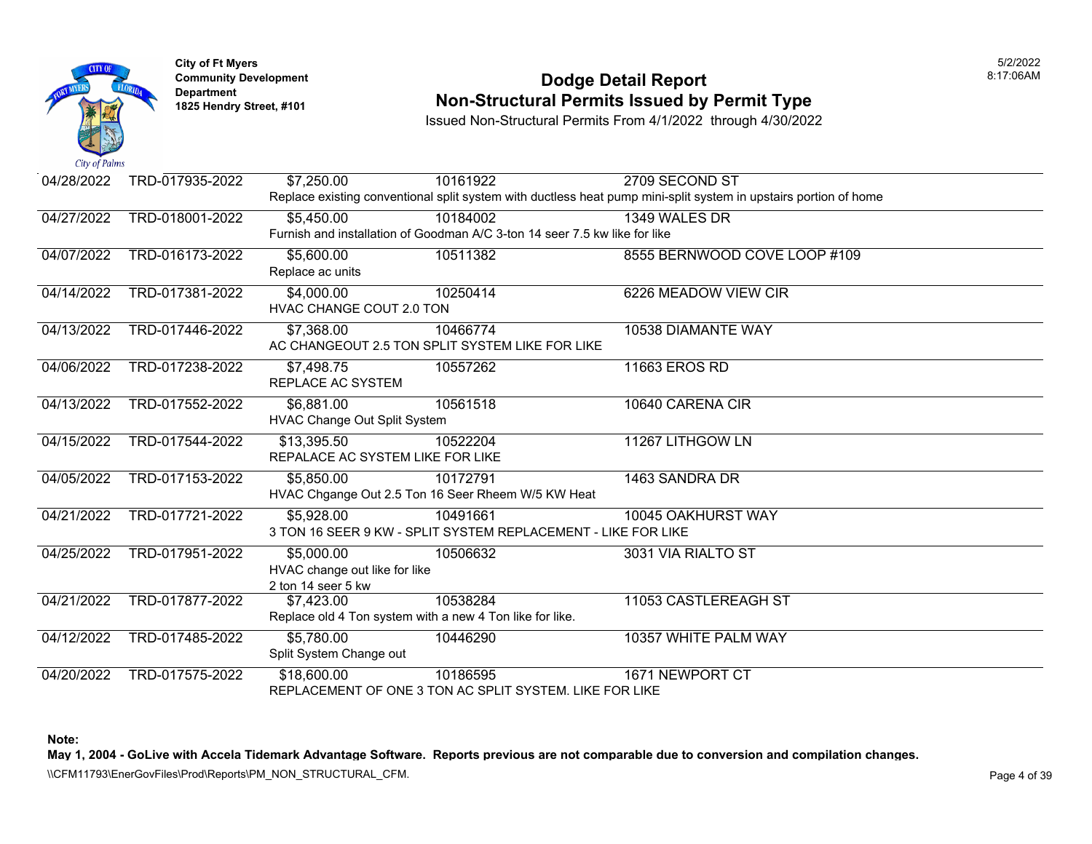

### **Community Development Dodge Detail Report** 8:17:06AM **Non-Structural Permits Issued by Permit Type**

Issued Non-Structural Permits From 4/1/2022 through 4/30/2022

| 04/28/2022 | TRD-017935-2022 | \$7,250.00                                               | 10161922                                                                   | 2709 SECOND ST                                                                                                   |  |
|------------|-----------------|----------------------------------------------------------|----------------------------------------------------------------------------|------------------------------------------------------------------------------------------------------------------|--|
|            |                 |                                                          |                                                                            | Replace existing conventional split system with ductless heat pump mini-split system in upstairs portion of home |  |
| 04/27/2022 | TRD-018001-2022 | \$5,450.00                                               | 10184002                                                                   | 1349 WALES DR                                                                                                    |  |
|            |                 |                                                          | Furnish and installation of Goodman A/C 3-ton 14 seer 7.5 kw like for like |                                                                                                                  |  |
| 04/07/2022 | TRD-016173-2022 | \$5,600.00                                               | 10511382                                                                   | 8555 BERNWOOD COVE LOOP #109                                                                                     |  |
|            |                 | Replace ac units                                         |                                                                            |                                                                                                                  |  |
| 04/14/2022 | TRD-017381-2022 | \$4,000.00                                               | 10250414                                                                   | 6226 MEADOW VIEW CIR                                                                                             |  |
|            |                 | <b>HVAC CHANGE COUT 2.0 TON</b>                          |                                                                            |                                                                                                                  |  |
| 04/13/2022 | TRD-017446-2022 | \$7,368.00                                               | 10466774                                                                   | 10538 DIAMANTE WAY                                                                                               |  |
|            |                 |                                                          | AC CHANGEOUT 2.5 TON SPLIT SYSTEM LIKE FOR LIKE                            |                                                                                                                  |  |
| 04/06/2022 | TRD-017238-2022 | \$7,498.75                                               | 10557262                                                                   | 11663 EROS RD                                                                                                    |  |
|            |                 | REPLACE AC SYSTEM                                        |                                                                            |                                                                                                                  |  |
| 04/13/2022 | TRD-017552-2022 | \$6,881.00                                               | 10561518                                                                   | 10640 CARENA CIR                                                                                                 |  |
|            |                 | HVAC Change Out Split System                             |                                                                            |                                                                                                                  |  |
| 04/15/2022 | TRD-017544-2022 | \$13,395.50                                              | 10522204                                                                   | 11267 LITHGOW LN                                                                                                 |  |
|            |                 | REPALACE AC SYSTEM LIKE FOR LIKE                         |                                                                            |                                                                                                                  |  |
| 04/05/2022 | TRD-017153-2022 | \$5,850.00                                               | 10172791                                                                   | 1463 SANDRA DR                                                                                                   |  |
|            |                 |                                                          | HVAC Chgange Out 2.5 Ton 16 Seer Rheem W/5 KW Heat                         |                                                                                                                  |  |
| 04/21/2022 | TRD-017721-2022 | \$5,928.00                                               | 10491661                                                                   | 10045 OAKHURST WAY                                                                                               |  |
|            |                 |                                                          | 3 TON 16 SEER 9 KW - SPLIT SYSTEM REPLACEMENT - LIKE FOR LIKE              |                                                                                                                  |  |
| 04/25/2022 | TRD-017951-2022 | \$5,000.00                                               | 10506632                                                                   | 3031 VIA RIALTO ST                                                                                               |  |
|            |                 | HVAC change out like for like                            |                                                                            |                                                                                                                  |  |
|            |                 | 2 ton 14 seer 5 kw                                       |                                                                            |                                                                                                                  |  |
| 04/21/2022 | TRD-017877-2022 | \$7,423.00                                               | 10538284                                                                   | 11053 CASTLEREAGH ST                                                                                             |  |
|            |                 | Replace old 4 Ton system with a new 4 Ton like for like. |                                                                            |                                                                                                                  |  |
| 04/12/2022 | TRD-017485-2022 | \$5,780.00                                               | 10446290                                                                   | 10357 WHITE PALM WAY                                                                                             |  |
|            |                 | Split System Change out                                  |                                                                            |                                                                                                                  |  |
| 04/20/2022 | TRD-017575-2022 | \$18,600.00                                              | 10186595                                                                   | 1671 NEWPORT CT                                                                                                  |  |
|            |                 |                                                          | REPLACEMENT OF ONE 3 TON AC SPLIT SYSTEM. LIKE FOR LIKE                    |                                                                                                                  |  |

**Note:** 

**May 1, 2004 - GoLive with Accela Tidemark Advantage Software. Reports previous are not comparable due to conversion and compilation changes.** 

\\CFM11793\EnerGovFiles\Prod\Reports\PM\_NON\_STRUCTURAL\_CFM.<br>Page 4 of 39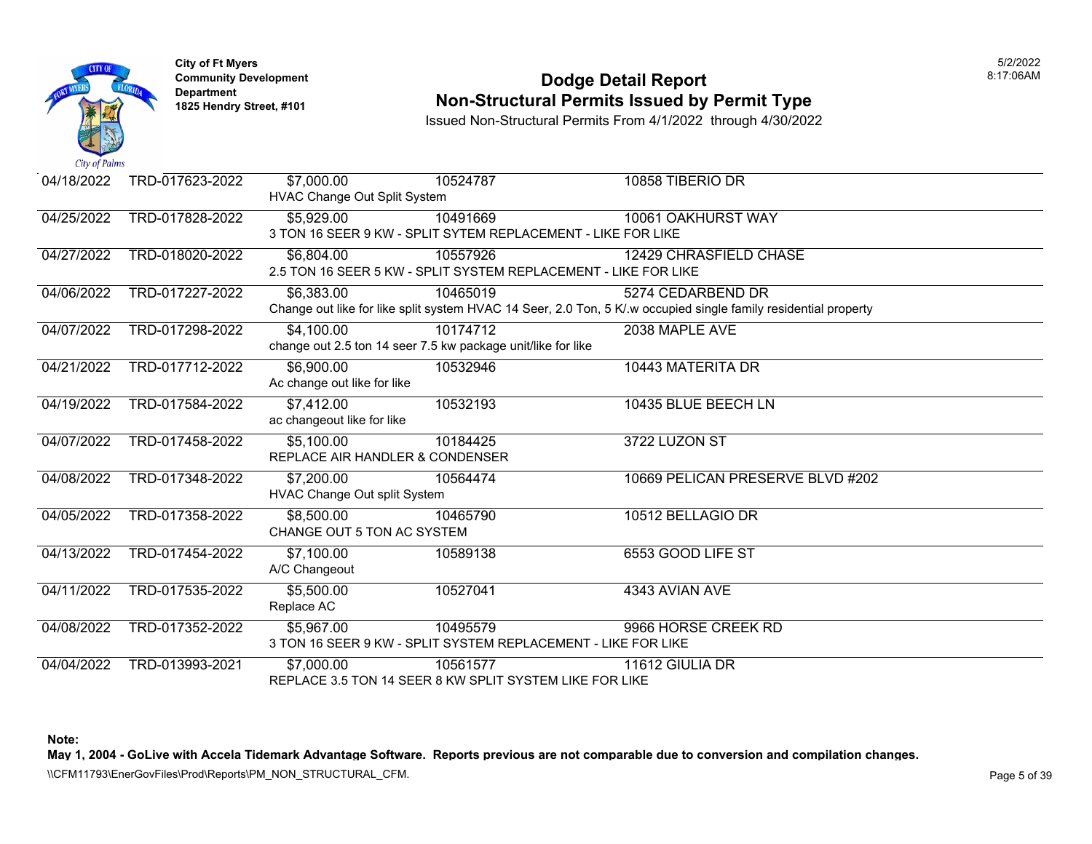

### **Community Development Dodge Detail Report** 8:17:06AM **Non-Structural Permits Issued by Permit Type**

Issued Non-Structural Permits From 4/1/2022 through 4/30/2022

| 04/18/2022 | TRD-017623-2022 | \$7,000.00<br>HVAC Change Out Split System    | 10524787                                                                    | 10858 TIBERIO DR                                                                                                                     |
|------------|-----------------|-----------------------------------------------|-----------------------------------------------------------------------------|--------------------------------------------------------------------------------------------------------------------------------------|
| 04/25/2022 | TRD-017828-2022 | \$5,929.00                                    | 10491669<br>3 TON 16 SEER 9 KW - SPLIT SYTEM REPLACEMENT - LIKE FOR LIKE    | 10061 OAKHURST WAY                                                                                                                   |
| 04/27/2022 | TRD-018020-2022 | \$6,804.00                                    | 10557926<br>2.5 TON 16 SEER 5 KW - SPLIT SYSTEM REPLACEMENT - LIKE FOR LIKE | 12429 CHRASFIELD CHASE                                                                                                               |
| 04/06/2022 | TRD-017227-2022 | \$6,383.00                                    | 10465019                                                                    | 5274 CEDARBEND DR<br>Change out like for like split system HVAC 14 Seer, 2.0 Ton, 5 K/.w occupied single family residential property |
| 04/07/2022 | TRD-017298-2022 | \$4,100.00                                    | 10174712<br>change out 2.5 ton 14 seer 7.5 kw package unit/like for like    | 2038 MAPLE AVE                                                                                                                       |
| 04/21/2022 | TRD-017712-2022 | \$6,900.00<br>Ac change out like for like     | 10532946                                                                    | 10443 MATERITA DR                                                                                                                    |
| 04/19/2022 | TRD-017584-2022 | \$7,412.00<br>ac changeout like for like      | 10532193                                                                    | 10435 BLUE BEECH LN                                                                                                                  |
| 04/07/2022 | TRD-017458-2022 | \$5,100.00<br>REPLACE AIR HANDLER & CONDENSER | 10184425                                                                    | 3722 LUZON ST                                                                                                                        |
| 04/08/2022 | TRD-017348-2022 | \$7,200.00<br>HVAC Change Out split System    | 10564474                                                                    | 10669 PELICAN PRESERVE BLVD #202                                                                                                     |
| 04/05/2022 | TRD-017358-2022 | \$8,500.00<br>CHANGE OUT 5 TON AC SYSTEM      | 10465790                                                                    | 10512 BELLAGIO DR                                                                                                                    |
| 04/13/2022 | TRD-017454-2022 | \$7,100.00<br>A/C Changeout                   | 10589138                                                                    | 6553 GOOD LIFE ST                                                                                                                    |
| 04/11/2022 | TRD-017535-2022 | \$5,500.00<br>Replace AC                      | 10527041                                                                    | 4343 AVIAN AVE                                                                                                                       |
| 04/08/2022 | TRD-017352-2022 | \$5,967.00                                    | 10495579<br>3 TON 16 SEER 9 KW - SPLIT SYSTEM REPLACEMENT - LIKE FOR LIKE   | 9966 HORSE CREEK RD                                                                                                                  |
| 04/04/2022 | TRD-013993-2021 | \$7,000.00                                    | 10561577<br>REPLACE 3.5 TON 14 SEER 8 KW SPLIT SYSTEM LIKE FOR LIKE         | 11612 GIULIA DR                                                                                                                      |

**Note:** 

**May 1, 2004 - GoLive with Accela Tidemark Advantage Software. Reports previous are not comparable due to conversion and compilation changes.** 

\\CFM11793\EnerGovFiles\Prod\Reports\PM\_NON\_STRUCTURAL\_CFM.<br>Page 5 of 39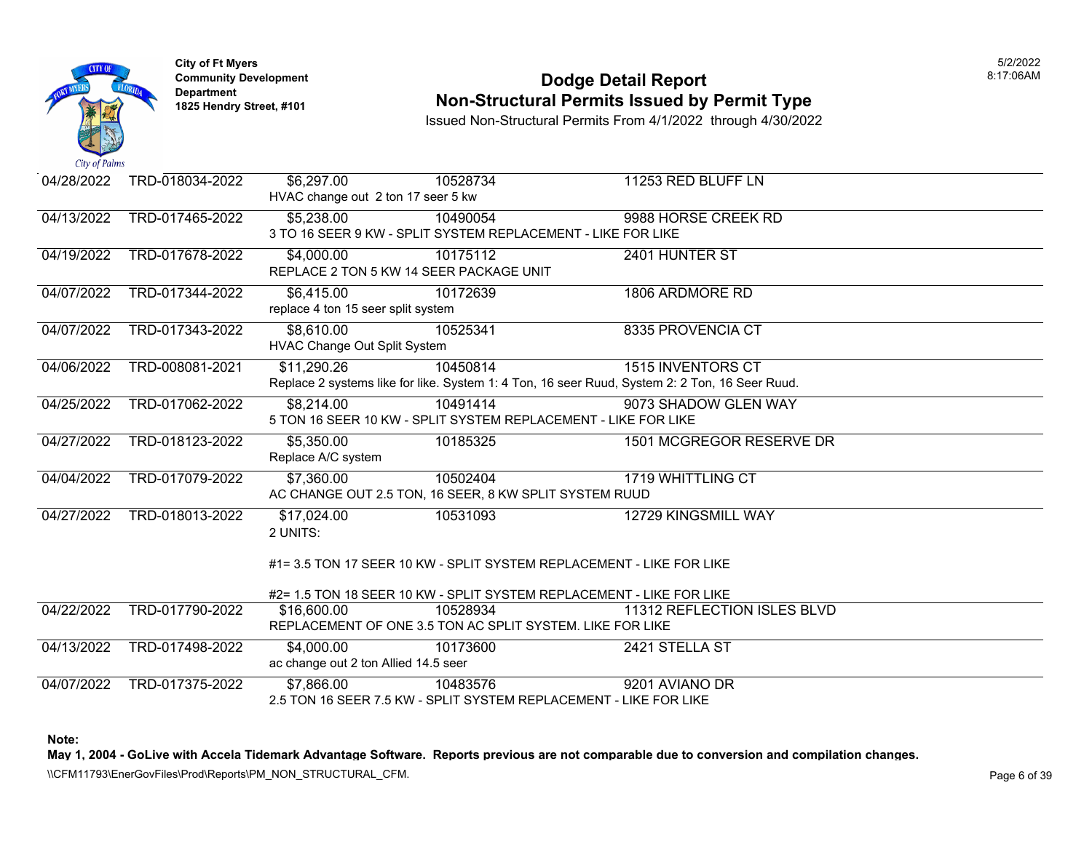

### **Community Development Dodge Detail Report** 8:17:06AM **Non-Structural Permits Issued by Permit Type**

Issued Non-Structural Permits From 4/1/2022 through 4/30/2022

| 04/28/2022 | TRD-018034-2022 | \$6,297.00                                                                                     | 10528734 | 11253 RED BLUFF LN                                                   |  |  |
|------------|-----------------|------------------------------------------------------------------------------------------------|----------|----------------------------------------------------------------------|--|--|
|            |                 | HVAC change out 2 ton 17 seer 5 kw                                                             |          |                                                                      |  |  |
| 04/13/2022 | TRD-017465-2022 | \$5,238.00                                                                                     | 10490054 | 9988 HORSE CREEK RD                                                  |  |  |
|            |                 | 3 TO 16 SEER 9 KW - SPLIT SYSTEM REPLACEMENT - LIKE FOR LIKE                                   |          |                                                                      |  |  |
| 04/19/2022 | TRD-017678-2022 | \$4,000.00                                                                                     | 10175112 | 2401 HUNTER ST                                                       |  |  |
|            |                 | REPLACE 2 TON 5 KW 14 SEER PACKAGE UNIT                                                        |          |                                                                      |  |  |
| 04/07/2022 | TRD-017344-2022 | \$6,415.00                                                                                     | 10172639 | 1806 ARDMORE RD                                                      |  |  |
|            |                 | replace 4 ton 15 seer split system                                                             |          |                                                                      |  |  |
| 04/07/2022 | TRD-017343-2022 | \$8,610.00                                                                                     | 10525341 | 8335 PROVENCIA CT                                                    |  |  |
|            |                 | <b>HVAC Change Out Split System</b>                                                            |          |                                                                      |  |  |
| 04/06/2022 | TRD-008081-2021 | \$11,290.26                                                                                    | 10450814 | <b>1515 INVENTORS CT</b>                                             |  |  |
|            |                 | Replace 2 systems like for like. System 1: 4 Ton, 16 seer Ruud, System 2: 2 Ton, 16 Seer Ruud. |          |                                                                      |  |  |
| 04/25/2022 | TRD-017062-2022 | \$8,214.00                                                                                     | 10491414 | 9073 SHADOW GLEN WAY                                                 |  |  |
|            |                 | 5 TON 16 SEER 10 KW - SPLIT SYSTEM REPLACEMENT - LIKE FOR LIKE                                 |          |                                                                      |  |  |
| 04/27/2022 | TRD-018123-2022 | \$5,350.00                                                                                     | 10185325 | 1501 MCGREGOR RESERVE DR                                             |  |  |
|            |                 | Replace A/C system                                                                             |          |                                                                      |  |  |
| 04/04/2022 | TRD-017079-2022 | \$7,360.00                                                                                     | 10502404 | 1719 WHITTLING CT                                                    |  |  |
|            |                 | AC CHANGE OUT 2.5 TON, 16 SEER, 8 KW SPLIT SYSTEM RUUD                                         |          |                                                                      |  |  |
| 04/27/2022 | TRD-018013-2022 | \$17,024.00                                                                                    | 10531093 | 12729 KINGSMILL WAY                                                  |  |  |
|            |                 | 2 UNITS:                                                                                       |          |                                                                      |  |  |
|            |                 |                                                                                                |          |                                                                      |  |  |
|            |                 | #1= 3.5 TON 17 SEER 10 KW - SPLIT SYSTEM REPLACEMENT - LIKE FOR LIKE                           |          |                                                                      |  |  |
|            |                 |                                                                                                |          | #2= 1.5 TON 18 SEER 10 KW - SPLIT SYSTEM REPLACEMENT - LIKE FOR LIKE |  |  |
| 04/22/2022 | TRD-017790-2022 | \$16,600.00                                                                                    | 10528934 | 11312 REFLECTION ISLES BLVD                                          |  |  |
|            |                 | REPLACEMENT OF ONE 3.5 TON AC SPLIT SYSTEM. LIKE FOR LIKE                                      |          |                                                                      |  |  |
| 04/13/2022 | TRD-017498-2022 | \$4,000.00                                                                                     | 10173600 | 2421 STELLA ST                                                       |  |  |
|            |                 | ac change out 2 ton Allied 14.5 seer                                                           |          |                                                                      |  |  |
| 04/07/2022 | TRD-017375-2022 | \$7,866.00                                                                                     | 10483576 | 9201 AVIANO DR                                                       |  |  |
|            |                 |                                                                                                |          | 2.5 TON 16 SEER 7.5 KW - SPLIT SYSTEM REPLACEMENT - LIKE FOR LIKE    |  |  |

**Note:** 

**May 1, 2004 - GoLive with Accela Tidemark Advantage Software. Reports previous are not comparable due to conversion and compilation changes.** 

\\CFM11793\EnerGovFiles\Prod\Reports\PM\_NON\_STRUCTURAL\_CFM.<br>Page 6 of 39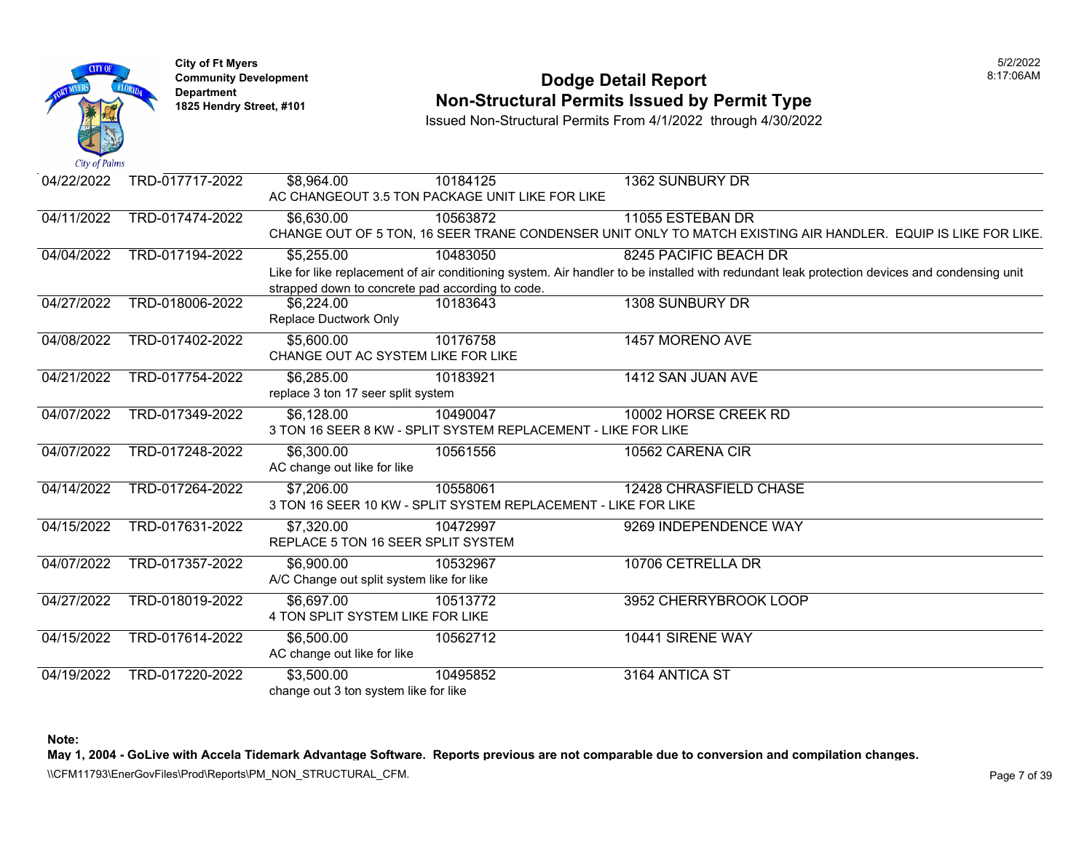

### **Community Development Dodge Detail Report** 8:17:06AM **1825 Non-Structural Permits Issued by Permit Type**

Issued Non-Structural Permits From 4/1/2022 through 4/30/2022

| 04/22/2022 | TRD-017717-2022 | \$8,964.00                                       | 10184125                                                       | 1362 SUNBURY DR                                                                                                                              |
|------------|-----------------|--------------------------------------------------|----------------------------------------------------------------|----------------------------------------------------------------------------------------------------------------------------------------------|
|            |                 |                                                  | AC CHANGEOUT 3.5 TON PACKAGE UNIT LIKE FOR LIKE                |                                                                                                                                              |
| 04/11/2022 | TRD-017474-2022 | \$6,630.00                                       | 10563872                                                       | 11055 ESTEBAN DR                                                                                                                             |
|            |                 |                                                  |                                                                | CHANGE OUT OF 5 TON, 16 SEER TRANE CONDENSER UNIT ONLY TO MATCH EXISTING AIR HANDLER. EQUIP IS LIKE FOR LIKE.                                |
| 04/04/2022 | TRD-017194-2022 | \$5,255.00                                       | 10483050                                                       | 8245 PACIFIC BEACH DR                                                                                                                        |
|            |                 |                                                  |                                                                | Like for like replacement of air conditioning system. Air handler to be installed with redundant leak protection devices and condensing unit |
|            |                 | strapped down to concrete pad according to code. |                                                                |                                                                                                                                              |
| 04/27/2022 | TRD-018006-2022 | \$6,224.00                                       | 10183643                                                       | 1308 SUNBURY DR                                                                                                                              |
|            |                 | Replace Ductwork Only                            |                                                                |                                                                                                                                              |
| 04/08/2022 | TRD-017402-2022 | \$5,600.00                                       | 10176758                                                       | 1457 MORENO AVE                                                                                                                              |
|            |                 | CHANGE OUT AC SYSTEM LIKE FOR LIKE               |                                                                |                                                                                                                                              |
| 04/21/2022 | TRD-017754-2022 | \$6,285.00                                       | 10183921                                                       | 1412 SAN JUAN AVE                                                                                                                            |
|            |                 | replace 3 ton 17 seer split system               |                                                                |                                                                                                                                              |
| 04/07/2022 | TRD-017349-2022 | \$6,128,00                                       | 10490047                                                       | 10002 HORSE CREEK RD                                                                                                                         |
|            |                 |                                                  | 3 TON 16 SEER 8 KW - SPLIT SYSTEM REPLACEMENT - LIKE FOR LIKE  |                                                                                                                                              |
| 04/07/2022 | TRD-017248-2022 | \$6,300.00                                       | 10561556                                                       | 10562 CARENA CIR                                                                                                                             |
|            |                 | AC change out like for like                      |                                                                |                                                                                                                                              |
| 04/14/2022 | TRD-017264-2022 | \$7,206.00                                       | 10558061                                                       | 12428 CHRASFIELD CHASE                                                                                                                       |
|            |                 |                                                  | 3 TON 16 SEER 10 KW - SPLIT SYSTEM REPLACEMENT - LIKE FOR LIKE |                                                                                                                                              |
| 04/15/2022 | TRD-017631-2022 | \$7,320.00                                       | 10472997                                                       | 9269 INDEPENDENCE WAY                                                                                                                        |
|            |                 | REPLACE 5 TON 16 SEER SPLIT SYSTEM               |                                                                |                                                                                                                                              |
| 04/07/2022 | TRD-017357-2022 | \$6,900.00                                       | 10532967                                                       | 10706 CETRELLA DR                                                                                                                            |
|            |                 | A/C Change out split system like for like        |                                                                |                                                                                                                                              |
| 04/27/2022 | TRD-018019-2022 | $\overline{$6,697.00}$                           | 10513772                                                       | 3952 CHERRYBROOK LOOP                                                                                                                        |
|            |                 | 4 TON SPLIT SYSTEM LIKE FOR LIKE                 |                                                                |                                                                                                                                              |
| 04/15/2022 | TRD-017614-2022 | \$6,500.00                                       | 10562712                                                       | 10441 SIRENE WAY                                                                                                                             |
|            |                 | AC change out like for like                      |                                                                |                                                                                                                                              |
| 04/19/2022 | TRD-017220-2022 | \$3,500.00                                       | 10495852                                                       | 3164 ANTICA ST                                                                                                                               |
|            |                 | change out 3 ton system like for like            |                                                                |                                                                                                                                              |

**Note:** 

**May 1, 2004 - GoLive with Accela Tidemark Advantage Software. Reports previous are not comparable due to conversion and compilation changes.** 

\\CFM11793\EnerGovFiles\Prod\Reports\PM\_NON\_STRUCTURAL\_CFM.<br>Page 7 of 39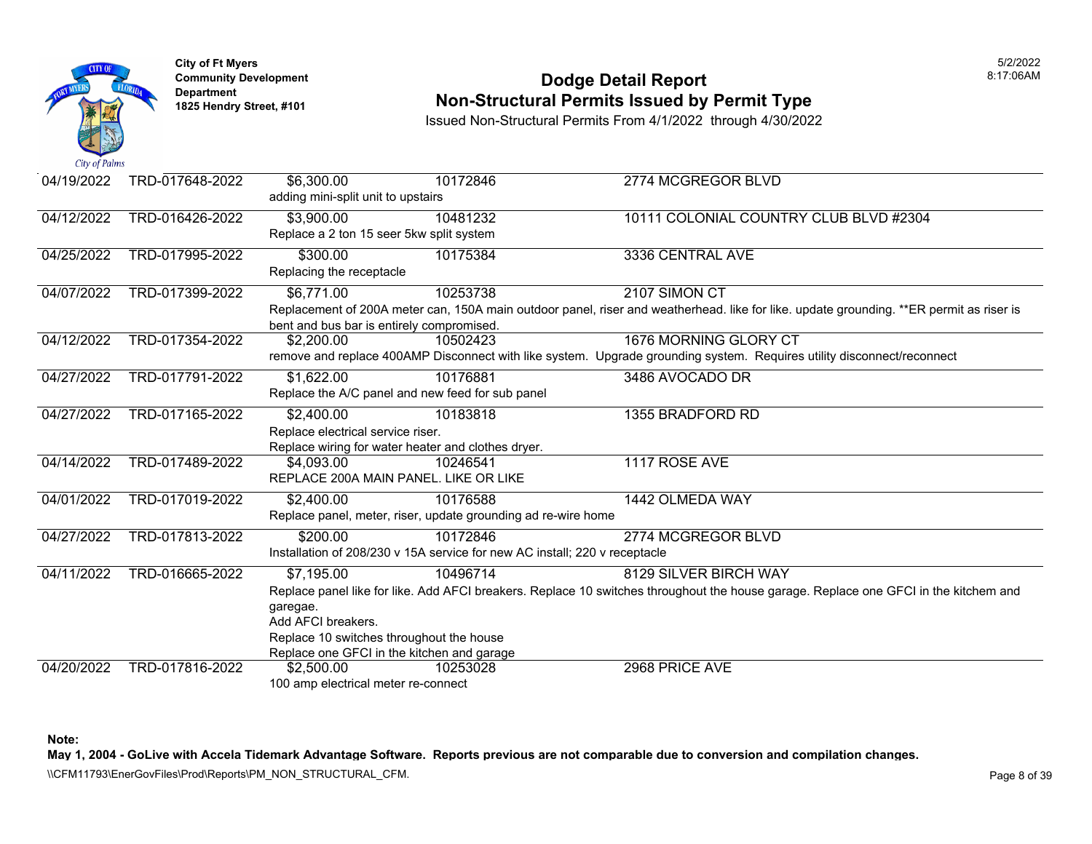

#### **Community Development Dodge Detail Report** 8:17:06AM **1825 Non-Structural Permits Issued by Permit Type**

Issued Non-Structural Permits From 4/1/2022 through 4/30/2022

| 04/19/2022 | TRD-017648-2022 | \$6,300.00<br>adding mini-split unit to upstairs                                                                                                   | 10172846                                                                               | 2774 MCGREGOR BLVD                                                                                                                                            |
|------------|-----------------|----------------------------------------------------------------------------------------------------------------------------------------------------|----------------------------------------------------------------------------------------|---------------------------------------------------------------------------------------------------------------------------------------------------------------|
| 04/12/2022 | TRD-016426-2022 | \$3,900.00<br>Replace a 2 ton 15 seer 5kw split system                                                                                             | 10481232                                                                               | 10111 COLONIAL COUNTRY CLUB BLVD #2304                                                                                                                        |
| 04/25/2022 | TRD-017995-2022 | \$300.00<br>Replacing the receptacle                                                                                                               | 10175384                                                                               | 3336 CENTRAL AVE                                                                                                                                              |
| 04/07/2022 | TRD-017399-2022 | \$6,771.00<br>bent and bus bar is entirely compromised.                                                                                            | 10253738                                                                               | 2107 SIMON CT<br>Replacement of 200A meter can, 150A main outdoor panel, riser and weatherhead. like for like. update grounding. **ER permit as riser is      |
| 04/12/2022 | TRD-017354-2022 | \$2,200.00                                                                                                                                         | 10502423                                                                               | 1676 MORNING GLORY CT<br>remove and replace 400AMP Disconnect with like system. Upgrade grounding system. Requires utility disconnect/reconnect               |
| 04/27/2022 | TRD-017791-2022 | \$1,622.00                                                                                                                                         | 10176881<br>Replace the A/C panel and new feed for sub panel                           | 3486 AVOCADO DR                                                                                                                                               |
| 04/27/2022 | TRD-017165-2022 | \$2,400.00<br>Replace electrical service riser.                                                                                                    | 10183818<br>Replace wiring for water heater and clothes dryer.                         | 1355 BRADFORD RD                                                                                                                                              |
| 04/14/2022 | TRD-017489-2022 | \$4,093.00<br>REPLACE 200A MAIN PANEL. LIKE OR LIKE                                                                                                | 10246541                                                                               | 1117 ROSE AVE                                                                                                                                                 |
| 04/01/2022 | TRD-017019-2022 | \$2,400.00                                                                                                                                         | 10176588<br>Replace panel, meter, riser, update grounding ad re-wire home              | 1442 OLMEDA WAY                                                                                                                                               |
| 04/27/2022 | TRD-017813-2022 | \$200.00                                                                                                                                           | 10172846<br>Installation of 208/230 v 15A service for new AC install; 220 v receptacle | 2774 MCGREGOR BLVD                                                                                                                                            |
| 04/11/2022 | TRD-016665-2022 | $\overline{$7,195.00}$<br>garegae.<br>Add AFCI breakers.<br>Replace 10 switches throughout the house<br>Replace one GFCI in the kitchen and garage | 10496714                                                                               | 8129 SILVER BIRCH WAY<br>Replace panel like for like. Add AFCI breakers. Replace 10 switches throughout the house garage. Replace one GFCI in the kitchem and |
| 04/20/2022 | TRD-017816-2022 | \$2,500.00<br>100 amp electrical meter re-connect                                                                                                  | 10253028                                                                               | 2968 PRICE AVE                                                                                                                                                |

**Note:** 

**May 1, 2004 - GoLive with Accela Tidemark Advantage Software. Reports previous are not comparable due to conversion and compilation changes.** 

\\CFM11793\EnerGovFiles\Prod\Reports\PM\_NON\_STRUCTURAL\_CFM.<br>Page 8 of 39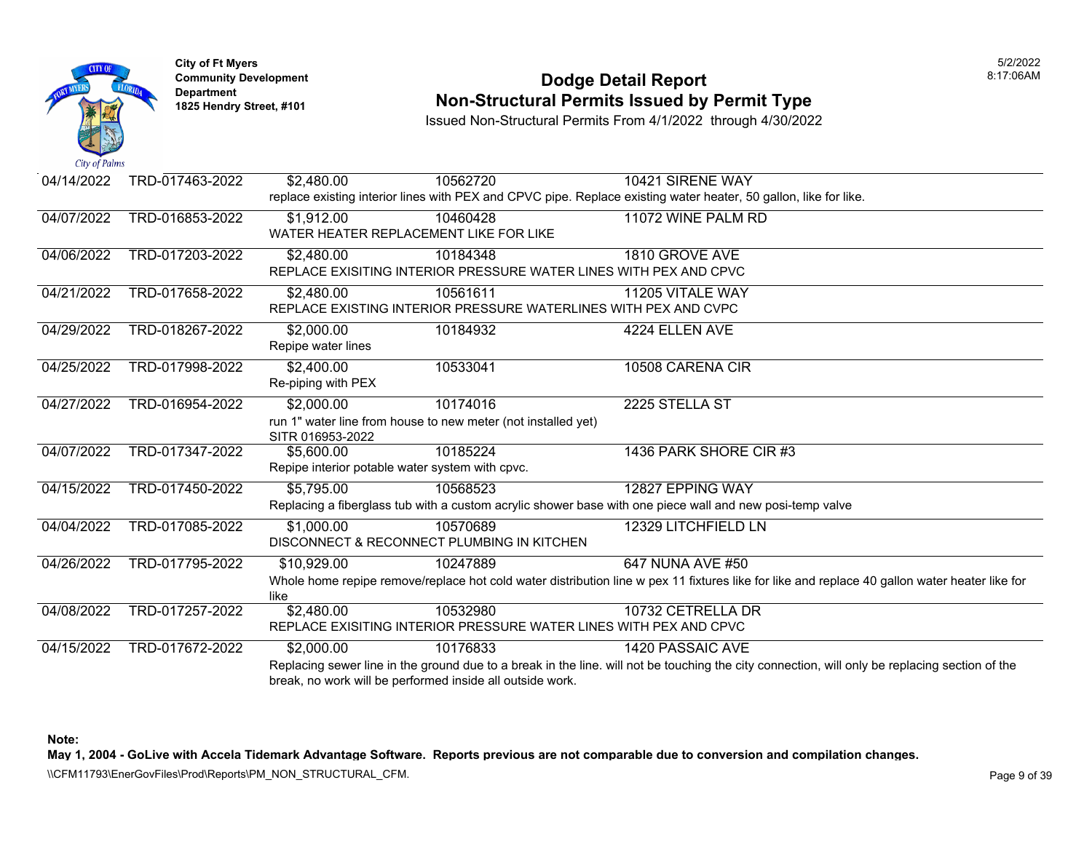

### **Community Development Dodge Detail Report** 8:17:06AM **1825 Non-Structural Permits Issued by Permit Type**

Issued Non-Structural Permits From 4/1/2022 through 4/30/2022

| 04/14/2022 | TRD-017463-2022 | \$2,480.00             | 10562720                                                      | 10421 SIRENE WAY                                                                                                                               |
|------------|-----------------|------------------------|---------------------------------------------------------------|------------------------------------------------------------------------------------------------------------------------------------------------|
|            |                 |                        |                                                               | replace existing interior lines with PEX and CPVC pipe. Replace existing water heater, 50 gallon, like for like.                               |
| 04/07/2022 | TRD-016853-2022 | \$1,912.00             | 10460428                                                      | 11072 WINE PALM RD                                                                                                                             |
|            |                 |                        | WATER HEATER REPLACEMENT LIKE FOR LIKE                        |                                                                                                                                                |
| 04/06/2022 | TRD-017203-2022 | \$2,480.00             | 10184348                                                      | 1810 GROVE AVE                                                                                                                                 |
|            |                 |                        |                                                               | REPLACE EXISITING INTERIOR PRESSURE WATER LINES WITH PEX AND CPVC                                                                              |
| 04/21/2022 | TRD-017658-2022 | \$2,480.00             | 10561611                                                      | 11205 VITALE WAY                                                                                                                               |
|            |                 |                        |                                                               | REPLACE EXISTING INTERIOR PRESSURE WATERLINES WITH PEX AND CVPC                                                                                |
| 04/29/2022 | TRD-018267-2022 | \$2,000.00             | 10184932                                                      | 4224 ELLEN AVE                                                                                                                                 |
|            |                 | Repipe water lines     |                                                               |                                                                                                                                                |
| 04/25/2022 | TRD-017998-2022 | \$2,400.00             | 10533041                                                      | 10508 CARENA CIR                                                                                                                               |
|            |                 | Re-piping with PEX     |                                                               |                                                                                                                                                |
| 04/27/2022 | TRD-016954-2022 | \$2,000.00             | 10174016                                                      | 2225 STELLA ST                                                                                                                                 |
|            |                 |                        | run 1" water line from house to new meter (not installed yet) |                                                                                                                                                |
|            |                 | SITR 016953-2022       |                                                               |                                                                                                                                                |
| 04/07/2022 | TRD-017347-2022 | \$5,600.00             | 10185224                                                      | 1436 PARK SHORE CIR #3                                                                                                                         |
|            |                 |                        | Repipe interior potable water system with cpvc.               |                                                                                                                                                |
| 04/15/2022 | TRD-017450-2022 | $\overline{$5,795.00}$ | 10568523                                                      | 12827 EPPING WAY                                                                                                                               |
|            |                 |                        |                                                               | Replacing a fiberglass tub with a custom acrylic shower base with one piece wall and new posi-temp valve                                       |
| 04/04/2022 | TRD-017085-2022 | \$1,000.00             | 10570689                                                      | 12329 LITCHFIELD LN                                                                                                                            |
|            |                 |                        | DISCONNECT & RECONNECT PLUMBING IN KITCHEN                    |                                                                                                                                                |
| 04/26/2022 | TRD-017795-2022 | \$10,929.00            | 10247889                                                      | 647 NUNA AVE #50                                                                                                                               |
|            |                 |                        |                                                               | Whole home repipe remove/replace hot cold water distribution line w pex 11 fixtures like for like and replace 40 gallon water heater like for  |
|            |                 | like                   |                                                               |                                                                                                                                                |
| 04/08/2022 | TRD-017257-2022 | \$2,480.00             | 10532980                                                      | 10732 CETRELLA DR                                                                                                                              |
|            |                 |                        |                                                               | REPLACE EXISITING INTERIOR PRESSURE WATER LINES WITH PEX AND CPVC                                                                              |
| 04/15/2022 | TRD-017672-2022 | \$2,000.00             | 10176833                                                      | 1420 PASSAIC AVE                                                                                                                               |
|            |                 |                        |                                                               | Replacing sewer line in the ground due to a break in the line. will not be touching the city connection, will only be replacing section of the |
|            |                 |                        | break, no work will be performed inside all outside work.     |                                                                                                                                                |

**Note:** 

**May 1, 2004 - GoLive with Accela Tidemark Advantage Software. Reports previous are not comparable due to conversion and compilation changes.** 

\\CFM11793\EnerGovFiles\Prod\Reports\PM\_NON\_STRUCTURAL\_CFM.<br>Page 9 of 39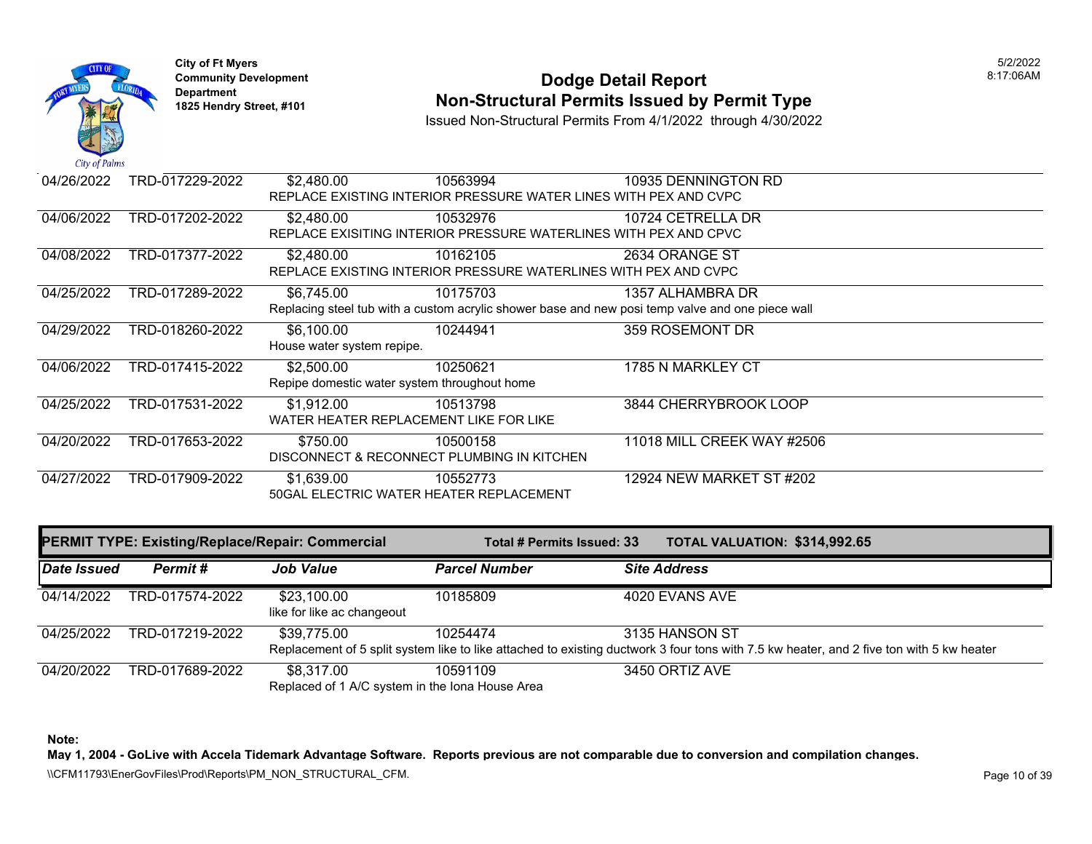

## **Community Development 18:17:06AM**<br>
Dodge Detail Report **Non-Structural Permits Issued by Permit Type** 1825 Hendry Street, #101 **1825 Hendry Street, #101**

Issued Non-Structural Permits From 4/1/2022 through 4/30/2022

| 04/26/2022 | TRD-017229-2022 | \$2,480.00                                   | 10563994                                                         | 10935 DENNINGTON RD                                                                              |
|------------|-----------------|----------------------------------------------|------------------------------------------------------------------|--------------------------------------------------------------------------------------------------|
|            |                 |                                              | REPLACE EXISTING INTERIOR PRESSURE WATER LINES WITH PEX AND CVPC |                                                                                                  |
| 04/06/2022 | TRD-017202-2022 | \$2,480.00                                   | 10532976                                                         | 10724 CETRELLA DR                                                                                |
|            |                 |                                              | REPLACE EXISITING INTERIOR PRESSURE WATERLINES WITH PEX AND CPVC |                                                                                                  |
| 04/08/2022 | TRD-017377-2022 | \$2,480,00                                   | 10162105                                                         | 2634 ORANGE ST                                                                                   |
|            |                 |                                              | REPLACE EXISTING INTERIOR PRESSURE WATERLINES WITH PEX AND CVPC  |                                                                                                  |
| 04/25/2022 | TRD-017289-2022 | \$6,745.00                                   | 10175703                                                         | 1357 ALHAMBRA DR                                                                                 |
|            |                 |                                              |                                                                  | Replacing steel tub with a custom acrylic shower base and new posi temp valve and one piece wall |
| 04/29/2022 | TRD-018260-2022 | \$6,100.00                                   | 10244941                                                         | 359 ROSEMONT DR                                                                                  |
|            |                 | House water system repipe.                   |                                                                  |                                                                                                  |
| 04/06/2022 | TRD-017415-2022 | \$2,500.00                                   | 10250621                                                         | 1785 N MARKLEY CT                                                                                |
|            |                 | Repipe domestic water system throughout home |                                                                  |                                                                                                  |
| 04/25/2022 | TRD-017531-2022 | \$1,912.00                                   | 10513798                                                         | 3844 CHERRYBROOK LOOP                                                                            |
|            |                 | WATER HEATER REPLACEMENT LIKE FOR LIKE       |                                                                  |                                                                                                  |
| 04/20/2022 | TRD-017653-2022 | \$750.00                                     | 10500158                                                         | 11018 MILL CREEK WAY #2506                                                                       |
|            |                 | DISCONNECT & RECONNECT PLUMBING IN KITCHEN   |                                                                  |                                                                                                  |
| 04/27/2022 | TRD-017909-2022 | \$1,639.00                                   | 10552773                                                         | 12924 NEW MARKET ST #202                                                                         |
|            |                 | 50GAL ELECTRIC WATER HEATER REPLACEMENT      |                                                                  |                                                                                                  |

| <b>PERMIT TYPE: Existing/Replace/Repair: Commercial</b> |                 |                                                               | Total # Permits Issued: 33 | TOTAL VALUATION: \$314,992.65                                                                                                                              |
|---------------------------------------------------------|-----------------|---------------------------------------------------------------|----------------------------|------------------------------------------------------------------------------------------------------------------------------------------------------------|
| Date Issued                                             | Permit#         | <b>Job Value</b>                                              | <b>Parcel Number</b>       | <b>Site Address</b>                                                                                                                                        |
| 04/14/2022                                              | TRD-017574-2022 | \$23,100.00<br>like for like ac changeout                     | 10185809                   | 4020 EVANS AVE                                                                                                                                             |
| 04/25/2022                                              | TRD-017219-2022 | \$39,775.00                                                   | 10254474                   | 3135 HANSON ST<br>Replacement of 5 split system like to like attached to existing ductwork 3 four tons with 7.5 kw heater, and 2 five ton with 5 kw heater |
| 04/20/2022                                              | TRD-017689-2022 | \$8.317.00<br>Replaced of 1 A/C system in the Iona House Area | 10591109                   | 3450 ORTIZ AVE                                                                                                                                             |

**Note:** 

**May 1, 2004 - GoLive with Accela Tidemark Advantage Software. Reports previous are not comparable due to conversion and compilation changes.** 

\\CFM11793\EnerGovFiles\Prod\Reports\PM\_NON\_STRUCTURAL\_CFM.<br>Rage 10 of 39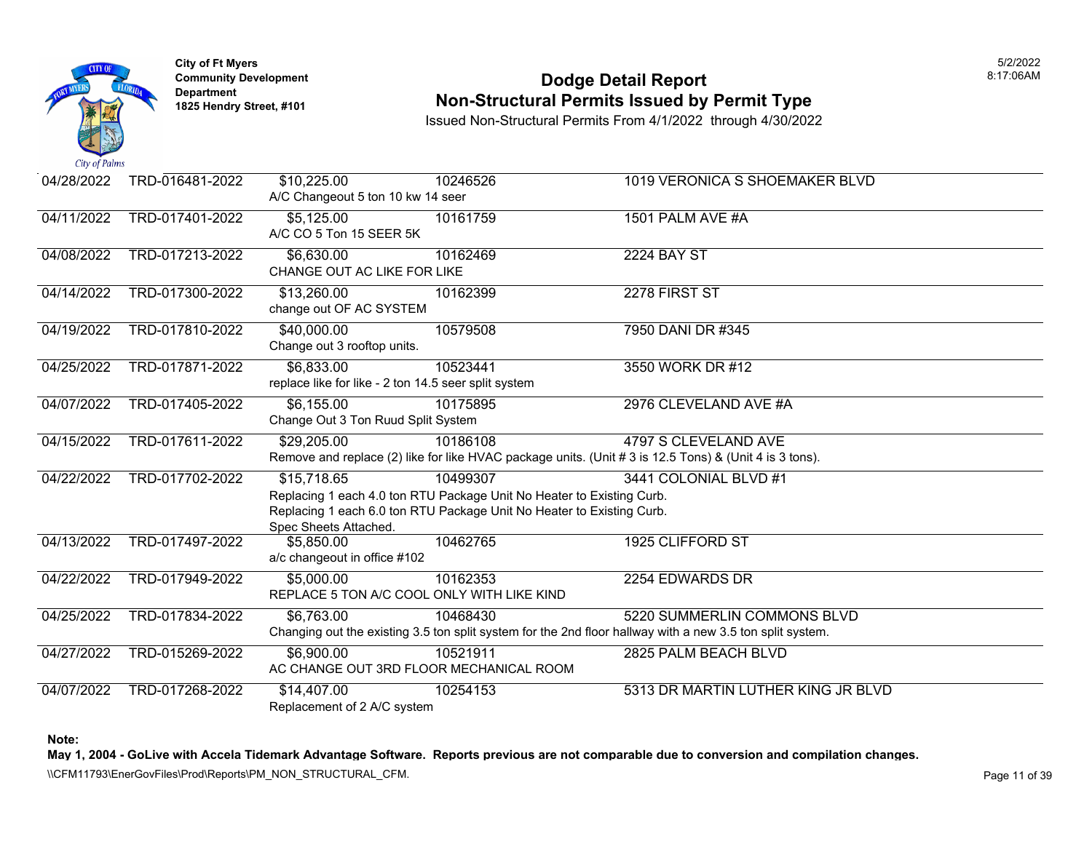

### **Community Development Dodge Detail Report** 8:17:06AM **Non-Structural Permits Issued by Permit Type**

Issued Non-Structural Permits From 4/1/2022 through 4/30/2022

| 04/28/2022 | TRD-016481-2022 | \$10,225.00                                          | 10246526                                                              | 1019 VERONICA S SHOEMAKER BLVD                                                                            |
|------------|-----------------|------------------------------------------------------|-----------------------------------------------------------------------|-----------------------------------------------------------------------------------------------------------|
|            |                 | A/C Changeout 5 ton 10 kw 14 seer                    |                                                                       |                                                                                                           |
| 04/11/2022 | TRD-017401-2022 | \$5,125.00                                           | 10161759                                                              | 1501 PALM AVE #A                                                                                          |
|            |                 | A/C CO 5 Ton 15 SEER 5K                              |                                                                       |                                                                                                           |
| 04/08/2022 | TRD-017213-2022 | \$6,630.00                                           | 10162469                                                              | <b>2224 BAY ST</b>                                                                                        |
|            |                 | CHANGE OUT AC LIKE FOR LIKE                          |                                                                       |                                                                                                           |
| 04/14/2022 | TRD-017300-2022 | \$13,260.00                                          | 10162399                                                              | 2278 FIRST ST                                                                                             |
|            |                 | change out OF AC SYSTEM                              |                                                                       |                                                                                                           |
| 04/19/2022 | TRD-017810-2022 | \$40,000.00                                          | 10579508                                                              | 7950 DANI DR #345                                                                                         |
|            |                 | Change out 3 rooftop units.                          |                                                                       |                                                                                                           |
| 04/25/2022 | TRD-017871-2022 | \$6,833.00                                           | 10523441                                                              | 3550 WORK DR #12                                                                                          |
|            |                 | replace like for like - 2 ton 14.5 seer split system |                                                                       |                                                                                                           |
| 04/07/2022 | TRD-017405-2022 | \$6,155.00                                           | 10175895                                                              | 2976 CLEVELAND AVE #A                                                                                     |
|            |                 | Change Out 3 Ton Ruud Split System                   |                                                                       |                                                                                                           |
| 04/15/2022 | TRD-017611-2022 | \$29,205.00                                          | 10186108                                                              | 4797 S CLEVELAND AVE                                                                                      |
|            |                 |                                                      |                                                                       | Remove and replace (2) like for like HVAC package units. (Unit # 3 is 12.5 Tons) & (Unit 4 is 3 tons).    |
| 04/22/2022 | TRD-017702-2022 | \$15,718.65                                          | 10499307                                                              | 3441 COLONIAL BLVD #1                                                                                     |
|            |                 |                                                      | Replacing 1 each 4.0 ton RTU Package Unit No Heater to Existing Curb. |                                                                                                           |
|            |                 |                                                      | Replacing 1 each 6.0 ton RTU Package Unit No Heater to Existing Curb. |                                                                                                           |
|            |                 | Spec Sheets Attached.                                |                                                                       |                                                                                                           |
| 04/13/2022 | TRD-017497-2022 | \$5,850.00                                           | 10462765                                                              | 1925 CLIFFORD ST                                                                                          |
|            |                 | a/c changeout in office #102                         |                                                                       |                                                                                                           |
| 04/22/2022 | TRD-017949-2022 | \$5,000.00                                           | 10162353                                                              | 2254 EDWARDS DR                                                                                           |
|            |                 | REPLACE 5 TON A/C COOL ONLY WITH LIKE KIND           |                                                                       |                                                                                                           |
| 04/25/2022 | TRD-017834-2022 | \$6,763.00                                           | 10468430                                                              | 5220 SUMMERLIN COMMONS BLVD                                                                               |
|            |                 |                                                      |                                                                       | Changing out the existing 3.5 ton split system for the 2nd floor hallway with a new 3.5 ton split system. |
| 04/27/2022 | TRD-015269-2022 | \$6,900.00                                           | 10521911                                                              | 2825 PALM BEACH BLVD                                                                                      |
|            |                 | AC CHANGE OUT 3RD FLOOR MECHANICAL ROOM              |                                                                       |                                                                                                           |
| 04/07/2022 | TRD-017268-2022 | \$14,407.00                                          | 10254153                                                              | 5313 DR MARTIN LUTHER KING JR BLVD                                                                        |
|            |                 | Replacement of 2 A/C system                          |                                                                       |                                                                                                           |

**Note:** 

**May 1, 2004 - GoLive with Accela Tidemark Advantage Software. Reports previous are not comparable due to conversion and compilation changes.** 

\\CFM11793\EnerGovFiles\Prod\Reports\PM\_NON\_STRUCTURAL\_CFM.<br>Page 11 of 39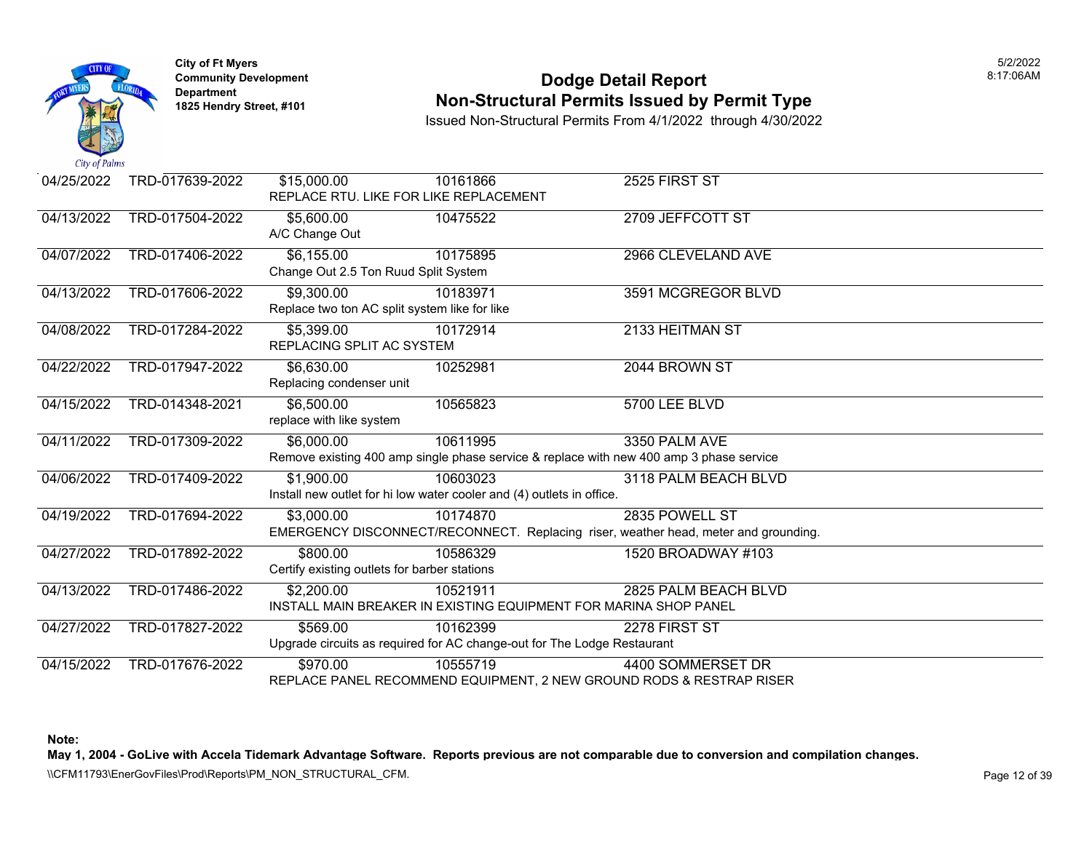

### **Community Development Dodge Detail Report** 8:17:06AM **Non-Structural Permits Issued by Permit Type**

Issued Non-Structural Permits From 4/1/2022 through 4/30/2022

| 04/25/2022 | TRD-017639-2022 | \$15,000.00<br>REPLACE RTU. LIKE FOR LIKE REPLACEMENT       | 10161866                                                                                            | 2525 FIRST ST                                                                                         |
|------------|-----------------|-------------------------------------------------------------|-----------------------------------------------------------------------------------------------------|-------------------------------------------------------------------------------------------------------|
| 04/13/2022 | TRD-017504-2022 | \$5,600.00<br>A/C Change Out                                | 10475522                                                                                            | 2709 JEFFCOTT ST                                                                                      |
| 04/07/2022 | TRD-017406-2022 | \$6,155.00<br>Change Out 2.5 Ton Ruud Split System          | 10175895                                                                                            | 2966 CLEVELAND AVE                                                                                    |
| 04/13/2022 | TRD-017606-2022 | \$9,300.00<br>Replace two ton AC split system like for like | 10183971                                                                                            | 3591 MCGREGOR BLVD                                                                                    |
| 04/08/2022 | TRD-017284-2022 | \$5,399.00<br>REPLACING SPLIT AC SYSTEM                     | 10172914                                                                                            | 2133 HEITMAN ST                                                                                       |
| 04/22/2022 | TRD-017947-2022 | \$6,630.00<br>Replacing condenser unit                      | 10252981                                                                                            | 2044 BROWN ST                                                                                         |
| 04/15/2022 | TRD-014348-2021 | \$6,500.00<br>replace with like system                      | 10565823                                                                                            | 5700 LEE BLVD                                                                                         |
| 04/11/2022 | TRD-017309-2022 | \$6,000.00                                                  | 10611995<br>Remove existing 400 amp single phase service & replace with new 400 amp 3 phase service | 3350 PALM AVE                                                                                         |
| 04/06/2022 | TRD-017409-2022 | \$1,900.00                                                  | 10603023<br>Install new outlet for hi low water cooler and (4) outlets in office.                   | 3118 PALM BEACH BLVD                                                                                  |
| 04/19/2022 | TRD-017694-2022 | \$3,000.00                                                  | 10174870                                                                                            | 2835 POWELL ST<br>EMERGENCY DISCONNECT/RECONNECT. Replacing riser, weather head, meter and grounding. |
| 04/27/2022 | TRD-017892-2022 | \$800.00<br>Certify existing outlets for barber stations    | 10586329                                                                                            | 1520 BROADWAY #103                                                                                    |
| 04/13/2022 | TRD-017486-2022 | \$2,200.00                                                  | 10521911<br>INSTALL MAIN BREAKER IN EXISTING EQUIPMENT FOR MARINA SHOP PANEL                        | 2825 PALM BEACH BLVD                                                                                  |
| 04/27/2022 | TRD-017827-2022 | \$569.00                                                    | 10162399<br>Upgrade circuits as required for AC change-out for The Lodge Restaurant                 | 2278 FIRST ST                                                                                         |
| 04/15/2022 | TRD-017676-2022 | \$970.00                                                    | 10555719<br>REPLACE PANEL RECOMMEND EQUIPMENT, 2 NEW GROUND RODS & RESTRAP RISER                    | 4400 SOMMERSET DR                                                                                     |

**Note:** 

**May 1, 2004 - GoLive with Accela Tidemark Advantage Software. Reports previous are not comparable due to conversion and compilation changes.**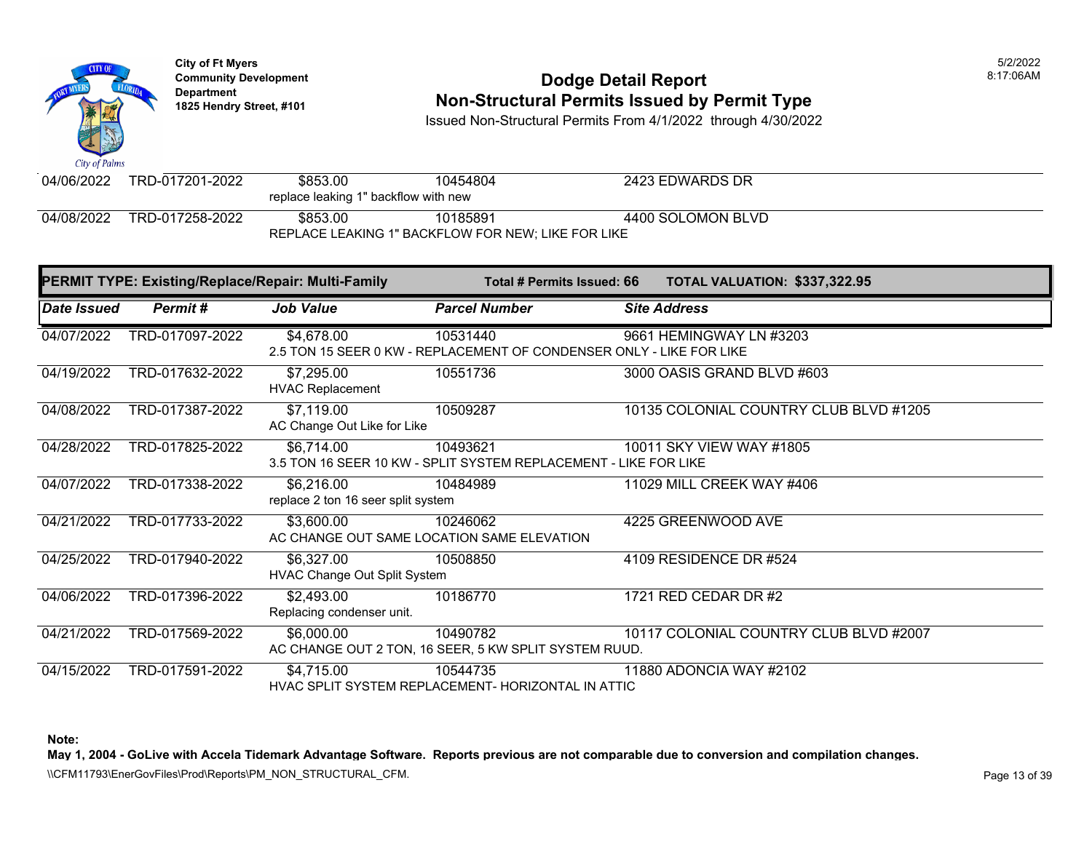

# **Community Development 18:17:06AM**<br>
Dodge Detail Report **Non-Structural Permits Issued by Permit Type** 1825 Hendry Street, #101 **1825 Hendry Street, #101**

Issued Non-Structural Permits From 4/1/2022 through 4/30/2022

| $\mathbf{u}$ as $\mathbf{v}$ and $\mathbf{v}$      |                 |          |          |                   |  |
|----------------------------------------------------|-----------------|----------|----------|-------------------|--|
| 04/06/2022                                         | TRD-017201-2022 | \$853.00 | 10454804 | 2423 EDWARDS DR   |  |
| replace leaking 1" backflow with new               |                 |          |          |                   |  |
| 04/08/2022                                         | TRD-017258-2022 | \$853.00 | 10185891 | 4400 SOLOMON BLVD |  |
| REPLACE LEAKING 1" BACKFLOW FOR NEW; LIKE FOR LIKE |                 |          |          |                   |  |

| <b>PERMIT TYPE: Existing/Replace/Repair: Multi-Family</b> |                 |                                                   | Total # Permits Issued: 66                                                       |                     | TOTAL VALUATION: \$337,322.95          |
|-----------------------------------------------------------|-----------------|---------------------------------------------------|----------------------------------------------------------------------------------|---------------------|----------------------------------------|
| Date Issued                                               | Permit#         | Job Value                                         | <b>Parcel Number</b>                                                             | <b>Site Address</b> |                                        |
| 04/07/2022                                                | TRD-017097-2022 | \$4,678.00                                        | 10531440<br>2.5 TON 15 SEER 0 KW - REPLACEMENT OF CONDENSER ONLY - LIKE FOR LIKE |                     | 9661 HEMINGWAY LN #3203                |
| 04/19/2022                                                | TRD-017632-2022 | \$7,295.00<br><b>HVAC Replacement</b>             | 10551736                                                                         |                     | 3000 OASIS GRAND BLVD #603             |
| 04/08/2022                                                | TRD-017387-2022 | \$7,119.00<br>AC Change Out Like for Like         | 10509287                                                                         |                     | 10135 COLONIAL COUNTRY CLUB BLVD #1205 |
| 04/28/2022                                                | TRD-017825-2022 | \$6,714.00                                        | 10493621<br>3.5 TON 16 SEER 10 KW - SPLIT SYSTEM REPLACEMENT - LIKE FOR LIKE     |                     | 10011 SKY VIEW WAY #1805               |
| 04/07/2022                                                | TRD-017338-2022 | \$6,216.00<br>replace 2 ton 16 seer split system  | 10484989                                                                         |                     | 11029 MILL CREEK WAY #406              |
| 04/21/2022                                                | TRD-017733-2022 | \$3,600.00                                        | 10246062<br>AC CHANGE OUT SAME LOCATION SAME ELEVATION                           |                     | 4225 GREENWOOD AVE                     |
| 04/25/2022                                                | TRD-017940-2022 | \$6,327.00<br><b>HVAC Change Out Split System</b> | 10508850                                                                         |                     | 4109 RESIDENCE DR #524                 |
| 04/06/2022                                                | TRD-017396-2022 | \$2,493.00<br>Replacing condenser unit.           | 10186770                                                                         |                     | 1721 RED CEDAR DR #2                   |
| 04/21/2022                                                | TRD-017569-2022 | \$6,000.00                                        | 10490782<br>AC CHANGE OUT 2 TON, 16 SEER, 5 KW SPLIT SYSTEM RUUD.                |                     | 10117 COLONIAL COUNTRY CLUB BLVD #2007 |
| 04/15/2022                                                | TRD-017591-2022 | \$4,715.00                                        | 10544735<br>HVAC SPLIT SYSTEM REPLACEMENT- HORIZONTAL IN ATTIC                   |                     | 11880 ADONCIA WAY #2102                |

**Note:** 

**May 1, 2004 - GoLive with Accela Tidemark Advantage Software. Reports previous are not comparable due to conversion and compilation changes.** 

\\CFM11793\EnerGovFiles\Prod\Reports\PM\_NON\_STRUCTURAL\_CFM.<br>Rage 13 of 39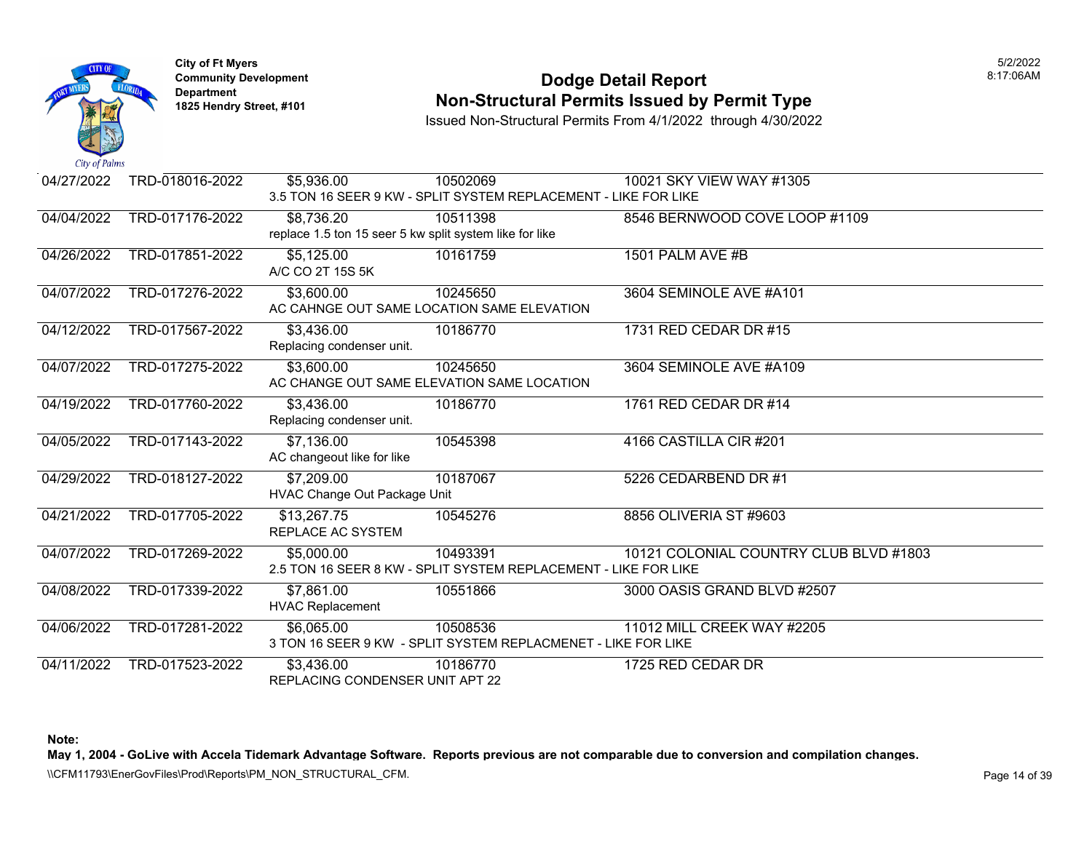

### **Community Development Dodge Detail Report** 8:17:06AM **Non-Structural Permits Issued by Permit Type**

Issued Non-Structural Permits From 4/1/2022 through 4/30/2022

| 04/27/2022 | TRD-018016-2022 | \$5,936.00                                              | 10502069                                                        | 10021 SKY VIEW WAY #1305               |
|------------|-----------------|---------------------------------------------------------|-----------------------------------------------------------------|----------------------------------------|
|            |                 |                                                         | 3.5 TON 16 SEER 9 KW - SPLIT SYSTEM REPLACEMENT - LIKE FOR LIKE |                                        |
| 04/04/2022 | TRD-017176-2022 | \$8,736.20                                              | 10511398                                                        | 8546 BERNWOOD COVE LOOP #1109          |
|            |                 | replace 1.5 ton 15 seer 5 kw split system like for like |                                                                 |                                        |
| 04/26/2022 | TRD-017851-2022 | \$5,125.00                                              | 10161759                                                        | 1501 PALM AVE #B                       |
|            |                 | A/C CO 2T 15S 5K                                        |                                                                 |                                        |
| 04/07/2022 | TRD-017276-2022 | \$3,600.00                                              | 10245650                                                        | 3604 SEMINOLE AVE #A101                |
|            |                 |                                                         | AC CAHNGE OUT SAME LOCATION SAME ELEVATION                      |                                        |
| 04/12/2022 | TRD-017567-2022 | \$3,436.00                                              | 10186770                                                        | 1731 RED CEDAR DR #15                  |
|            |                 | Replacing condenser unit.                               |                                                                 |                                        |
| 04/07/2022 | TRD-017275-2022 | \$3,600.00                                              | 10245650                                                        | 3604 SEMINOLE AVE #A109                |
|            |                 |                                                         | AC CHANGE OUT SAME ELEVATION SAME LOCATION                      |                                        |
| 04/19/2022 | TRD-017760-2022 | \$3,436.00                                              | 10186770                                                        | 1761 RED CEDAR DR #14                  |
|            |                 | Replacing condenser unit.                               |                                                                 |                                        |
| 04/05/2022 | TRD-017143-2022 | \$7,136.00                                              | 10545398                                                        | 4166 CASTILLA CIR#201                  |
|            |                 | AC changeout like for like                              |                                                                 |                                        |
| 04/29/2022 | TRD-018127-2022 | \$7,209.00                                              | 10187067                                                        | 5226 CEDARBEND DR #1                   |
|            |                 | HVAC Change Out Package Unit                            |                                                                 |                                        |
| 04/21/2022 | TRD-017705-2022 | \$13,267.75                                             | 10545276                                                        | 8856 OLIVERIA ST #9603                 |
|            |                 | REPLACE AC SYSTEM                                       |                                                                 |                                        |
| 04/07/2022 | TRD-017269-2022 | \$5,000.00                                              | 10493391                                                        | 10121 COLONIAL COUNTRY CLUB BLVD #1803 |
|            |                 |                                                         | 2.5 TON 16 SEER 8 KW - SPLIT SYSTEM REPLACEMENT - LIKE FOR LIKE |                                        |
| 04/08/2022 | TRD-017339-2022 | \$7,861.00                                              | 10551866                                                        | 3000 OASIS GRAND BLVD #2507            |
|            |                 | <b>HVAC Replacement</b>                                 |                                                                 |                                        |
| 04/06/2022 | TRD-017281-2022 | \$6,065.00                                              | 10508536                                                        | 11012 MILL CREEK WAY #2205             |
|            |                 |                                                         | 3 TON 16 SEER 9 KW - SPLIT SYSTEM REPLACMENET - LIKE FOR LIKE   |                                        |
| 04/11/2022 | TRD-017523-2022 | \$3,436.00                                              | 10186770                                                        | 1725 RED CEDAR DR                      |
|            |                 | REPLACING CONDENSER UNIT APT 22                         |                                                                 |                                        |

**Note:** 

**May 1, 2004 - GoLive with Accela Tidemark Advantage Software. Reports previous are not comparable due to conversion and compilation changes.** 

\\CFM11793\EnerGovFiles\Prod\Reports\PM\_NON\_STRUCTURAL\_CFM.<br>Rage 14 of 39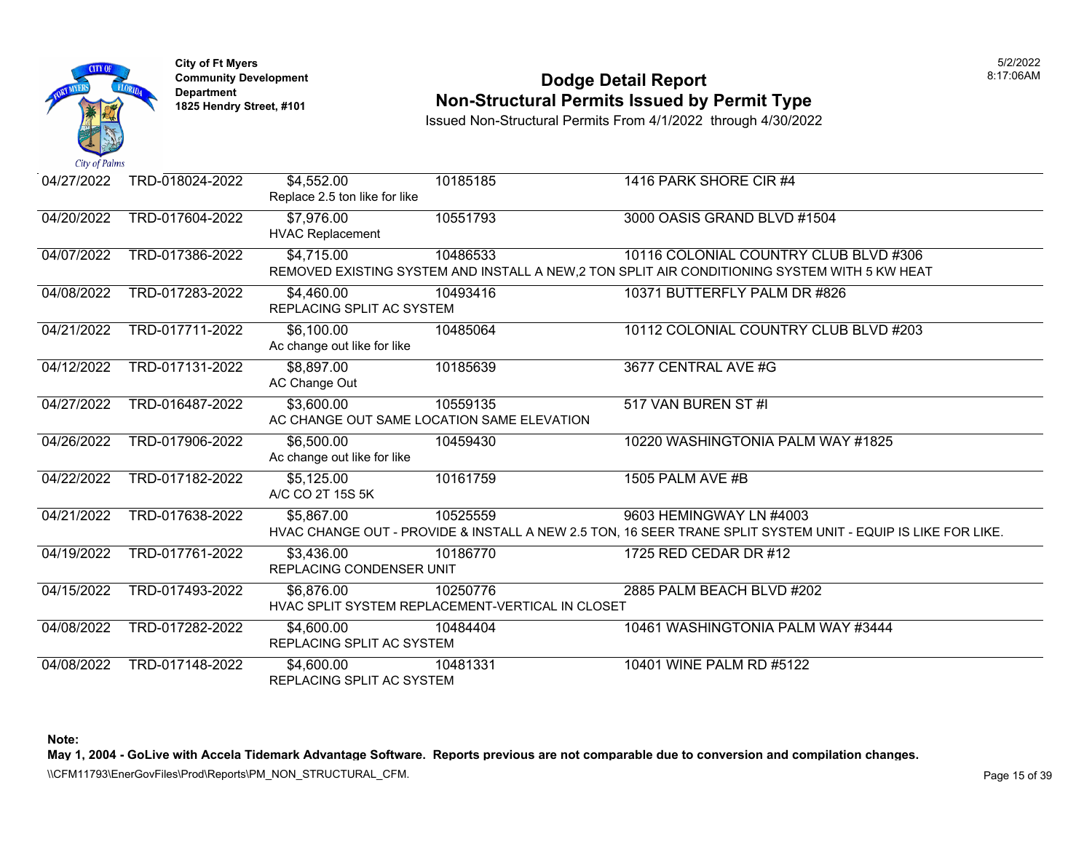

### **Community Development Dodge Detail Report** 8:17:06AM **Non-Structural Permits Issued by Permit Type**

Issued Non-Structural Permits From 4/1/2022 through 4/30/2022

| 04/27/2022 | TRD-018024-2022 | \$4,552.00<br>Replace 2.5 ton like for like | 10185185                                                     | 1416 PARK SHORE CIR #4                                                                                                                  |
|------------|-----------------|---------------------------------------------|--------------------------------------------------------------|-----------------------------------------------------------------------------------------------------------------------------------------|
| 04/20/2022 | TRD-017604-2022 | \$7,976.00<br><b>HVAC Replacement</b>       | 10551793                                                     | 3000 OASIS GRAND BLVD #1504                                                                                                             |
| 04/07/2022 | TRD-017386-2022 | \$4,715.00                                  | 10486533                                                     | 10116 COLONIAL COUNTRY CLUB BLVD #306<br>REMOVED EXISTING SYSTEM AND INSTALL A NEW, 2 TON SPLIT AIR CONDITIONING SYSTEM WITH 5 KW HEAT  |
| 04/08/2022 | TRD-017283-2022 | \$4,460.00<br>REPLACING SPLIT AC SYSTEM     | 10493416                                                     | 10371 BUTTERFLY PALM DR #826                                                                                                            |
| 04/21/2022 | TRD-017711-2022 | \$6,100.00<br>Ac change out like for like   | 10485064                                                     | 10112 COLONIAL COUNTRY CLUB BLVD #203                                                                                                   |
| 04/12/2022 | TRD-017131-2022 | \$8,897.00<br>AC Change Out                 | 10185639                                                     | 3677 CENTRAL AVE #G                                                                                                                     |
| 04/27/2022 | TRD-016487-2022 | \$3,600.00                                  | 10559135<br>AC CHANGE OUT SAME LOCATION SAME ELEVATION       | 517 VAN BUREN ST #I                                                                                                                     |
| 04/26/2022 | TRD-017906-2022 | \$6,500.00<br>Ac change out like for like   | 10459430                                                     | 10220 WASHINGTONIA PALM WAY #1825                                                                                                       |
| 04/22/2022 | TRD-017182-2022 | \$5,125.00<br>A/C CO 2T 15S 5K              | 10161759                                                     | 1505 PALM AVE #B                                                                                                                        |
| 04/21/2022 | TRD-017638-2022 | \$5,867.00                                  | 10525559                                                     | 9603 HEMINGWAY LN #4003<br>HVAC CHANGE OUT - PROVIDE & INSTALL A NEW 2.5 TON, 16 SEER TRANE SPLIT SYSTEM UNIT - EQUIP IS LIKE FOR LIKE. |
| 04/19/2022 | TRD-017761-2022 | \$3,436.00<br>REPLACING CONDENSER UNIT      | 10186770                                                     | 1725 RED CEDAR DR #12                                                                                                                   |
| 04/15/2022 | TRD-017493-2022 | \$6,876.00                                  | 10250776<br>HVAC SPLIT SYSTEM REPLACEMENT-VERTICAL IN CLOSET | 2885 PALM BEACH BLVD #202                                                                                                               |
| 04/08/2022 | TRD-017282-2022 | \$4,600.00<br>REPLACING SPLIT AC SYSTEM     | 10484404                                                     | 10461 WASHINGTONIA PALM WAY #3444                                                                                                       |
| 04/08/2022 | TRD-017148-2022 | \$4,600.00<br>REPLACING SPLIT AC SYSTEM     | 10481331                                                     | 10401 WINE PALM RD #5122                                                                                                                |

**Note:** 

**May 1, 2004 - GoLive with Accela Tidemark Advantage Software. Reports previous are not comparable due to conversion and compilation changes.** 

\\CFM11793\EnerGovFiles\Prod\Reports\PM\_NON\_STRUCTURAL\_CFM.<br>Rage 15 of 39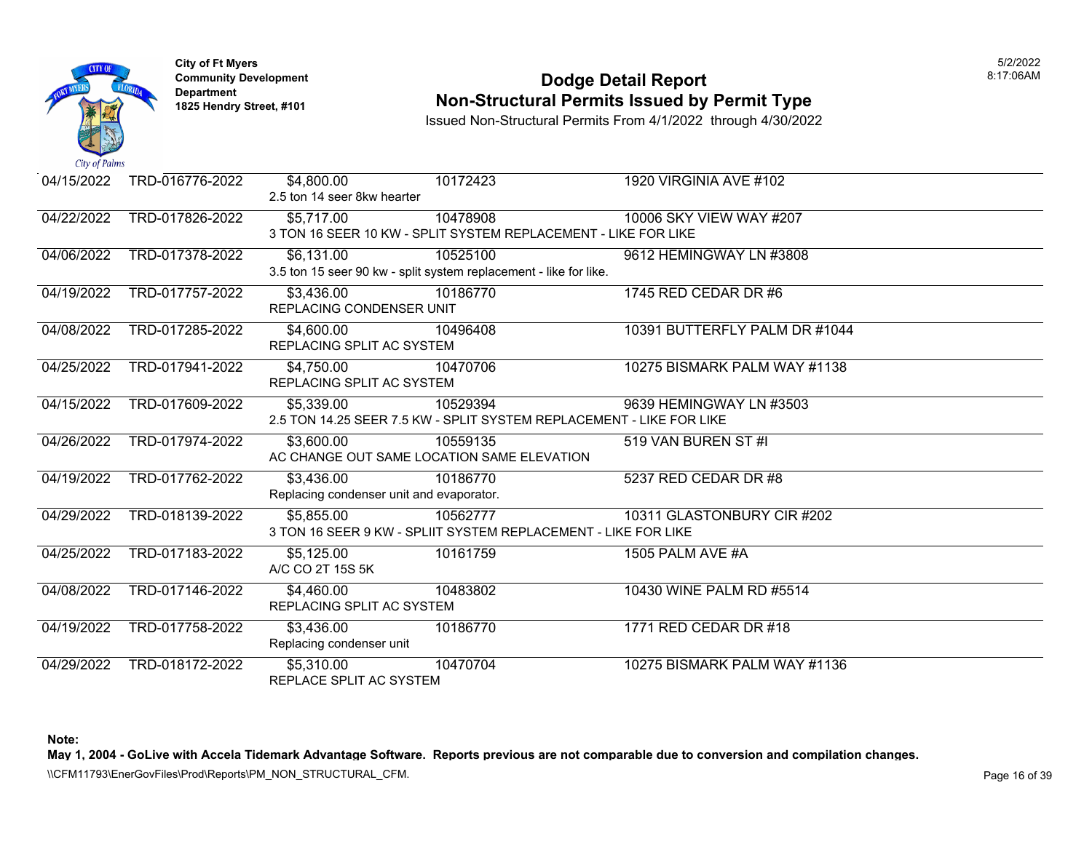

### **Community Development Dodge Detail Report** 8:17:06AM **Non-Structural Permits Issued by Permit Type**

Issued Non-Structural Permits From 4/1/2022 through 4/30/2022

| 04/15/2022 | TRD-016776-2022 | \$4,800.00<br>2.5 ton 14 seer 8kw hearter | 10172423                                                             | 1920 VIRGINIA AVE #102        |
|------------|-----------------|-------------------------------------------|----------------------------------------------------------------------|-------------------------------|
| 04/22/2022 | TRD-017826-2022 | \$5,717.00                                | 10478908                                                             | 10006 SKY VIEW WAY #207       |
|            |                 |                                           | 3 TON 16 SEER 10 KW - SPLIT SYSTEM REPLACEMENT - LIKE FOR LIKE       |                               |
| 04/06/2022 | TRD-017378-2022 | \$6,131.00                                | 10525100                                                             | 9612 HEMINGWAY LN #3808       |
|            |                 |                                           | 3.5 ton 15 seer 90 kw - split system replacement - like for like.    |                               |
| 04/19/2022 | TRD-017757-2022 | \$3,436.00                                | 10186770                                                             | 1745 RED CEDAR DR #6          |
|            |                 | REPLACING CONDENSER UNIT                  |                                                                      |                               |
| 04/08/2022 | TRD-017285-2022 | \$4,600.00                                | 10496408                                                             | 10391 BUTTERFLY PALM DR #1044 |
|            |                 | REPLACING SPLIT AC SYSTEM                 |                                                                      |                               |
| 04/25/2022 | TRD-017941-2022 | \$4,750.00                                | 10470706                                                             | 10275 BISMARK PALM WAY #1138  |
|            |                 | REPLACING SPLIT AC SYSTEM                 |                                                                      |                               |
| 04/15/2022 | TRD-017609-2022 | \$5,339.00                                | 10529394                                                             | 9639 HEMINGWAY LN #3503       |
|            |                 |                                           | 2.5 TON 14.25 SEER 7.5 KW - SPLIT SYSTEM REPLACEMENT - LIKE FOR LIKE |                               |
| 04/26/2022 | TRD-017974-2022 | \$3,600.00                                | 10559135                                                             | 519 VAN BUREN ST #I           |
|            |                 |                                           | AC CHANGE OUT SAME LOCATION SAME ELEVATION                           |                               |
| 04/19/2022 | TRD-017762-2022 | \$3,436.00                                | 10186770                                                             | 5237 RED CEDAR DR #8          |
|            |                 | Replacing condenser unit and evaporator.  |                                                                      |                               |
| 04/29/2022 | TRD-018139-2022 | \$5,855.00                                | 10562777                                                             | 10311 GLASTONBURY CIR #202    |
|            |                 |                                           | 3 TON 16 SEER 9 KW - SPLIIT SYSTEM REPLACEMENT - LIKE FOR LIKE       |                               |
| 04/25/2022 | TRD-017183-2022 | \$5,125.00                                | 10161759                                                             | 1505 PALM AVE #A              |
|            |                 | A/C CO 2T 15S 5K                          |                                                                      |                               |
| 04/08/2022 | TRD-017146-2022 | \$4,460.00                                | 10483802                                                             | 10430 WINE PALM RD #5514      |
|            |                 | REPLACING SPLIT AC SYSTEM                 |                                                                      |                               |
| 04/19/2022 | TRD-017758-2022 | \$3,436.00                                | 10186770                                                             | 1771 RED CEDAR DR #18         |
|            |                 | Replacing condenser unit                  |                                                                      |                               |
| 04/29/2022 | TRD-018172-2022 | \$5,310.00                                | 10470704                                                             | 10275 BISMARK PALM WAY #1136  |
|            |                 | REPLACE SPLIT AC SYSTEM                   |                                                                      |                               |

**Note:** 

**May 1, 2004 - GoLive with Accela Tidemark Advantage Software. Reports previous are not comparable due to conversion and compilation changes.** 

\\CFM11793\EnerGovFiles\Prod\Reports\PM\_NON\_STRUCTURAL\_CFM.<br>Rage 16 of 39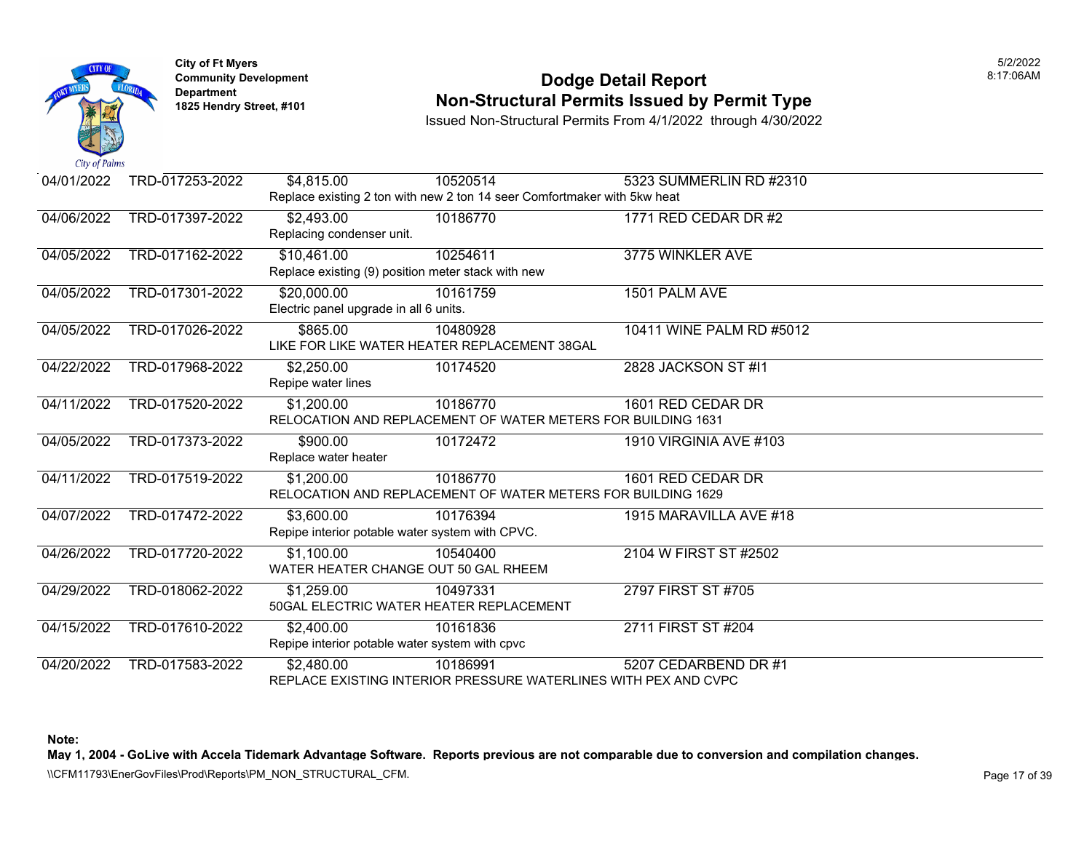

### **Community Development Dodge Detail Report** 8:17:06AM **Non-Structural Permits Issued by Permit Type**

Issued Non-Structural Permits From 4/1/2022 through 4/30/2022

| 04/01/2022 | TRD-017253-2022 | \$4,815.00                                         | 10520514                                                                 | 5323 SUMMERLIN RD #2310  |  |
|------------|-----------------|----------------------------------------------------|--------------------------------------------------------------------------|--------------------------|--|
|            |                 |                                                    | Replace existing 2 ton with new 2 ton 14 seer Comfortmaker with 5kw heat |                          |  |
| 04/06/2022 | TRD-017397-2022 | \$2,493.00                                         | 10186770                                                                 | 1771 RED CEDAR DR #2     |  |
|            |                 | Replacing condenser unit.                          |                                                                          |                          |  |
| 04/05/2022 | TRD-017162-2022 | \$10,461.00                                        | 10254611                                                                 | 3775 WINKLER AVE         |  |
|            |                 | Replace existing (9) position meter stack with new |                                                                          |                          |  |
| 04/05/2022 | TRD-017301-2022 | \$20,000.00                                        | 10161759                                                                 | 1501 PALM AVE            |  |
|            |                 | Electric panel upgrade in all 6 units.             |                                                                          |                          |  |
| 04/05/2022 | TRD-017026-2022 | \$865.00                                           | 10480928                                                                 | 10411 WINE PALM RD #5012 |  |
|            |                 |                                                    | LIKE FOR LIKE WATER HEATER REPLACEMENT 38GAL                             |                          |  |
| 04/22/2022 | TRD-017968-2022 | \$2,250.00                                         | 10174520                                                                 | 2828 JACKSON ST #11      |  |
|            |                 | Repipe water lines                                 |                                                                          |                          |  |
| 04/11/2022 | TRD-017520-2022 | \$1,200.00                                         | 10186770                                                                 | 1601 RED CEDAR DR        |  |
|            |                 |                                                    | RELOCATION AND REPLACEMENT OF WATER METERS FOR BUILDING 1631             |                          |  |
| 04/05/2022 | TRD-017373-2022 | \$900.00                                           | 10172472                                                                 | 1910 VIRGINIA AVE #103   |  |
|            |                 | Replace water heater                               |                                                                          |                          |  |
| 04/11/2022 | TRD-017519-2022 | \$1,200.00                                         | 10186770                                                                 | 1601 RED CEDAR DR        |  |
|            |                 |                                                    | RELOCATION AND REPLACEMENT OF WATER METERS FOR BUILDING 1629             |                          |  |
| 04/07/2022 | TRD-017472-2022 | \$3,600.00                                         | 10176394                                                                 | 1915 MARAVILLA AVE #18   |  |
|            |                 | Repipe interior potable water system with CPVC.    |                                                                          |                          |  |
| 04/26/2022 | TRD-017720-2022 | $\overline{31}$ , 100.00                           | 10540400                                                                 | 2104 W FIRST ST #2502    |  |
|            |                 | WATER HEATER CHANGE OUT 50 GAL RHEEM               |                                                                          |                          |  |
| 04/29/2022 | TRD-018062-2022 | \$1,259.00                                         | 10497331                                                                 | 2797 FIRST ST #705       |  |
|            |                 | 50GAL ELECTRIC WATER HEATER REPLACEMENT            |                                                                          |                          |  |
| 04/15/2022 | TRD-017610-2022 | \$2,400.00                                         | 10161836                                                                 | 2711 FIRST ST #204       |  |
|            |                 | Repipe interior potable water system with cpvc     |                                                                          |                          |  |
| 04/20/2022 | TRD-017583-2022 | \$2,480.00                                         | 10186991                                                                 | 5207 CEDARBEND DR #1     |  |
|            |                 |                                                    | REPLACE EXISTING INTERIOR PRESSURE WATERLINES WITH PEX AND CVPC          |                          |  |

**Note:** 

**May 1, 2004 - GoLive with Accela Tidemark Advantage Software. Reports previous are not comparable due to conversion and compilation changes.** 

\\CFM11793\EnerGovFiles\Prod\Reports\PM\_NON\_STRUCTURAL\_CFM.<br>Page 17 of 39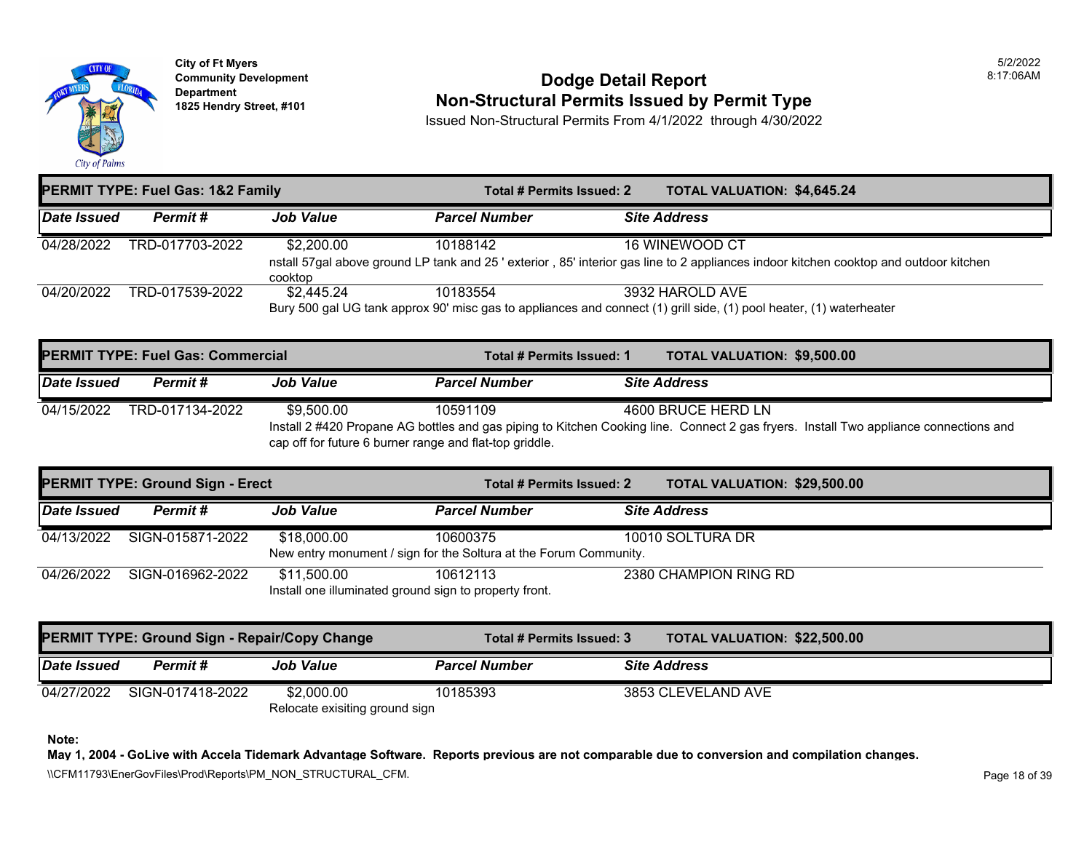

### **Community Development Dodge Detail Report** 8:17:06AM **1825 Non-Structural Permits Issued by Permit Type**

Issued Non-Structural Permits From 4/1/2022 through 4/30/2022

| <b>PERMIT TYPE: Fuel Gas: 1&amp;2 Family</b> |                 |                       | Total # Permits Issued: 2 | <b>TOTAL VALUATION: \$4,645.24</b>                                                                                                                     |
|----------------------------------------------|-----------------|-----------------------|---------------------------|--------------------------------------------------------------------------------------------------------------------------------------------------------|
| Date Issued                                  | Permit#         | <b>Job Value</b>      | <b>Parcel Number</b>      | <b>Site Address</b>                                                                                                                                    |
| 04/28/2022                                   | TRD-017703-2022 | \$2,200.00<br>cooktop | 10188142                  | 16 WINEWOOD CT<br>nstall 57gal above ground LP tank and 25 'exterior, 85' interior gas line to 2 appliances indoor kitchen cooktop and outdoor kitchen |
| 04/20/2022                                   | TRD-017539-2022 | \$2,445.24            | 10183554                  | 3932 HAROLD AVE<br>Bury 500 gal UG tank approx 90' misc gas to appliances and connect (1) grill side, (1) pool heater, (1) waterheater                 |

| <b>PERMIT TYPE: Fuel Gas: Commercial</b> |                 |                                                                                                                                                                                                  | Total # Permits Issued: 1 | <b>TOTAL VALUATION: \$9,500.00</b> |
|------------------------------------------|-----------------|--------------------------------------------------------------------------------------------------------------------------------------------------------------------------------------------------|---------------------------|------------------------------------|
| Date Issued                              | Permit #        | <b>Job Value</b>                                                                                                                                                                                 | <b>Parcel Number</b>      | <b>Site Address</b>                |
| 04/15/2022                               | TRD-017134-2022 | \$9.500.00                                                                                                                                                                                       | 10591109                  | 4600 BRUCE HERD LN                 |
|                                          |                 | Install 2 #420 Propane AG bottles and gas piping to Kitchen Cooking line. Connect 2 gas fryers. Install Two appliance connections and<br>cap off for future 6 burner range and flat-top griddle. |                           |                                    |

| <b>PERMIT TYPE: Ground Sign - Erect</b> |                  |                                                                       | Total # Permits Issued: 2                                                     | TOTAL VALUATION: \$29,500.00 |
|-----------------------------------------|------------------|-----------------------------------------------------------------------|-------------------------------------------------------------------------------|------------------------------|
| Date Issued                             | Permit #         | <b>Job Value</b>                                                      | <b>Parcel Number</b>                                                          | <b>Site Address</b>          |
| 04/13/2022                              | SIGN-015871-2022 | \$18,000.00                                                           | 10600375<br>New entry monument / sign for the Soltura at the Forum Community. | 10010 SOLTURA DR             |
| 04/26/2022                              | SIGN-016962-2022 | \$11,500.00<br>Install one illuminated ground sign to property front. | 10612113                                                                      | 2380 CHAMPION RING RD        |

| <b>PERMIT TYPE: Ground Sign - Repair/Copy Change</b> |                  |                                              | Total # Permits Issued: 3 | <b>TOTAL VALUATION: \$22,500.00</b> |
|------------------------------------------------------|------------------|----------------------------------------------|---------------------------|-------------------------------------|
| Date Issued                                          | Permit #         | <b>Job Value</b>                             | <b>Parcel Number</b>      | <b>Site Address</b>                 |
| 04/27/2022                                           | SIGN-017418-2022 | \$2,000.00<br>Relocate exisiting ground sign | 10185393                  | 3853 CLEVELAND AVE                  |

**Note:** 

**May 1, 2004 - GoLive with Accela Tidemark Advantage Software. Reports previous are not comparable due to conversion and compilation changes.** 

\\CFM11793\EnerGovFiles\Prod\Reports\PM\_NON\_STRUCTURAL\_CFM.<br>Rage 18 of 39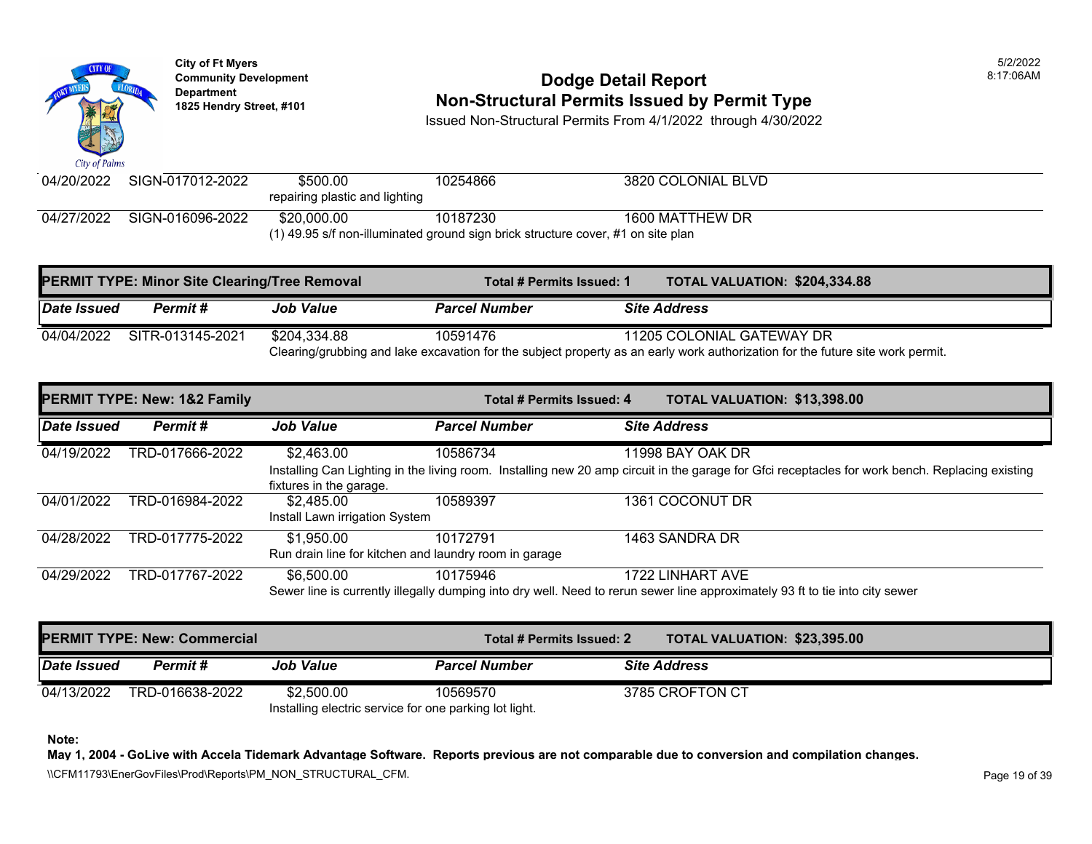

### **Community Development** 8:17:06AM **1825 Non-Structural Permits Issued by Permit Type**

Issued Non-Structural Permits From 4/1/2022 through 4/30/2022

| $\mathbf{u}$ as $\mathbf{v}$ and $\mathbf{v}$                                    |                  |                                |          |                    |  |
|----------------------------------------------------------------------------------|------------------|--------------------------------|----------|--------------------|--|
| 04/20/2022                                                                       | SIGN-017012-2022 | \$500.00                       | 10254866 | 3820 COLONIAL BLVD |  |
|                                                                                  |                  | repairing plastic and lighting |          |                    |  |
| 04/27/2022                                                                       | SIGN-016096-2022 | \$20,000.00                    | 10187230 | 1600 MATTHEW DR    |  |
| (1) 49.95 s/f non-illuminated ground sign brick structure cover, #1 on site plan |                  |                                |          |                    |  |

| <b>PERMIT TYPE: Minor Site Clearing/Tree Removal</b> |                  |                  | Total # Permits Issued: 1 | <b>TOTAL VALUATION: \$204,334.88</b>                                                                                                                        |
|------------------------------------------------------|------------------|------------------|---------------------------|-------------------------------------------------------------------------------------------------------------------------------------------------------------|
| Date Issued                                          | <b>Permit #</b>  | <b>Job Value</b> | <b>Parcel Number</b>      | <b>Site Address</b>                                                                                                                                         |
| 04/04/2022                                           | SITR-013145-2021 | \$204.334.88     | 10591476                  | 11205 COLONIAL GATEWAY DR<br>Clearing/grubbing and lake excavation for the subject property as an early work authorization for the future site work permit. |

| <b>PERMIT TYPE: New: 1&amp;2 Family</b> |                 | Total # Permits Issued: 4                             |                      | <b>TOTAL VALUATION: \$13,398.00</b>                                                                                                             |
|-----------------------------------------|-----------------|-------------------------------------------------------|----------------------|-------------------------------------------------------------------------------------------------------------------------------------------------|
| Date Issued                             | Permit#         | <b>Job Value</b>                                      | <b>Parcel Number</b> | <b>Site Address</b>                                                                                                                             |
| 04/19/2022                              | TRD-017666-2022 | \$2,463.00                                            | 10586734             | 11998 BAY OAK DR                                                                                                                                |
|                                         |                 |                                                       |                      | Installing Can Lighting in the living room. Installing new 20 amp circuit in the garage for Gfci receptacles for work bench. Replacing existing |
|                                         |                 | fixtures in the garage.                               |                      |                                                                                                                                                 |
| 04/01/2022                              | TRD-016984-2022 | \$2.485.00                                            | 10589397             | 1361 COCONUT DR                                                                                                                                 |
|                                         |                 | Install Lawn irrigation System                        |                      |                                                                                                                                                 |
| 04/28/2022                              | TRD-017775-2022 | \$1,950.00                                            | 10172791             | 1463 SANDRA DR                                                                                                                                  |
|                                         |                 | Run drain line for kitchen and laundry room in garage |                      |                                                                                                                                                 |
| 04/29/2022                              | TRD-017767-2022 | \$6,500.00                                            | 10175946             | 1722 LINHART AVE                                                                                                                                |
|                                         |                 |                                                       |                      | Sewer line is currently illegally dumping into dry well. Need to rerun sewer line approximately 93 ft to tie into city sewer                    |

| <b>PERMIT TYPE: New: Commercial</b>                    |                 |                  | Total # Permits Issued: 2 |  | <b>TOTAL VALUATION: \$23,395.00</b> |  |
|--------------------------------------------------------|-----------------|------------------|---------------------------|--|-------------------------------------|--|
| Date Issued                                            | Permit#         | <b>Job Value</b> | <b>Parcel Number</b>      |  | <b>Site Address</b>                 |  |
| 04/13/2022                                             | TRD-016638-2022 | \$2,500.00       | 10569570                  |  | 3785 CROFTON CT                     |  |
| Installing electric service for one parking lot light. |                 |                  |                           |  |                                     |  |

**Note:** 

**May 1, 2004 - GoLive with Accela Tidemark Advantage Software. Reports previous are not comparable due to conversion and compilation changes.**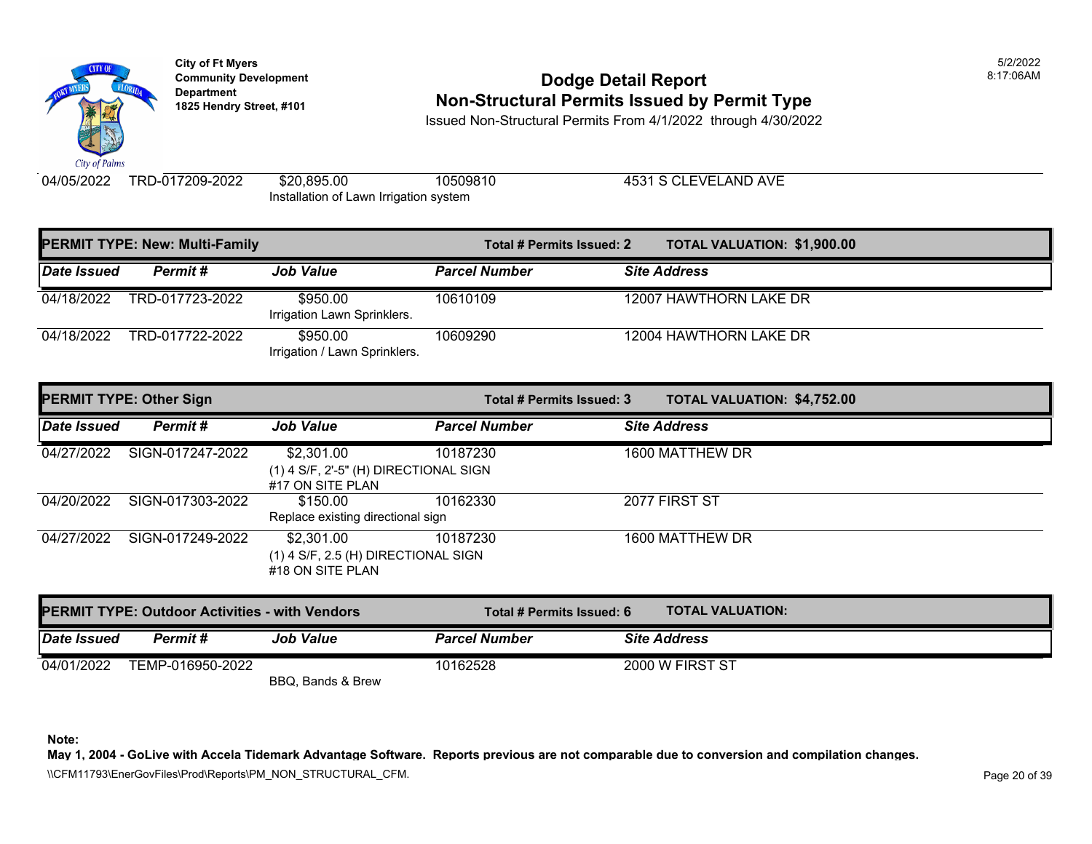

**City of Ft Myers** 5/2/2022 Department<br>1825 Hendry Street, #101

### **Community Development 8:17:06AM 1825 Non-Structural Permits Issued by Permit Type**

Issued Non-Structural Permits From 4/1/2022 through 4/30/2022

04/05/2022 TRD-017209-2022 \$20,895.00

Installation of Lawn Irrigation system

10509810 4531 S CLEVELAND AVE

| <b>PERMIT TYPE: New: Multi-Family</b> |                 | Total # Permits Issued: 2                 | <b>TOTAL VALUATION: \$1,900.00</b> |                        |
|---------------------------------------|-----------------|-------------------------------------------|------------------------------------|------------------------|
| Date Issued                           | Permit#         | <b>Job Value</b>                          | <b>Parcel Number</b>               | <b>Site Address</b>    |
| 04/18/2022                            | TRD-017723-2022 | \$950.00<br>Irrigation Lawn Sprinklers.   | 10610109                           | 12007 HAWTHORN LAKE DR |
| 04/18/2022                            | TRD-017722-2022 | \$950.00<br>Irrigation / Lawn Sprinklers. | 10609290                           | 12004 HAWTHORN LAKE DR |

| <b>PERMIT TYPE: Other Sign</b> |                  |                                                                           | Total # Permits Issued: 3 | <b>TOTAL VALUATION: \$4,752.00</b> |
|--------------------------------|------------------|---------------------------------------------------------------------------|---------------------------|------------------------------------|
| <b>Date Issued</b>             | Permit#          | <b>Job Value</b>                                                          | <b>Parcel Number</b>      | <b>Site Address</b>                |
| 04/27/2022                     | SIGN-017247-2022 | \$2,301.00<br>$(1)$ 4 S/F, 2'-5" (H) DIRECTIONAL SIGN<br>#17 ON SITE PLAN | 10187230                  | 1600 MATTHEW DR                    |
| 04/20/2022                     | SIGN-017303-2022 | \$150.00<br>Replace existing directional sign                             | 10162330                  | 2077 FIRST ST                      |
| 04/27/2022                     | SIGN-017249-2022 | \$2,301.00<br>$(1)$ 4 S/F, 2.5 (H) DIRECTIONAL SIGN<br>#18 ON SITE PLAN   | 10187230                  | 1600 MATTHEW DR                    |

| <b>PERMIT TYPE: Outdoor Activities - with Vendors</b> |                  |                   | Total # Permits Issued: 6 | <b>TOTAL VALUATION:</b> |
|-------------------------------------------------------|------------------|-------------------|---------------------------|-------------------------|
| <i><b>Date Issued</b></i>                             | Permit #         | <b>Job Value</b>  | <b>Parcel Number</b>      | <b>Site Address</b>     |
| 04/01/2022                                            | TEMP-016950-2022 | BBQ, Bands & Brew | 10162528                  | 2000 W FIRST ST         |

**Note:** 

**May 1, 2004 - GoLive with Accela Tidemark Advantage Software. Reports previous are not comparable due to conversion and compilation changes.** 

\\CFM11793\EnerGovFiles\Prod\Reports\PM\_NON\_STRUCTURAL\_CFM.<br>Rage 20 of 39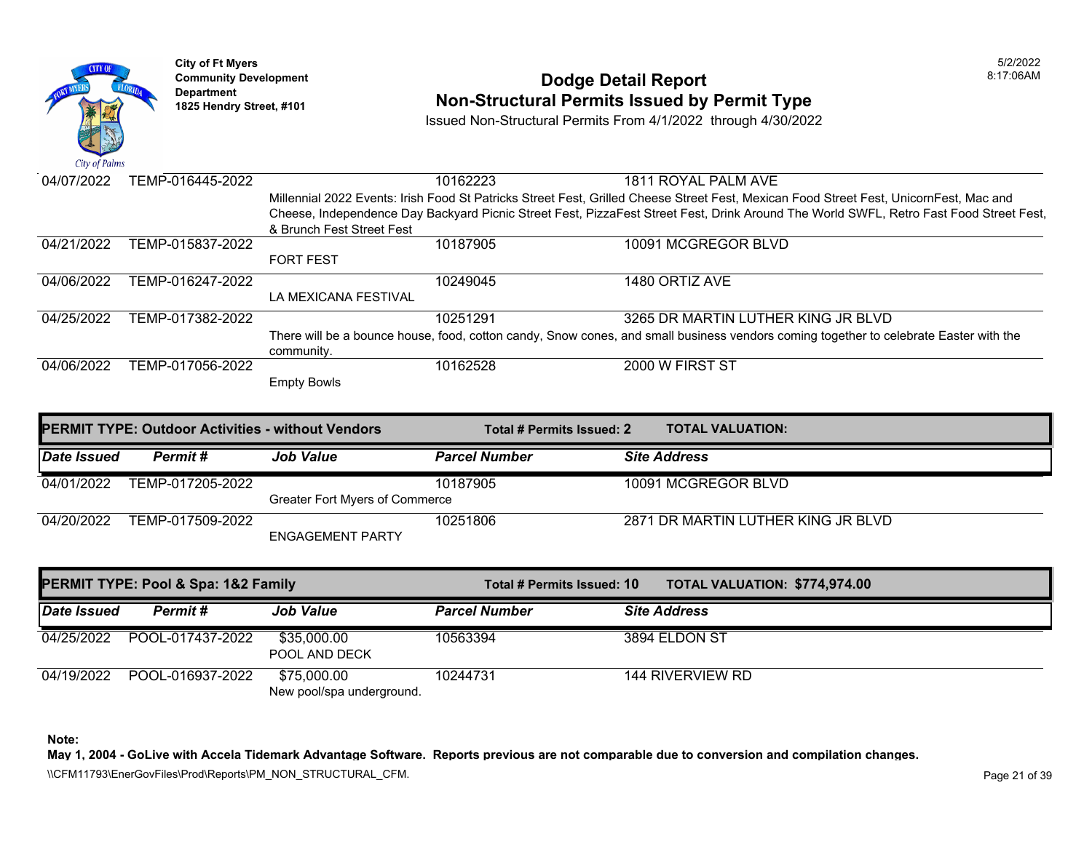City of Palms

**City of Ft Myers** 5/2/2022

## **Community Development 6:17:06AM**<br>
Dodge Detail Report **Permit Type**<br> **Bodge Detail Report Permit Type** 1825 Hendry Street, #101 **1825 Hendry Street, #101**

Issued Non-Structural Permits From 4/1/2022 through 4/30/2022

04/07/2022 TEMP-016445-2022 1820 10162223 10162223 1811 ROYAL PALM AVE 04/21/2022 TEMP-015837-2022 Millennial 2022 Events: Irish Food St Patricks Street Fest, Grilled Cheese Street Fest, Mexican Food Street Fest, UnicornFest, Mac and Cheese, Independence Day Backyard Picnic Street Fest, PizzaFest Street Fest, Drink Around The World SWFL, Retro Fast Food Street Fest, & Brunch Fest Street Fest FORT FEST 10187905 10091 MCGREGOR BLVD 04/06/2022 TEMP-016247-2022 LA MEXICANA FESTIVAL 10249045 1480 ORTIZ AVE 04/25/2022 TEMP-017382-2022 10251291 3265 DR MARTIN LUTHER KING JR BLVD 04/06/2022 TEMP-017056-2022 There will be a bounce house, food, cotton candy, Snow cones, and small business vendors coming together to celebrate Easter with the community. Empty Bowls 10162528 2000 W FIRST ST **PERMIT TYPE: Outdoor Activities - without Vendors The Constant Hermits Issued: 2 TOTAL VALUATION:** *Date Issued Permit # Job Value Parcel Number Site Address*  04/01/2022 TEMP-017205-2022 Greater Fort Myers of Commerce 10187905 10091 MCGREGOR BLVD 04/20/2022 TEMP-017509-2022 ENGAGEMENT PARTY 10251806 2871 DR MARTIN LUTHER KING JR BLVD **PERMIT TYPE: Pool & Spa: 1&2 Family Total # Permits Issued: 10 TOTAL VALUATION: \$774,974.00**  *Date Issued Permit # Job Value Parcel Number Site Address*  04/25/2022 POOL-017437-2022 \$35,000.00 10563394 3894 ELDON ST POOL AND DECK 04/19/2022 POOL-016937-2022 \$75,000.00 10244731 144 RIVERVIEW RD New pool/spa underground.

**Note:** 

**May 1, 2004 - GoLive with Accela Tidemark Advantage Software. Reports previous are not comparable due to conversion and compilation changes.** 

\\CFM11793\EnerGovFiles\Prod\Reports\PM\_NON\_STRUCTURAL\_CFM.rpt Page 21 of 39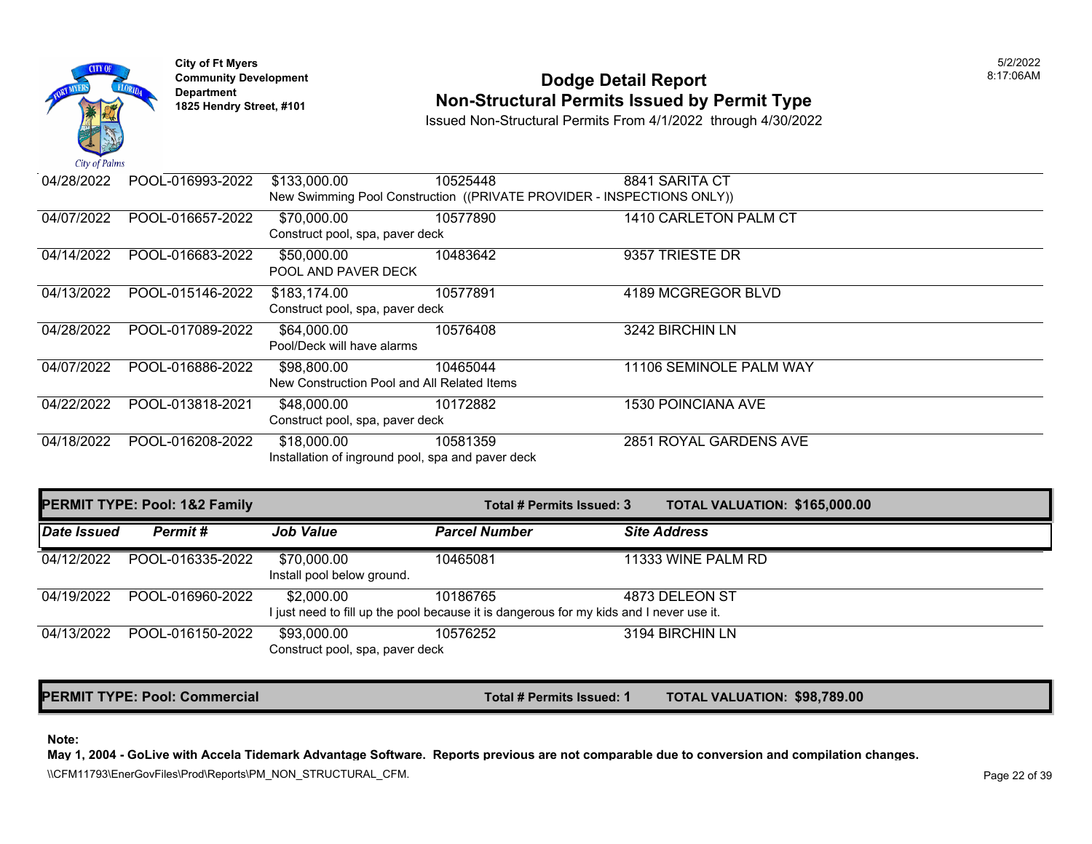



## **Community Development 18:17:06AM**<br>
Dodge Detail Report **Non-Structural Permits Issued by Permit Type** 1825 Hendry Street, #101 **1825 Hendry Street, #101**

Issued Non-Structural Permits From 4/1/2022 through 4/30/2022

| 04/28/2022 | POOL-016993-2022 | \$133,000.00                                      | 10525448                                                               | 8841 SARITA CT            |
|------------|------------------|---------------------------------------------------|------------------------------------------------------------------------|---------------------------|
|            |                  |                                                   | New Swimming Pool Construction ((PRIVATE PROVIDER - INSPECTIONS ONLY)) |                           |
| 04/07/2022 | POOL-016657-2022 | \$70,000.00                                       | 10577890                                                               | 1410 CARLETON PALM CT     |
|            |                  | Construct pool, spa, paver deck                   |                                                                        |                           |
| 04/14/2022 | POOL-016683-2022 | \$50,000.00                                       | 10483642                                                               | 9357 TRIESTE DR           |
|            |                  | POOL AND PAVER DECK                               |                                                                        |                           |
| 04/13/2022 | POOL-015146-2022 | \$183,174.00                                      | 10577891                                                               | 4189 MCGREGOR BLVD        |
|            |                  | Construct pool, spa, paver deck                   |                                                                        |                           |
| 04/28/2022 | POOL-017089-2022 | \$64,000.00                                       | 10576408                                                               | 3242 BIRCHIN LN           |
|            |                  | Pool/Deck will have alarms                        |                                                                        |                           |
| 04/07/2022 | POOL-016886-2022 | \$98,800.00                                       | 10465044                                                               | 11106 SEMINOLE PALM WAY   |
|            |                  | New Construction Pool and All Related Items       |                                                                        |                           |
| 04/22/2022 | POOL-013818-2021 | \$48,000.00                                       | 10172882                                                               | <b>1530 POINCIANA AVE</b> |
|            |                  | Construct pool, spa, paver deck                   |                                                                        |                           |
| 04/18/2022 | POOL-016208-2022 | \$18,000.00                                       | 10581359                                                               | 2851 ROYAL GARDENS AVE    |
|            |                  | Installation of inground pool, spa and paver deck |                                                                        |                           |
|            |                  |                                                   |                                                                        |                           |

| <b>PERMIT TYPE: Pool: 1&amp;2 Family</b> |                  | Total # Permits Issued: 3                      | <b>TOTAL VALUATION: \$165,000.00</b>                                                                |                     |
|------------------------------------------|------------------|------------------------------------------------|-----------------------------------------------------------------------------------------------------|---------------------|
| <b>Date Issued</b>                       | Permit#          | <b>Job Value</b>                               | <b>Parcel Number</b>                                                                                | <b>Site Address</b> |
| 04/12/2022                               | POOL-016335-2022 | \$70,000.00<br>Install pool below ground.      | 10465081                                                                                            | 11333 WINE PALM RD  |
| 04/19/2022                               | POOL-016960-2022 | \$2,000.00                                     | 10186765<br>I just need to fill up the pool because it is dangerous for my kids and I never use it. | 4873 DELEON ST      |
| 04/13/2022                               | POOL-016150-2022 | \$93,000.00<br>Construct pool, spa, paver deck | 10576252                                                                                            | 3194 BIRCHIN LN     |

**PERMIT TYPE: Pool: Commercial Total # Permits Issued: 1 TOTAL VALUATION: \$98,789.00** 

**Note:** 

**May 1, 2004 - GoLive with Accela Tidemark Advantage Software. Reports previous are not comparable due to conversion and compilation changes.** 

\\CFM11793\EnerGovFiles\Prod\Reports\PM\_NON\_STRUCTURAL\_CFM.<br>Rage 22 of 39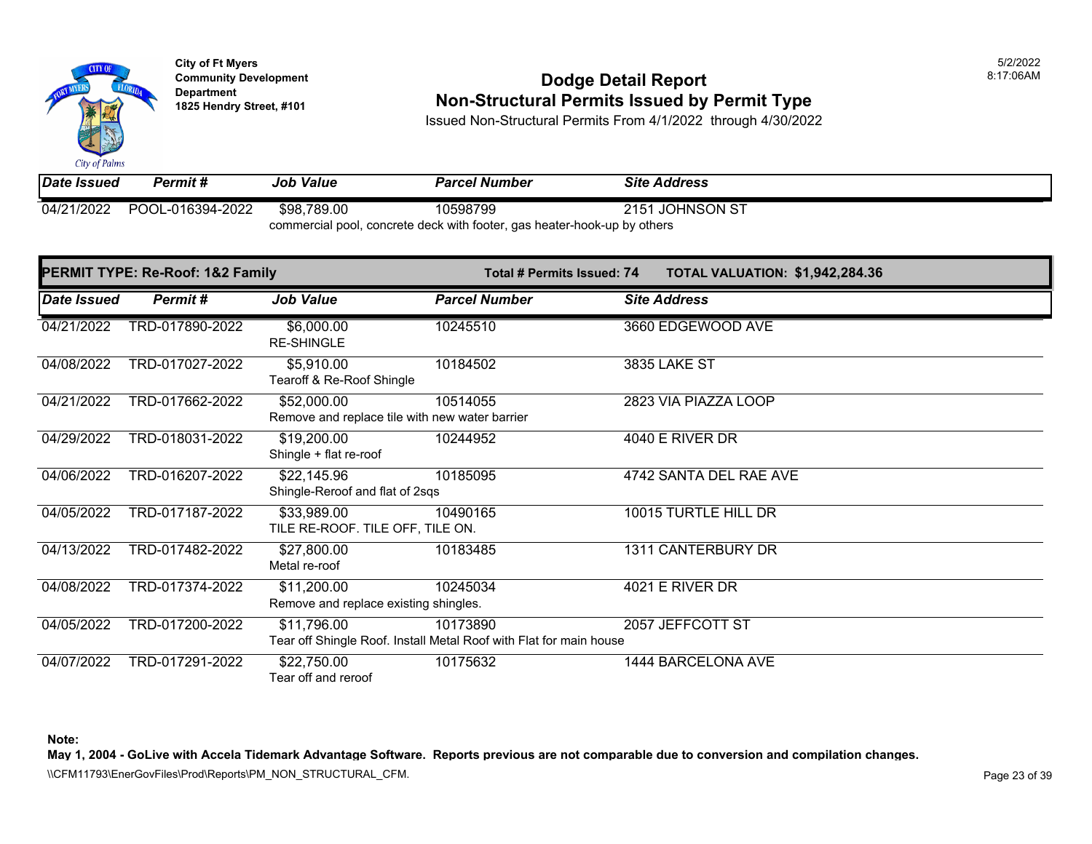City of Palms

**City of Ft Myers** 5/2/2022

## **Community Development 18:17:06AM**<br>
Dodge Detail Report **Non-Structural Permits Issued by Permit Type** 1825 Hendry Street, #101 **1825 Hendry Street, #101**

Issued Non-Structural Permits From 4/1/2022 through 4/30/2022

*Date Issued Permit # Job Value Parcel Number Site Address*  04/21/2022 POOL-016394-2022 \$98,789.00 10598799 2151 JOHNSON ST

commercial pool, concrete deck with footer, gas heater-hook-up by others

| PERMIT TYPE: Re-Roof: 1&2 Family |                 |                                                               | Total # Permits Issued: 74                                                     | <b>TOTAL VALUATION: \$1,942,284.36</b> |
|----------------------------------|-----------------|---------------------------------------------------------------|--------------------------------------------------------------------------------|----------------------------------------|
| <b>Date Issued</b>               | Permit#         | <b>Job Value</b>                                              | <b>Parcel Number</b>                                                           | <b>Site Address</b>                    |
| 04/21/2022                       | TRD-017890-2022 | \$6,000.00<br><b>RE-SHINGLE</b>                               | 10245510                                                                       | 3660 EDGEWOOD AVE                      |
| 04/08/2022                       | TRD-017027-2022 | \$5,910.00<br>Tearoff & Re-Roof Shingle                       | 10184502                                                                       | <b>3835 LAKE ST</b>                    |
| 04/21/2022                       | TRD-017662-2022 | \$52,000.00<br>Remove and replace tile with new water barrier | 10514055                                                                       | 2823 VIA PIAZZA LOOP                   |
| 04/29/2022                       | TRD-018031-2022 | \$19,200.00<br>Shingle + flat re-roof                         | 10244952                                                                       | 4040 E RIVER DR                        |
| 04/06/2022                       | TRD-016207-2022 | \$22,145.96<br>Shingle-Reroof and flat of 2sqs                | 10185095                                                                       | 4742 SANTA DEL RAE AVE                 |
| 04/05/2022                       | TRD-017187-2022 | \$33,989.00<br>TILE RE-ROOF. TILE OFF, TILE ON.               | 10490165                                                                       | 10015 TURTLE HILL DR                   |
| 04/13/2022                       | TRD-017482-2022 | \$27,800.00<br>Metal re-roof                                  | 10183485                                                                       | 1311 CANTERBURY DR                     |
| 04/08/2022                       | TRD-017374-2022 | \$11,200.00<br>Remove and replace existing shingles.          | 10245034                                                                       | 4021 E RIVER DR                        |
| 04/05/2022                       | TRD-017200-2022 | \$11,796.00                                                   | 10173890<br>Tear off Shingle Roof. Install Metal Roof with Flat for main house | 2057 JEFFCOTT ST                       |
| 04/07/2022                       | TRD-017291-2022 | \$22,750.00<br>Tear off and reroof                            | 10175632                                                                       | 1444 BARCELONA AVE                     |

**Note:** 

**May 1, 2004 - GoLive with Accela Tidemark Advantage Software. Reports previous are not comparable due to conversion and compilation changes.** 

\\CFM11793\EnerGovFiles\Prod\Reports\PM\_NON\_STRUCTURAL\_CFM.<br>Rage 23 of 39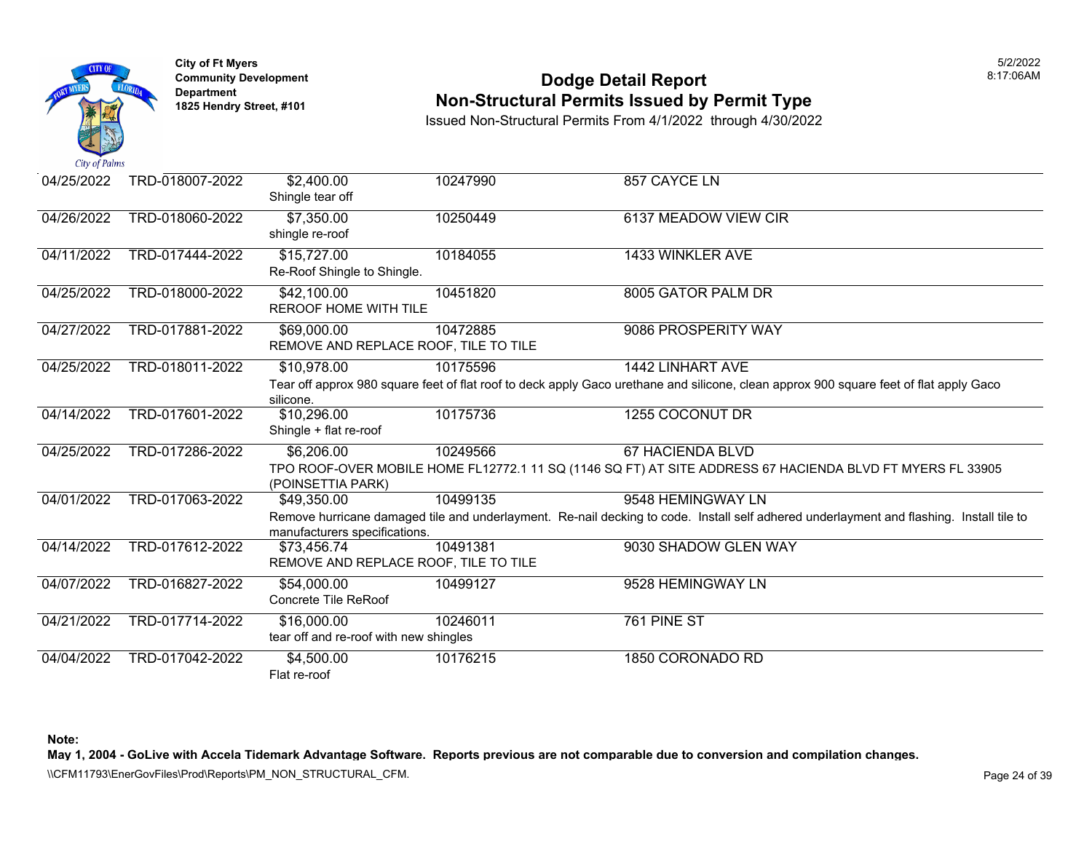

### **Community Development Dodge Detail Report** 8:17:06AM **Non-Structural Permits Issued by Permit Type**

Issued Non-Structural Permits From 4/1/2022 through 4/30/2022

| 04/25/2022 | TRD-018007-2022 | \$2,400.00<br>Shingle tear off                        | 10247990 | 857 CAYCE LN                                                                                                                                                  |
|------------|-----------------|-------------------------------------------------------|----------|---------------------------------------------------------------------------------------------------------------------------------------------------------------|
| 04/26/2022 | TRD-018060-2022 | \$7,350.00<br>shingle re-roof                         | 10250449 | 6137 MEADOW VIEW CIR                                                                                                                                          |
| 04/11/2022 | TRD-017444-2022 | \$15,727.00<br>Re-Roof Shingle to Shingle.            | 10184055 | 1433 WINKLER AVE                                                                                                                                              |
| 04/25/2022 | TRD-018000-2022 | \$42,100.00<br><b>REROOF HOME WITH TILE</b>           | 10451820 | 8005 GATOR PALM DR                                                                                                                                            |
| 04/27/2022 | TRD-017881-2022 | \$69,000.00<br>REMOVE AND REPLACE ROOF, TILE TO TILE  | 10472885 | 9086 PROSPERITY WAY                                                                                                                                           |
| 04/25/2022 | TRD-018011-2022 | \$10,978.00<br>silicone.                              | 10175596 | 1442 LINHART AVE<br>Tear off approx 980 square feet of flat roof to deck apply Gaco urethane and silicone, clean approx 900 square feet of flat apply Gaco    |
| 04/14/2022 | TRD-017601-2022 | \$10,296.00<br>Shingle + flat re-roof                 | 10175736 | 1255 COCONUT DR                                                                                                                                               |
| 04/25/2022 | TRD-017286-2022 | \$6,206.00<br>(POINSETTIA PARK)                       | 10249566 | 67 HACIENDA BLVD<br>TPO ROOF-OVER MOBILE HOME FL12772.1 11 SQ (1146 SQ FT) AT SITE ADDRESS 67 HACIENDA BLVD FT MYERS FL 33905                                 |
| 04/01/2022 | TRD-017063-2022 | \$49,350.00<br>manufacturers specifications.          | 10499135 | 9548 HEMINGWAY LN<br>Remove hurricane damaged tile and underlayment. Re-nail decking to code. Install self adhered underlayment and flashing. Install tile to |
| 04/14/2022 | TRD-017612-2022 | \$73,456.74<br>REMOVE AND REPLACE ROOF, TILE TO TILE  | 10491381 | 9030 SHADOW GLEN WAY                                                                                                                                          |
| 04/07/2022 | TRD-016827-2022 | \$54,000.00<br>Concrete Tile ReRoof                   | 10499127 | 9528 HEMINGWAY LN                                                                                                                                             |
| 04/21/2022 | TRD-017714-2022 | \$16,000.00<br>tear off and re-roof with new shingles | 10246011 | 761 PINE ST                                                                                                                                                   |
| 04/04/2022 | TRD-017042-2022 | \$4,500.00<br>Flat re-roof                            | 10176215 | 1850 CORONADO RD                                                                                                                                              |

**Note:** 

**May 1, 2004 - GoLive with Accela Tidemark Advantage Software. Reports previous are not comparable due to conversion and compilation changes.** 

\\CFM11793\EnerGovFiles\Prod\Reports\PM\_NON\_STRUCTURAL\_CFM.<br>Rage 24 of 39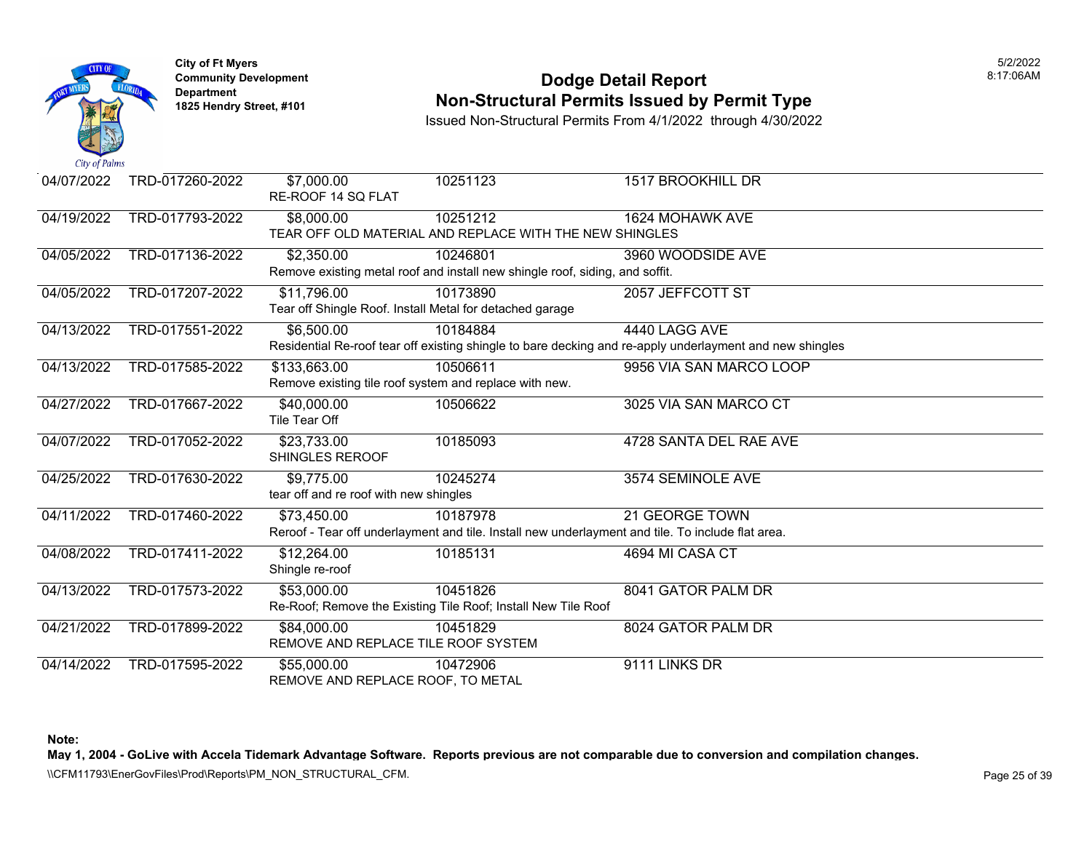

### **Community Development Dodge Detail Report** 8:17:06AM **Non-Structural Permits Issued by Permit Type**

Issued Non-Structural Permits From 4/1/2022 through 4/30/2022

| 04/07/2022 | TRD-017260-2022 | \$7,000.00<br>RE-ROOF 14 SQ FLAT                                        | 10251123                                                                                                      | <b>1517 BROOKHILL DR</b>                                                                                                  |
|------------|-----------------|-------------------------------------------------------------------------|---------------------------------------------------------------------------------------------------------------|---------------------------------------------------------------------------------------------------------------------------|
| 04/19/2022 | TRD-017793-2022 | \$8,000.00                                                              | 10251212<br>TEAR OFF OLD MATERIAL AND REPLACE WITH THE NEW SHINGLES                                           | 1624 MOHAWK AVE                                                                                                           |
| 04/05/2022 | TRD-017136-2022 | \$2,350.00                                                              | 10246801<br>Remove existing metal roof and install new shingle roof, siding, and soffit.                      | 3960 WOODSIDE AVE                                                                                                         |
| 04/05/2022 | TRD-017207-2022 | \$11,796.00<br>Tear off Shingle Roof. Install Metal for detached garage | 10173890                                                                                                      | 2057 JEFFCOTT ST                                                                                                          |
| 04/13/2022 | TRD-017551-2022 | \$6,500.00                                                              | 10184884                                                                                                      | 4440 LAGG AVE<br>Residential Re-roof tear off existing shingle to bare decking and re-apply underlayment and new shingles |
| 04/13/2022 | TRD-017585-2022 | \$133,663.00<br>Remove existing tile roof system and replace with new.  | 10506611                                                                                                      | 9956 VIA SAN MARCO LOOP                                                                                                   |
| 04/27/2022 | TRD-017667-2022 | \$40,000.00<br>Tile Tear Off                                            | 10506622                                                                                                      | 3025 VIA SAN MARCO CT                                                                                                     |
| 04/07/2022 | TRD-017052-2022 | \$23,733.00<br><b>SHINGLES REROOF</b>                                   | 10185093                                                                                                      | 4728 SANTA DEL RAE AVE                                                                                                    |
| 04/25/2022 | TRD-017630-2022 | \$9,775.00<br>tear off and re roof with new shingles                    | 10245274                                                                                                      | 3574 SEMINOLE AVE                                                                                                         |
| 04/11/2022 | TRD-017460-2022 | \$73,450.00                                                             | 10187978<br>Reroof - Tear off underlayment and tile. Install new underlayment and tile. To include flat area. | <b>21 GEORGE TOWN</b>                                                                                                     |
| 04/08/2022 | TRD-017411-2022 | \$12,264.00<br>Shingle re-roof                                          | 10185131                                                                                                      | 4694 MI CASA CT                                                                                                           |
| 04/13/2022 | TRD-017573-2022 | \$53,000.00                                                             | 10451826<br>Re-Roof; Remove the Existing Tile Roof; Install New Tile Roof                                     | 8041 GATOR PALM DR                                                                                                        |
| 04/21/2022 | TRD-017899-2022 | \$84,000.00<br>REMOVE AND REPLACE TILE ROOF SYSTEM                      | 10451829                                                                                                      | 8024 GATOR PALM DR                                                                                                        |
| 04/14/2022 | TRD-017595-2022 | \$55,000.00<br>REMOVE AND REPLACE ROOF, TO METAL                        | 10472906                                                                                                      | 9111 LINKS DR                                                                                                             |

**Note:** 

**May 1, 2004 - GoLive with Accela Tidemark Advantage Software. Reports previous are not comparable due to conversion and compilation changes.** 

\\CFM11793\EnerGovFiles\Prod\Reports\PM\_NON\_STRUCTURAL\_CFM.<br>Rage 25 of 39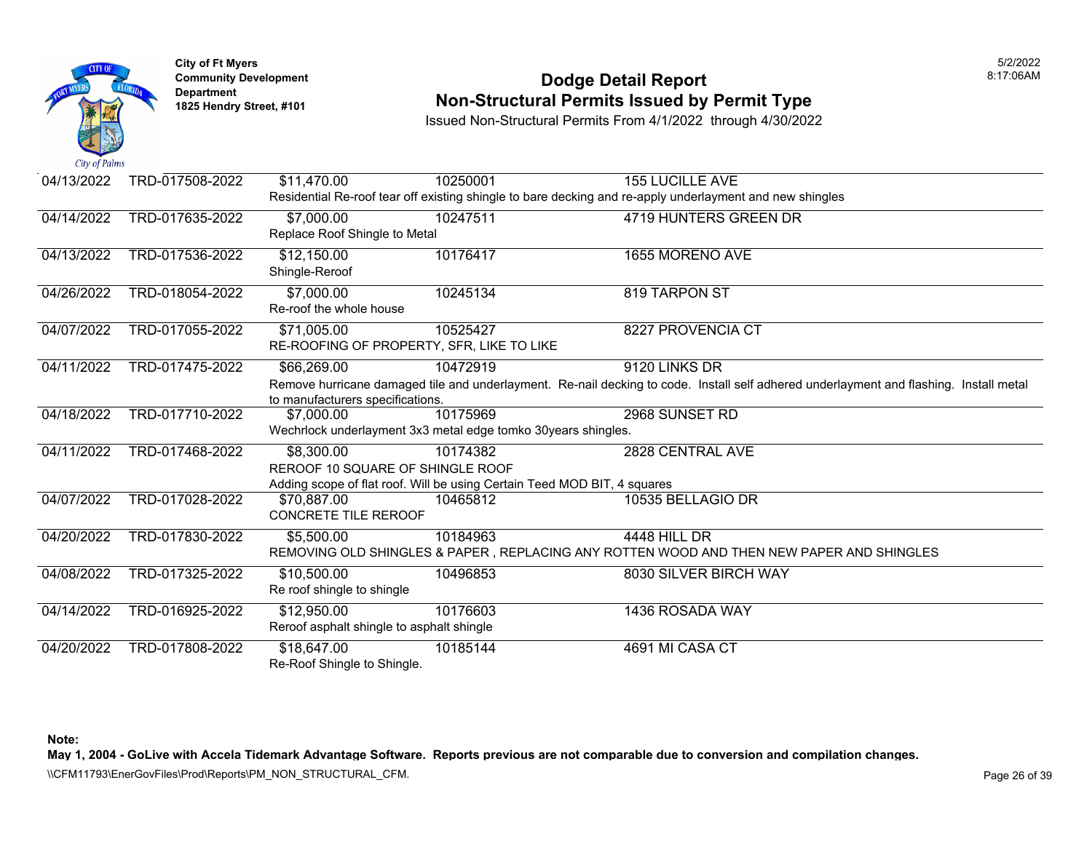

### **Community Development Dodge Detail Report** 8:17:06AM **Non-Structural Permits Issued by Permit Type**

Issued Non-Structural Permits From 4/1/2022 through 4/30/2022

| 04/13/2022 | TRD-017508-2022 | \$11,470.00                               | 10250001                                                                 | <b>155 LUCILLE AVE</b>                                                                                                                 |
|------------|-----------------|-------------------------------------------|--------------------------------------------------------------------------|----------------------------------------------------------------------------------------------------------------------------------------|
|            |                 |                                           |                                                                          | Residential Re-roof tear off existing shingle to bare decking and re-apply underlayment and new shingles                               |
| 04/14/2022 | TRD-017635-2022 | \$7,000.00                                | 10247511                                                                 | 4719 HUNTERS GREEN DR                                                                                                                  |
|            |                 | Replace Roof Shingle to Metal             |                                                                          |                                                                                                                                        |
| 04/13/2022 | TRD-017536-2022 | \$12,150.00                               | 10176417                                                                 | 1655 MORENO AVE                                                                                                                        |
|            |                 | Shingle-Reroof                            |                                                                          |                                                                                                                                        |
| 04/26/2022 | TRD-018054-2022 | \$7,000.00                                | 10245134                                                                 | 819 TARPON ST                                                                                                                          |
|            |                 | Re-roof the whole house                   |                                                                          |                                                                                                                                        |
| 04/07/2022 | TRD-017055-2022 | \$71,005.00                               | 10525427                                                                 | 8227 PROVENCIA CT                                                                                                                      |
|            |                 | RE-ROOFING OF PROPERTY, SFR, LIKE TO LIKE |                                                                          |                                                                                                                                        |
| 04/11/2022 | TRD-017475-2022 | \$66,269.00                               | 10472919                                                                 | 9120 LINKS DR                                                                                                                          |
|            |                 |                                           |                                                                          | Remove hurricane damaged tile and underlayment. Re-nail decking to code. Install self adhered underlayment and flashing. Install metal |
|            |                 | to manufacturers specifications.          |                                                                          |                                                                                                                                        |
| 04/18/2022 | TRD-017710-2022 | \$7,000.00                                | 10175969                                                                 | 2968 SUNSET RD                                                                                                                         |
|            |                 |                                           | Wechrlock underlayment 3x3 metal edge tomko 30years shingles.            |                                                                                                                                        |
| 04/11/2022 | TRD-017468-2022 | \$8,300.00                                | 10174382                                                                 | 2828 CENTRAL AVE                                                                                                                       |
|            |                 | REROOF 10 SQUARE OF SHINGLE ROOF          |                                                                          |                                                                                                                                        |
|            |                 |                                           | Adding scope of flat roof. Will be using Certain Teed MOD BIT, 4 squares |                                                                                                                                        |
| 04/07/2022 | TRD-017028-2022 | \$70.887.00                               | 10465812                                                                 | 10535 BELLAGIO DR                                                                                                                      |
|            |                 | <b>CONCRETE TILE REROOF</b>               |                                                                          |                                                                                                                                        |
| 04/20/2022 | TRD-017830-2022 | \$5,500.00                                | 10184963                                                                 | <b>4448 HILL DR</b>                                                                                                                    |
|            |                 |                                           |                                                                          | REMOVING OLD SHINGLES & PAPER, REPLACING ANY ROTTEN WOOD AND THEN NEW PAPER AND SHINGLES                                               |
| 04/08/2022 | TRD-017325-2022 | \$10,500.00                               | 10496853                                                                 | 8030 SILVER BIRCH WAY                                                                                                                  |
|            |                 | Re roof shingle to shingle                |                                                                          |                                                                                                                                        |
| 04/14/2022 | TRD-016925-2022 | \$12,950.00                               | 10176603                                                                 | 1436 ROSADA WAY                                                                                                                        |
|            |                 | Reroof asphalt shingle to asphalt shingle |                                                                          |                                                                                                                                        |
| 04/20/2022 | TRD-017808-2022 | \$18,647.00                               | 10185144                                                                 | 4691 MI CASA CT                                                                                                                        |
|            |                 | Re-Roof Shingle to Shingle.               |                                                                          |                                                                                                                                        |

**Note:** 

**May 1, 2004 - GoLive with Accela Tidemark Advantage Software. Reports previous are not comparable due to conversion and compilation changes.** 

\\CFM11793\EnerGovFiles\Prod\Reports\PM\_NON\_STRUCTURAL\_CFM.<br>Rage 26 of 39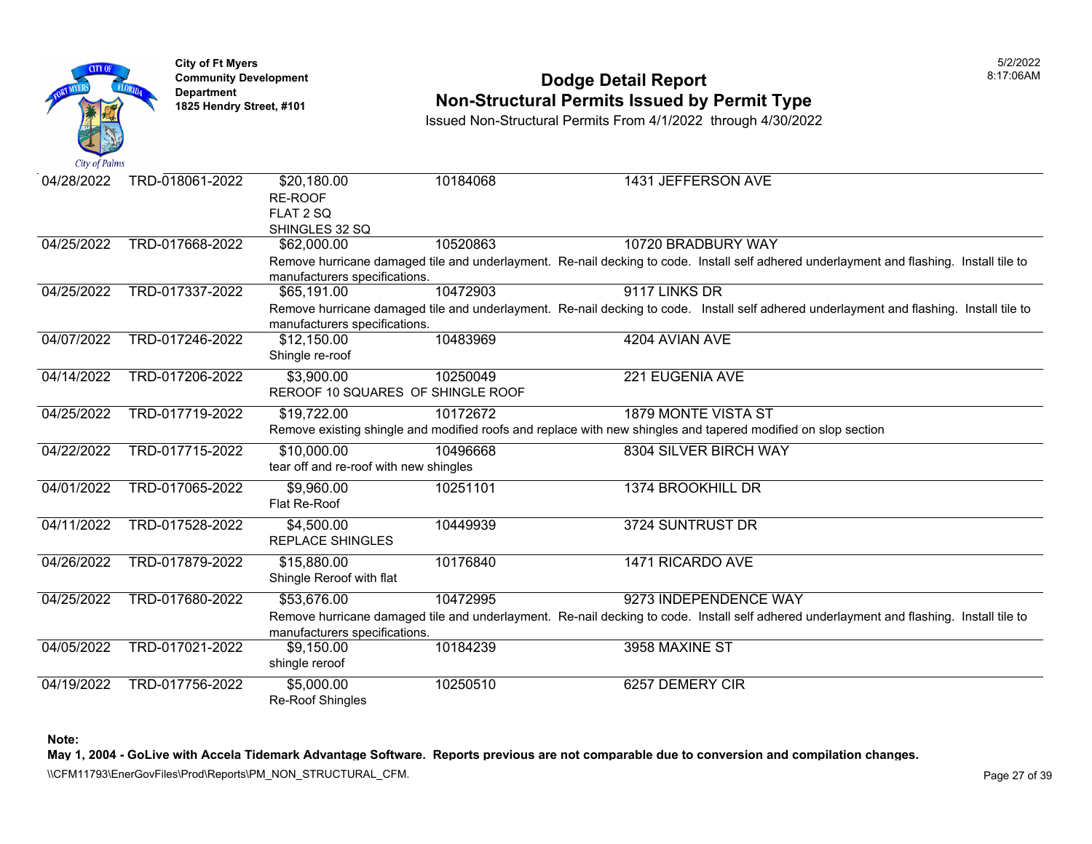

### **Community Development Dodge Detail Report** 8:17:06AM **Non-Structural Permits Issued by Permit Type**

Issued Non-Structural Permits From 4/1/2022 through 4/30/2022

| 04/28/2022 | TRD-018061-2022 | \$20,180.00<br>RE-ROOF                          | 10184068 |                   | 1431 JEFFERSON AVE                                                                                                                       |
|------------|-----------------|-------------------------------------------------|----------|-------------------|------------------------------------------------------------------------------------------------------------------------------------------|
|            |                 | FLAT 2 SQ                                       |          |                   |                                                                                                                                          |
|            |                 | SHINGLES 32 SQ                                  |          |                   |                                                                                                                                          |
| 04/25/2022 | TRD-017668-2022 | \$62,000.00                                     | 10520863 |                   | 10720 BRADBURY WAY                                                                                                                       |
|            |                 | manufacturers specifications.                   |          |                   | Remove hurricane damaged tile and underlayment. Re-nail decking to code. Install self adhered underlayment and flashing. Install tile to |
| 04/25/2022 | TRD-017337-2022 | \$65,191.00                                     | 10472903 | 9117 LINKS DR     |                                                                                                                                          |
|            |                 | manufacturers specifications.                   |          |                   | Remove hurricane damaged tile and underlayment. Re-nail decking to code. Install self adhered underlayment and flashing. Install tile to |
| 04/07/2022 | TRD-017246-2022 | \$12,150.00<br>Shingle re-roof                  | 10483969 | 4204 AVIAN AVE    |                                                                                                                                          |
|            |                 |                                                 |          |                   |                                                                                                                                          |
| 04/14/2022 | TRD-017206-2022 | \$3,900.00<br>REROOF 10 SQUARES OF SHINGLE ROOF | 10250049 | 221 EUGENIA AVE   |                                                                                                                                          |
|            |                 |                                                 |          |                   |                                                                                                                                          |
| 04/25/2022 | TRD-017719-2022 | \$19,722.00                                     | 10172672 |                   | 1879 MONTE VISTA ST                                                                                                                      |
|            |                 |                                                 |          |                   | Remove existing shingle and modified roofs and replace with new shingles and tapered modified on slop section                            |
| 04/22/2022 | TRD-017715-2022 | \$10,000.00                                     | 10496668 |                   | 8304 SILVER BIRCH WAY                                                                                                                    |
|            |                 | tear off and re-roof with new shingles          |          |                   |                                                                                                                                          |
| 04/01/2022 | TRD-017065-2022 | \$9,960.00                                      | 10251101 | 1374 BROOKHILL DR |                                                                                                                                          |
|            |                 | Flat Re-Roof                                    |          |                   |                                                                                                                                          |
| 04/11/2022 | TRD-017528-2022 | \$4,500.00                                      | 10449939 | 3724 SUNTRUST DR  |                                                                                                                                          |
|            |                 | <b>REPLACE SHINGLES</b>                         |          |                   |                                                                                                                                          |
| 04/26/2022 | TRD-017879-2022 | \$15,880.00                                     | 10176840 | 1471 RICARDO AVE  |                                                                                                                                          |
|            |                 | Shingle Reroof with flat                        |          |                   |                                                                                                                                          |
| 04/25/2022 | TRD-017680-2022 | \$53,676.00                                     | 10472995 |                   | 9273 INDEPENDENCE WAY                                                                                                                    |
|            |                 |                                                 |          |                   | Remove hurricane damaged tile and underlayment. Re-nail decking to code. Install self adhered underlayment and flashing. Install tile to |
|            |                 | manufacturers specifications.                   |          |                   |                                                                                                                                          |
| 04/05/2022 | TRD-017021-2022 | \$9,150.00                                      | 10184239 | 3958 MAXINE ST    |                                                                                                                                          |
|            |                 | shingle reroof                                  |          |                   |                                                                                                                                          |
| 04/19/2022 | TRD-017756-2022 | \$5,000.00                                      | 10250510 | 6257 DEMERY CIR   |                                                                                                                                          |
|            |                 | <b>Re-Roof Shingles</b>                         |          |                   |                                                                                                                                          |

**Note:** 

**May 1, 2004 - GoLive with Accela Tidemark Advantage Software. Reports previous are not comparable due to conversion and compilation changes.** 

\\CFM11793\EnerGovFiles\Prod\Reports\PM\_NON\_STRUCTURAL\_CFM.<br>Rage 27 of 39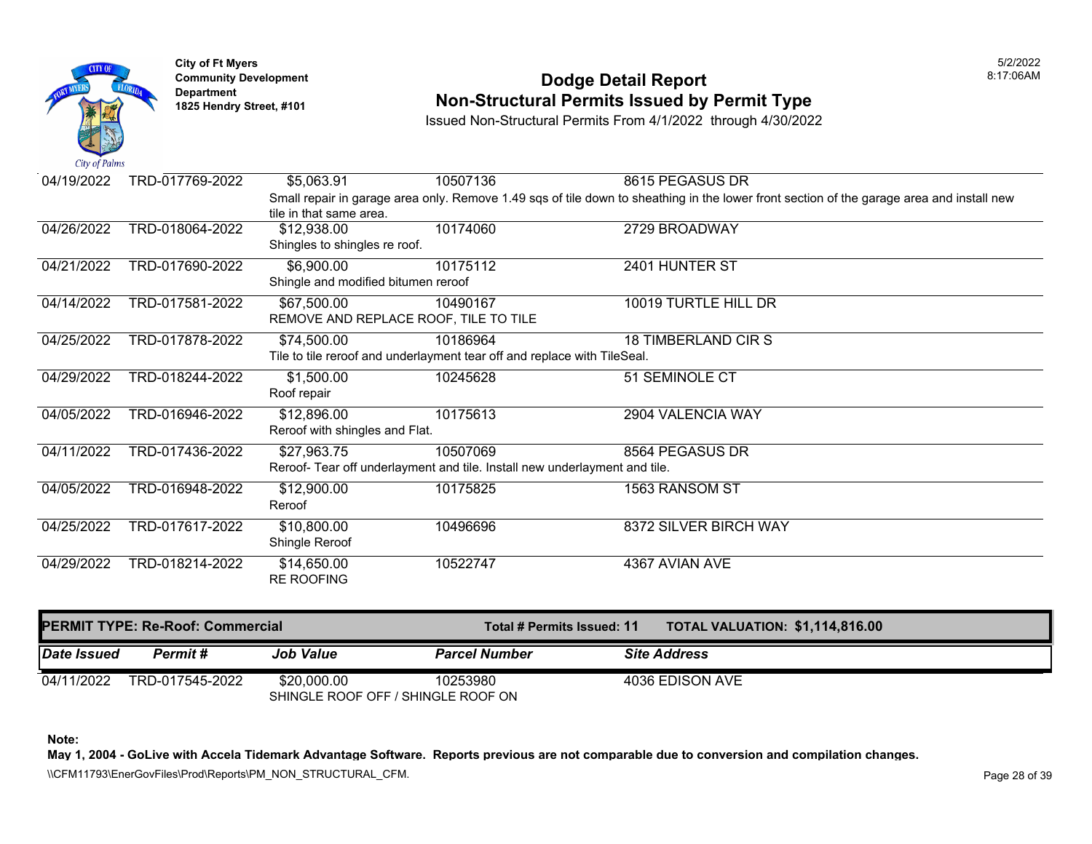

### **Community Development 18:17:06AM**<br>
Dodge Detail Report **Non-Structural Permits Issued by Permit Type** 1825 Hendry Street, #101 **1825 Hendry Street, #101**

Issued Non-Structural Permits From 4/1/2022 through 4/30/2022

| Date Issued | Permit#                                 | <b>Job Value</b>                                  | <b>Parcel Number</b>                                                       | <b>Site Address</b>                                                                                                                       |
|-------------|-----------------------------------------|---------------------------------------------------|----------------------------------------------------------------------------|-------------------------------------------------------------------------------------------------------------------------------------------|
|             | <b>PERMIT TYPE: Re-Roof: Commercial</b> |                                                   | Total # Permits Issued: 11                                                 | <b>TOTAL VALUATION: \$1,114,816.00</b>                                                                                                    |
|             |                                         | <b>RE ROOFING</b>                                 |                                                                            |                                                                                                                                           |
| 04/29/2022  | TRD-018214-2022                         | \$14,650.00                                       | 10522747                                                                   | 4367 AVIAN AVE                                                                                                                            |
| 04/25/2022  | TRD-017617-2022                         | \$10,800.00<br>Shingle Reroof                     | 10496696                                                                   | 8372 SILVER BIRCH WAY                                                                                                                     |
| 04/05/2022  | TRD-016948-2022                         | \$12,900.00<br>Reroof                             | 10175825                                                                   | 1563 RANSOM ST                                                                                                                            |
|             |                                         |                                                   | Reroof- Tear off underlayment and tile. Install new underlayment and tile. |                                                                                                                                           |
| 04/11/2022  | TRD-017436-2022                         | \$27,963.75                                       | 10507069                                                                   | 8564 PEGASUS DR                                                                                                                           |
| 04/05/2022  | TRD-016946-2022                         | \$12,896.00<br>Reroof with shingles and Flat.     | 10175613                                                                   | 2904 VALENCIA WAY                                                                                                                         |
| 04/29/2022  | TRD-018244-2022                         | \$1,500.00<br>Roof repair                         | 10245628                                                                   | 51 SEMINOLE CT                                                                                                                            |
|             |                                         |                                                   | Tile to tile reroof and underlayment tear off and replace with TileSeal.   |                                                                                                                                           |
| 04/25/2022  | TRD-017878-2022                         | \$74,500.00                                       | 10186964                                                                   | 18 TIMBERLAND CIR S                                                                                                                       |
|             |                                         | REMOVE AND REPLACE ROOF, TILE TO TILE             |                                                                            |                                                                                                                                           |
| 04/14/2022  | TRD-017581-2022                         | \$67,500.00                                       | 10490167                                                                   | 10019 TURTLE HILL DR                                                                                                                      |
| 04/21/2022  | TRD-017690-2022                         | \$6,900.00<br>Shingle and modified bitumen reroof | 10175112                                                                   | 2401 HUNTER ST                                                                                                                            |
|             |                                         | Shingles to shingles re roof.                     |                                                                            |                                                                                                                                           |
| 04/26/2022  | TRD-018064-2022                         | \$12,938.00                                       | 10174060                                                                   | 2729 BROADWAY                                                                                                                             |
|             |                                         | tile in that same area.                           |                                                                            |                                                                                                                                           |
|             |                                         |                                                   |                                                                            | Small repair in garage area only. Remove 1.49 sqs of tile down to sheathing in the lower front section of the garage area and install new |
| 04/19/2022  | TRD-017769-2022                         | \$5,063.91                                        | 10507136                                                                   | 8615 PEGASUS DR                                                                                                                           |

04/11/2022 TRD-017545-2022 \$20,000.00 10253980 4036 EDISON AVE SHINGLE ROOF OFF / SHINGLE ROOF ON

**Note:** 

**May 1, 2004 - GoLive with Accela Tidemark Advantage Software. Reports previous are not comparable due to conversion and compilation changes.** 

\\CFM11793\EnerGovFiles\Prod\Reports\PM\_NON\_STRUCTURAL\_CFM.<br>Rage 28 of 39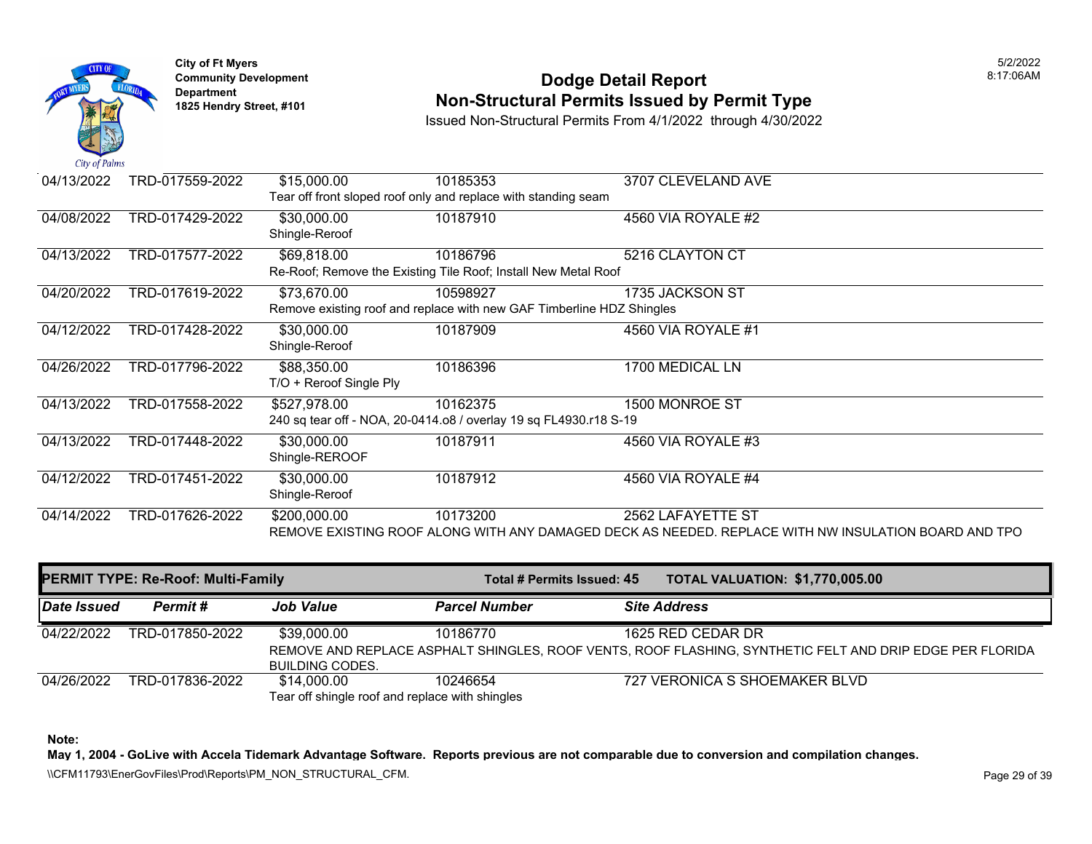

### **Community Development 18:17:06AM**<br>
Dodge Detail Report **Non-Structural Permits Issued by Permit Type** 1825 Hendry Street, #101 **1825 Hendry Street, #101**

Issued Non-Structural Permits From 4/1/2022 through 4/30/2022

| 04/13/2022 | TRD-017559-2022 | \$15,000.00             | 10185353                                                              | 3707 CLEVELAND AVE                                                                                   |
|------------|-----------------|-------------------------|-----------------------------------------------------------------------|------------------------------------------------------------------------------------------------------|
|            |                 |                         | Tear off front sloped roof only and replace with standing seam        |                                                                                                      |
| 04/08/2022 | TRD-017429-2022 | \$30,000.00             | 10187910                                                              | 4560 VIA ROYALE #2                                                                                   |
|            |                 | Shingle-Reroof          |                                                                       |                                                                                                      |
| 04/13/2022 | TRD-017577-2022 | \$69,818.00             | 10186796                                                              | 5216 CLAYTON CT                                                                                      |
|            |                 |                         | Re-Roof; Remove the Existing Tile Roof; Install New Metal Roof        |                                                                                                      |
| 04/20/2022 | TRD-017619-2022 | \$73,670.00             | 10598927                                                              | 1735 JACKSON ST                                                                                      |
|            |                 |                         | Remove existing roof and replace with new GAF Timberline HDZ Shingles |                                                                                                      |
| 04/12/2022 | TRD-017428-2022 | \$30,000.00             | 10187909                                                              | 4560 VIA ROYALE #1                                                                                   |
|            |                 | Shingle-Reroof          |                                                                       |                                                                                                      |
| 04/26/2022 | TRD-017796-2022 | \$88,350.00             | 10186396                                                              | 1700 MEDICAL LN                                                                                      |
|            |                 | T/O + Reroof Single Ply |                                                                       |                                                                                                      |
| 04/13/2022 | TRD-017558-2022 | \$527,978.00            | 10162375                                                              | 1500 MONROE ST                                                                                       |
|            |                 |                         | 240 sq tear off - NOA, 20-0414.o8 / overlay 19 sq FL4930.r18 S-19     |                                                                                                      |
| 04/13/2022 | TRD-017448-2022 | \$30,000.00             | 10187911                                                              | 4560 VIA ROYALE #3                                                                                   |
|            |                 | Shingle-REROOF          |                                                                       |                                                                                                      |
| 04/12/2022 | TRD-017451-2022 | \$30,000.00             | 10187912                                                              | 4560 VIA ROYALE #4                                                                                   |
|            |                 | Shingle-Reroof          |                                                                       |                                                                                                      |
| 04/14/2022 | TRD-017626-2022 | \$200,000.00            | 10173200                                                              | 2562 LAFAYETTE ST                                                                                    |
|            |                 |                         |                                                                       | REMOVE EXISTING ROOF ALONG WITH ANY DAMAGED DECK AS NEEDED. REPLACE WITH NW INSULATION BOARD AND TPO |

| <b>PERMIT TYPE: Re-Roof: Multi-Family</b> |                 |                                       | Total # Permits Issued: 45                                  |  | <b>TOTAL VALUATION: \$1,770,005.00</b>                                                                                        |
|-------------------------------------------|-----------------|---------------------------------------|-------------------------------------------------------------|--|-------------------------------------------------------------------------------------------------------------------------------|
| <b>Date Issued</b>                        | Permit #        | <b>Job Value</b>                      | <b>Parcel Number</b>                                        |  | <b>Site Address</b>                                                                                                           |
| 04/22/2022                                | TRD-017850-2022 | \$39,000.00                           | 10186770                                                    |  | 1625 RED CEDAR DR<br>REMOVE AND REPLACE ASPHALT SHINGLES, ROOF VENTS, ROOF FLASHING, SYNTHETIC FELT AND DRIP EDGE PER FLORIDA |
| 04/26/2022                                | TRD-017836-2022 | <b>BUILDING CODES.</b><br>\$14.000.00 | 10246654<br>Tear off shingle roof and replace with shingles |  | 727 VERONICA S SHOEMAKER BLVD                                                                                                 |

**Note:** 

**May 1, 2004 - GoLive with Accela Tidemark Advantage Software. Reports previous are not comparable due to conversion and compilation changes.** 

\\CFM11793\EnerGovFiles\Prod\Reports\PM\_NON\_STRUCTURAL\_CFM.<br>Rage 29 of 39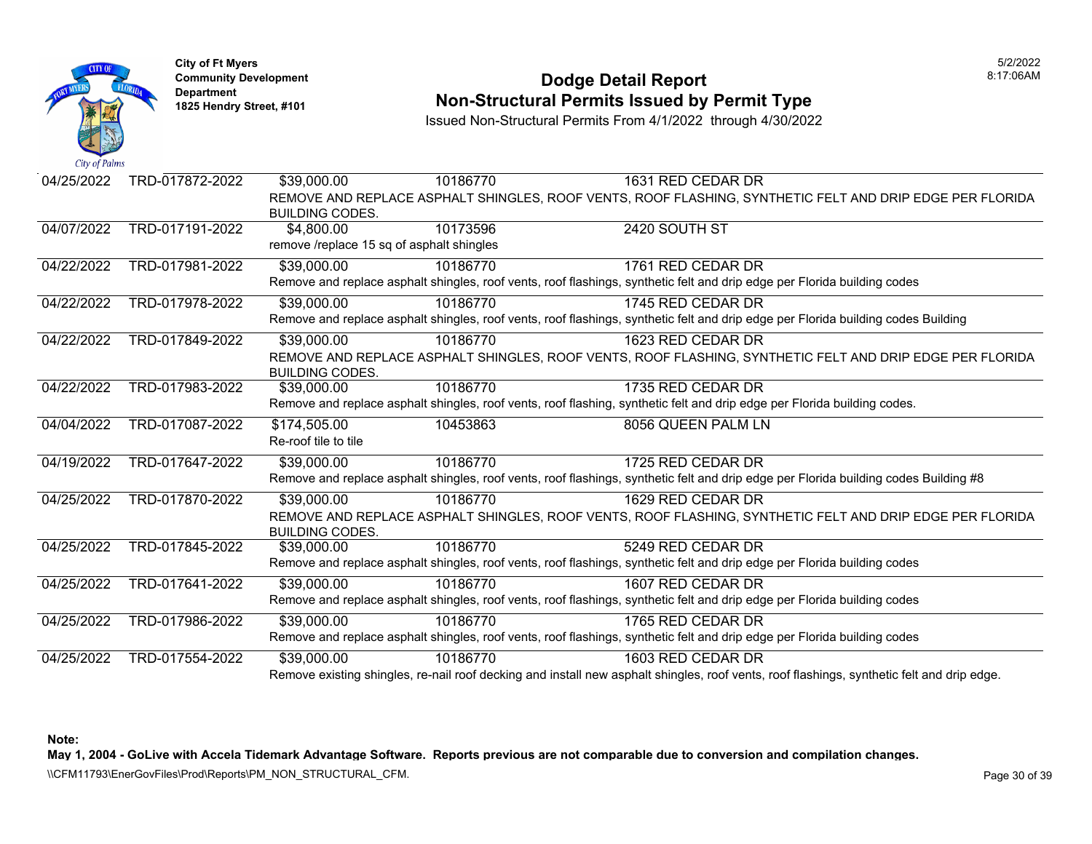

**City of Ft Myers** 5/2/2022 Department<br>1825 Hendry Street, #101

#### **Community Development** 8:17:06AM **1825 Non-Structural Permits Issued by Permit Type**

Issued Non-Structural Permits From 4/1/2022 through 4/30/2022

| 04/25/2022 | TRD-017872-2022 | \$39,000.00                               | 10186770 | 1631 RED CEDAR DR                                                                                                                          |  |
|------------|-----------------|-------------------------------------------|----------|--------------------------------------------------------------------------------------------------------------------------------------------|--|
|            |                 |                                           |          | REMOVE AND REPLACE ASPHALT SHINGLES, ROOF VENTS, ROOF FLASHING, SYNTHETIC FELT AND DRIP EDGE PER FLORIDA                                   |  |
|            |                 | <b>BUILDING CODES.</b>                    |          |                                                                                                                                            |  |
| 04/07/2022 | TRD-017191-2022 | \$4,800.00                                | 10173596 | 2420 SOUTH ST                                                                                                                              |  |
|            |                 | remove /replace 15 sq of asphalt shingles |          |                                                                                                                                            |  |
| 04/22/2022 | TRD-017981-2022 | \$39,000.00                               | 10186770 | 1761 RED CEDAR DR                                                                                                                          |  |
|            |                 |                                           |          | Remove and replace asphalt shingles, roof vents, roof flashings, synthetic felt and drip edge per Florida building codes                   |  |
| 04/22/2022 | TRD-017978-2022 | \$39,000.00                               | 10186770 | 1745 RED CEDAR DR                                                                                                                          |  |
|            |                 |                                           |          | Remove and replace asphalt shingles, roof vents, roof flashings, synthetic felt and drip edge per Florida building codes Building          |  |
| 04/22/2022 | TRD-017849-2022 | \$39,000.00                               | 10186770 | 1623 RED CEDAR DR                                                                                                                          |  |
|            |                 |                                           |          | REMOVE AND REPLACE ASPHALT SHINGLES, ROOF VENTS, ROOF FLASHING, SYNTHETIC FELT AND DRIP EDGE PER FLORIDA                                   |  |
|            |                 | <b>BUILDING CODES.</b>                    |          |                                                                                                                                            |  |
| 04/22/2022 | TRD-017983-2022 | \$39,000.00                               | 10186770 | 1735 RED CEDAR DR                                                                                                                          |  |
|            |                 |                                           |          | Remove and replace asphalt shingles, roof vents, roof flashing, synthetic felt and drip edge per Florida building codes.                   |  |
| 04/04/2022 | TRD-017087-2022 | \$174,505.00                              | 10453863 | 8056 QUEEN PALM LN                                                                                                                         |  |
|            |                 | Re-roof tile to tile                      |          |                                                                                                                                            |  |
| 04/19/2022 | TRD-017647-2022 | \$39,000.00                               | 10186770 | 1725 RED CEDAR DR                                                                                                                          |  |
|            |                 |                                           |          | Remove and replace asphalt shingles, roof vents, roof flashings, synthetic felt and drip edge per Florida building codes Building #8       |  |
| 04/25/2022 | TRD-017870-2022 | $\overline{$}39,000.00$                   | 10186770 | 1629 RED CEDAR DR                                                                                                                          |  |
|            |                 |                                           |          | REMOVE AND REPLACE ASPHALT SHINGLES, ROOF VENTS, ROOF FLASHING, SYNTHETIC FELT AND DRIP EDGE PER FLORIDA                                   |  |
|            |                 | <b>BUILDING CODES.</b>                    |          |                                                                                                                                            |  |
| 04/25/2022 | TRD-017845-2022 | \$39,000.00                               | 10186770 | 5249 RED CEDAR DR                                                                                                                          |  |
|            |                 |                                           |          | Remove and replace asphalt shingles, roof vents, roof flashings, synthetic felt and drip edge per Florida building codes                   |  |
| 04/25/2022 | TRD-017641-2022 | \$39,000.00                               | 10186770 | 1607 RED CEDAR DR                                                                                                                          |  |
|            |                 |                                           |          | Remove and replace asphalt shingles, roof vents, roof flashings, synthetic felt and drip edge per Florida building codes                   |  |
| 04/25/2022 | TRD-017986-2022 | \$39,000.00                               | 10186770 | 1765 RED CEDAR DR                                                                                                                          |  |
|            |                 |                                           |          | Remove and replace asphalt shingles, roof vents, roof flashings, synthetic felt and drip edge per Florida building codes                   |  |
| 04/25/2022 | TRD-017554-2022 | \$39,000.00                               | 10186770 | 1603 RED CEDAR DR                                                                                                                          |  |
|            |                 |                                           |          | Remove existing shingles, re-nail roof decking and install new asphalt shingles, roof vents, roof flashings, synthetic felt and drip edge. |  |

**Note:** 

**May 1, 2004 - GoLive with Accela Tidemark Advantage Software. Reports previous are not comparable due to conversion and compilation changes.**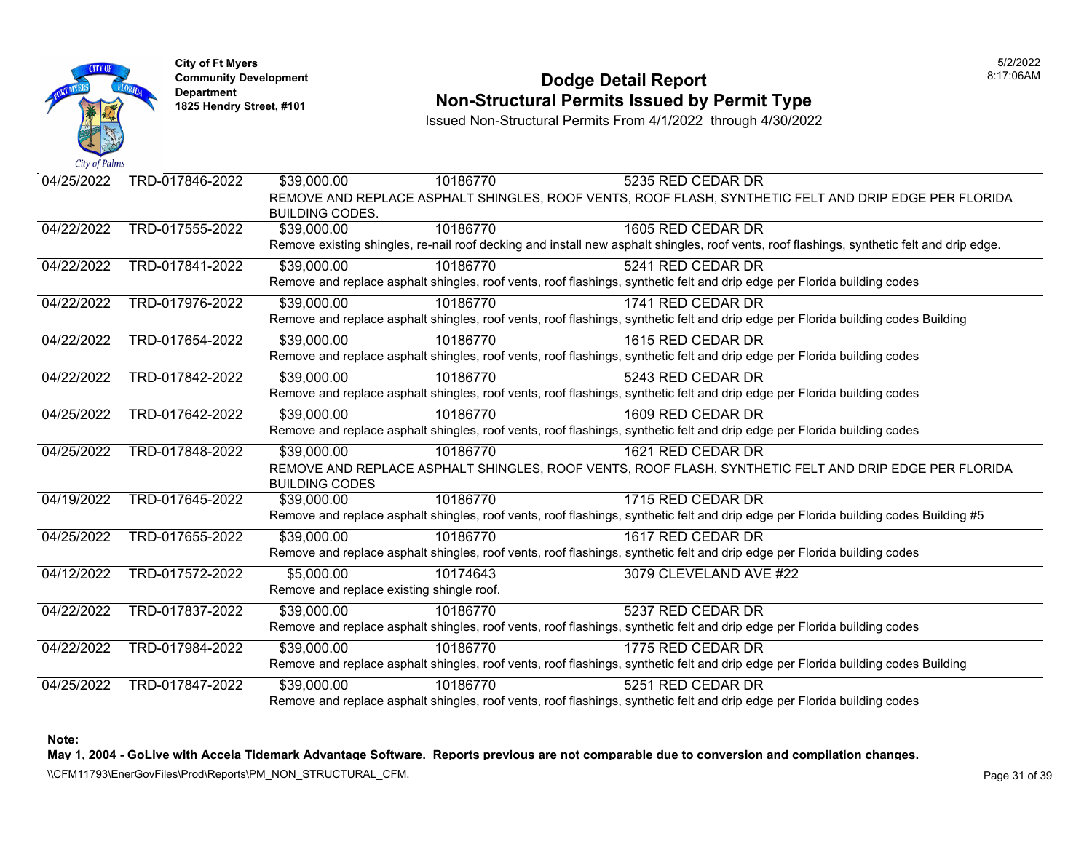

#### **Community Development Dodge Detail Report** 8:17:06AM **1825 Non-Structural Permits Issued by Permit Type**

Issued Non-Structural Permits From 4/1/2022 through 4/30/2022

| 04/25/2022 | TRD-017846-2022 | \$39,000.00                               | 10186770 | 5235 RED CEDAR DR                                                                                                                          |
|------------|-----------------|-------------------------------------------|----------|--------------------------------------------------------------------------------------------------------------------------------------------|
|            |                 | <b>BUILDING CODES.</b>                    |          | REMOVE AND REPLACE ASPHALT SHINGLES, ROOF VENTS, ROOF FLASH, SYNTHETIC FELT AND DRIP EDGE PER FLORIDA                                      |
| 04/22/2022 | TRD-017555-2022 | \$39,000.00                               | 10186770 | 1605 RED CEDAR DR                                                                                                                          |
|            |                 |                                           |          | Remove existing shingles, re-nail roof decking and install new asphalt shingles, roof vents, roof flashings, synthetic felt and drip edge. |
| 04/22/2022 | TRD-017841-2022 | \$39,000.00                               | 10186770 | 5241 RED CEDAR DR                                                                                                                          |
|            |                 |                                           |          | Remove and replace asphalt shingles, roof vents, roof flashings, synthetic felt and drip edge per Florida building codes                   |
| 04/22/2022 | TRD-017976-2022 | \$39,000.00                               | 10186770 | 1741 RED CEDAR DR                                                                                                                          |
|            |                 |                                           |          | Remove and replace asphalt shingles, roof vents, roof flashings, synthetic felt and drip edge per Florida building codes Building          |
| 04/22/2022 | TRD-017654-2022 | \$39,000.00                               | 10186770 | 1615 RED CEDAR DR                                                                                                                          |
|            |                 |                                           |          | Remove and replace asphalt shingles, roof vents, roof flashings, synthetic felt and drip edge per Florida building codes                   |
| 04/22/2022 | TRD-017842-2022 | \$39,000.00                               | 10186770 | 5243 RED CEDAR DR                                                                                                                          |
|            |                 |                                           |          | Remove and replace asphalt shingles, roof vents, roof flashings, synthetic felt and drip edge per Florida building codes                   |
| 04/25/2022 | TRD-017642-2022 | \$39,000.00                               | 10186770 | 1609 RED CEDAR DR                                                                                                                          |
|            |                 |                                           |          | Remove and replace asphalt shingles, roof vents, roof flashings, synthetic felt and drip edge per Florida building codes                   |
| 04/25/2022 | TRD-017848-2022 | \$39,000.00                               | 10186770 | 1621 RED CEDAR DR                                                                                                                          |
|            |                 |                                           |          | REMOVE AND REPLACE ASPHALT SHINGLES, ROOF VENTS, ROOF FLASH, SYNTHETIC FELT AND DRIP EDGE PER FLORIDA                                      |
|            |                 | <b>BUILDING CODES</b>                     |          |                                                                                                                                            |
| 04/19/2022 | TRD-017645-2022 | \$39,000.00                               | 10186770 | 1715 RED CEDAR DR                                                                                                                          |
|            |                 |                                           |          | Remove and replace asphalt shingles, roof vents, roof flashings, synthetic felt and drip edge per Florida building codes Building #5       |
| 04/25/2022 | TRD-017655-2022 | \$39,000.00                               | 10186770 | 1617 RED CEDAR DR                                                                                                                          |
|            |                 |                                           |          | Remove and replace asphalt shingles, roof vents, roof flashings, synthetic felt and drip edge per Florida building codes                   |
| 04/12/2022 | TRD-017572-2022 | \$5,000.00                                | 10174643 | 3079 CLEVELAND AVE #22                                                                                                                     |
|            |                 | Remove and replace existing shingle roof. |          |                                                                                                                                            |
| 04/22/2022 | TRD-017837-2022 | \$39,000.00                               | 10186770 | 5237 RED CEDAR DR                                                                                                                          |
|            |                 |                                           |          | Remove and replace asphalt shingles, roof vents, roof flashings, synthetic felt and drip edge per Florida building codes                   |
| 04/22/2022 | TRD-017984-2022 | \$39,000.00                               | 10186770 | 1775 RED CEDAR DR                                                                                                                          |
|            |                 |                                           |          | Remove and replace asphalt shingles, roof vents, roof flashings, synthetic felt and drip edge per Florida building codes Building          |
| 04/25/2022 | TRD-017847-2022 | \$39,000.00                               | 10186770 | 5251 RED CEDAR DR                                                                                                                          |
|            |                 |                                           |          | Remove and replace asphalt shingles, roof vents, roof flashings, synthetic felt and drip edge per Florida building codes                   |

**Note:** 

**May 1, 2004 - GoLive with Accela Tidemark Advantage Software. Reports previous are not comparable due to conversion and compilation changes.** 

\\CFM11793\EnerGovFiles\Prod\Reports\PM\_NON\_STRUCTURAL\_CFM.<br>Rage 31 of 39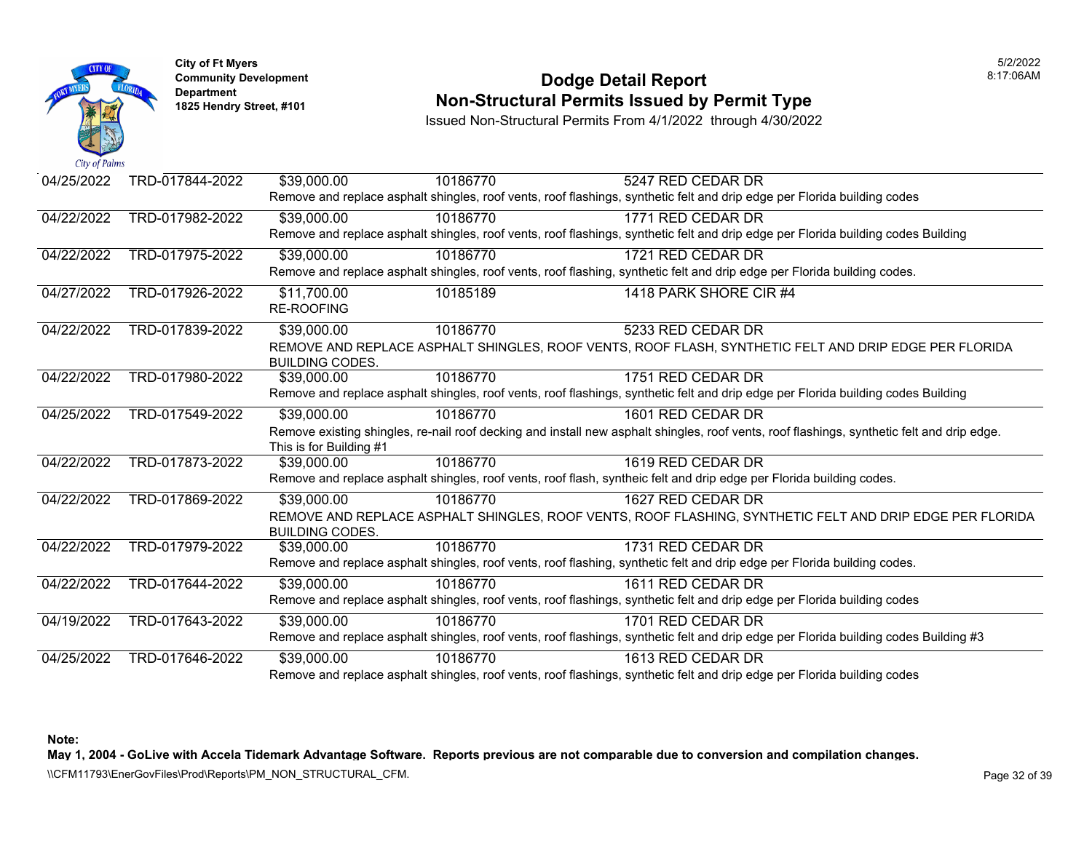

**City of Ft Myers** 5/2/2022 Department<br>1825 Hendry Street, #101

### **Community Development 8:17:06AM Non-Structural Permits Issued by Permit Type**

Issued Non-Structural Permits From 4/1/2022 through 4/30/2022

| 04/25/2022 | TRD-017844-2022 | \$39,000.00             | 10186770 | 5247 RED CEDAR DR                                                                                                                          |  |
|------------|-----------------|-------------------------|----------|--------------------------------------------------------------------------------------------------------------------------------------------|--|
|            |                 |                         |          | Remove and replace asphalt shingles, roof vents, roof flashings, synthetic felt and drip edge per Florida building codes                   |  |
| 04/22/2022 | TRD-017982-2022 | \$39,000.00             | 10186770 | 1771 RED CEDAR DR                                                                                                                          |  |
|            |                 |                         |          | Remove and replace asphalt shingles, roof vents, roof flashings, synthetic felt and drip edge per Florida building codes Building          |  |
| 04/22/2022 | TRD-017975-2022 | \$39,000.00             | 10186770 | 1721 RED CEDAR DR                                                                                                                          |  |
|            |                 |                         |          | Remove and replace asphalt shingles, roof vents, roof flashing, synthetic felt and drip edge per Florida building codes.                   |  |
| 04/27/2022 | TRD-017926-2022 | \$11,700.00             | 10185189 | 1418 PARK SHORE CIR #4                                                                                                                     |  |
|            |                 | <b>RE-ROOFING</b>       |          |                                                                                                                                            |  |
| 04/22/2022 | TRD-017839-2022 | \$39,000.00             | 10186770 | 5233 RED CEDAR DR                                                                                                                          |  |
|            |                 |                         |          | REMOVE AND REPLACE ASPHALT SHINGLES, ROOF VENTS, ROOF FLASH, SYNTHETIC FELT AND DRIP EDGE PER FLORIDA                                      |  |
|            |                 | <b>BUILDING CODES.</b>  |          |                                                                                                                                            |  |
| 04/22/2022 | TRD-017980-2022 | \$39,000.00             | 10186770 | 1751 RED CEDAR DR                                                                                                                          |  |
|            |                 |                         |          | Remove and replace asphalt shingles, roof vents, roof flashings, synthetic felt and drip edge per Florida building codes Building          |  |
| 04/25/2022 | TRD-017549-2022 | \$39,000.00             | 10186770 | 1601 RED CEDAR DR                                                                                                                          |  |
|            |                 |                         |          | Remove existing shingles, re-nail roof decking and install new asphalt shingles, roof vents, roof flashings, synthetic felt and drip edge. |  |
|            |                 | This is for Building #1 |          |                                                                                                                                            |  |
| 04/22/2022 | TRD-017873-2022 | \$39,000.00             | 10186770 | 1619 RED CEDAR DR                                                                                                                          |  |
|            |                 |                         |          | Remove and replace asphalt shingles, roof vents, roof flash, syntheic felt and drip edge per Florida building codes.                       |  |
| 04/22/2022 | TRD-017869-2022 | \$39,000.00             | 10186770 | 1627 RED CEDAR DR                                                                                                                          |  |
|            |                 |                         |          | REMOVE AND REPLACE ASPHALT SHINGLES, ROOF VENTS, ROOF FLASHING, SYNTHETIC FELT AND DRIP EDGE PER FLORIDA                                   |  |
|            |                 | <b>BUILDING CODES.</b>  |          |                                                                                                                                            |  |
| 04/22/2022 | TRD-017979-2022 | \$39,000.00             | 10186770 | 1731 RED CEDAR DR                                                                                                                          |  |
|            |                 |                         |          | Remove and replace asphalt shingles, roof vents, roof flashing, synthetic felt and drip edge per Florida building codes.                   |  |
| 04/22/2022 | TRD-017644-2022 | \$39,000.00             | 10186770 | 1611 RED CEDAR DR                                                                                                                          |  |
|            |                 |                         |          | Remove and replace asphalt shingles, roof vents, roof flashings, synthetic felt and drip edge per Florida building codes                   |  |
| 04/19/2022 | TRD-017643-2022 | \$39,000.00             | 10186770 | 1701 RED CEDAR DR                                                                                                                          |  |
|            |                 |                         |          | Remove and replace asphalt shingles, roof vents, roof flashings, synthetic felt and drip edge per Florida building codes Building #3       |  |
| 04/25/2022 | TRD-017646-2022 | \$39,000.00             | 10186770 | 1613 RED CEDAR DR                                                                                                                          |  |
|            |                 |                         |          | $\mathbf{r}$ , and $\mathbf{r}$ , and $\mathbf{r}$ , and $\mathbf{r}$ , and $\mathbf{r}$ , and $\mathbf{r}$ , and $\mathbf{r}$             |  |

Remove and replace asphalt shingles, roof vents, roof flashings, synthetic felt and drip edge per Florida building codes

**Note:** 

**May 1, 2004 - GoLive with Accela Tidemark Advantage Software. Reports previous are not comparable due to conversion and compilation changes.**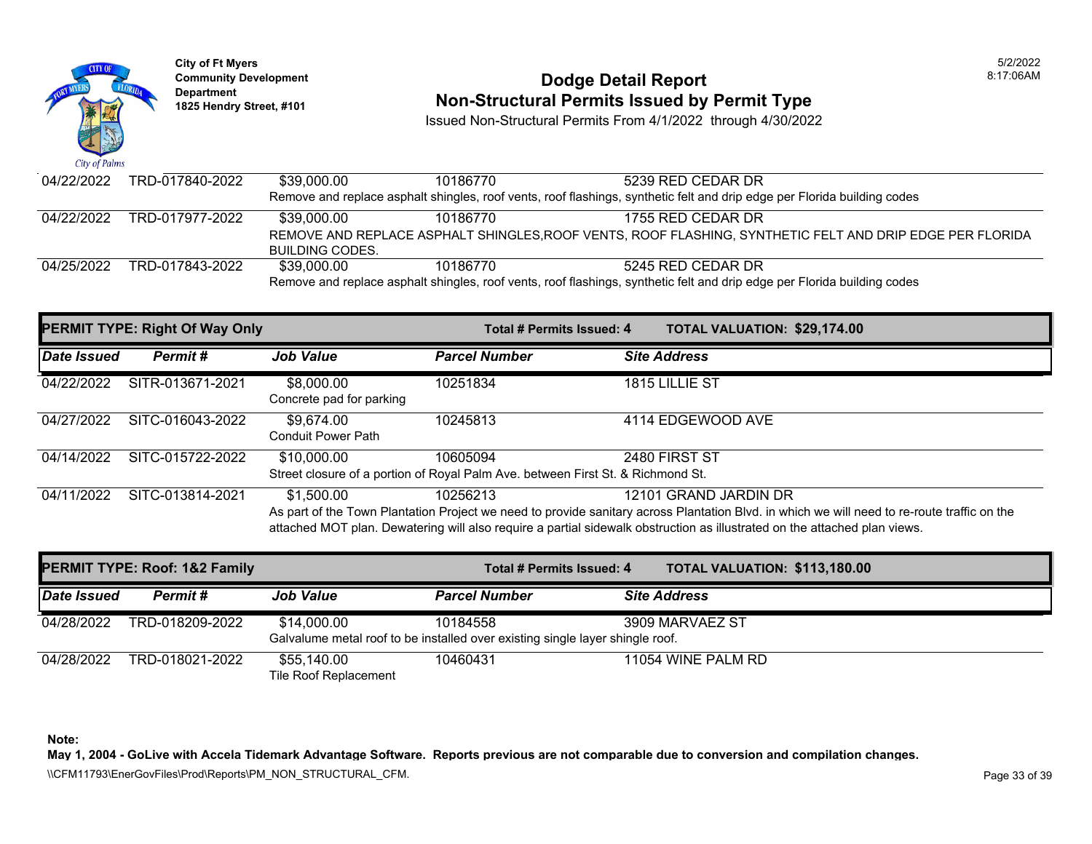

# **Community Development 18:17:06AM**<br>
Dodge Detail Report **Non-Structural Permits Issued by Permit Type** 1825 Hendry Street, #101 **1825 Hendry Street, #101**

Issued Non-Structural Permits From 4/1/2022 through 4/30/2022

| 04/22/2022 | TRD-017840-2022 | \$39.000.00                                                                                                              | 10186770 | 5239 RED CEDAR DR                                                                                                        |  |
|------------|-----------------|--------------------------------------------------------------------------------------------------------------------------|----------|--------------------------------------------------------------------------------------------------------------------------|--|
|            |                 |                                                                                                                          |          | Remove and replace asphalt shingles, roof vents, roof flashings, synthetic felt and drip edge per Florida building codes |  |
| 04/22/2022 | TRD-017977-2022 | \$39.000.00                                                                                                              | 10186770 | 1755 RED CEDAR DR                                                                                                        |  |
|            |                 |                                                                                                                          |          | REMOVE AND REPLACE ASPHALT SHINGLES, ROOF VENTS, ROOF FLASHING, SYNTHETIC FELT AND DRIP EDGE PER FLORIDA                 |  |
|            |                 | BUILDING CODES.                                                                                                          |          |                                                                                                                          |  |
| 04/25/2022 | TRD-017843-2022 | \$39.000.00                                                                                                              | 10186770 | 5245 RED CEDAR DR                                                                                                        |  |
|            |                 | Remove and replace asphalt shingles, roof vents, roof flashings, synthetic felt and drip edge per Florida building codes |          |                                                                                                                          |  |

|             | <b>PERMIT TYPE: Right Of Way Only</b> |                                         | Total # Permits Issued: 4                                                                   | <b>TOTAL VALUATION: \$29,174.00</b>                                                                                                                                                                                                                                                               |
|-------------|---------------------------------------|-----------------------------------------|---------------------------------------------------------------------------------------------|---------------------------------------------------------------------------------------------------------------------------------------------------------------------------------------------------------------------------------------------------------------------------------------------------|
| Date Issued | Permit#                               | <b>Job Value</b>                        | <b>Parcel Number</b>                                                                        | <b>Site Address</b>                                                                                                                                                                                                                                                                               |
| 04/22/2022  | SITR-013671-2021                      | \$8,000.00<br>Concrete pad for parking  | 10251834                                                                                    | 1815 LILLIE ST                                                                                                                                                                                                                                                                                    |
| 04/27/2022  | SITC-016043-2022                      | \$9.674.00<br><b>Conduit Power Path</b> | 10245813                                                                                    | 4114 EDGEWOOD AVE                                                                                                                                                                                                                                                                                 |
| 04/14/2022  | SITC-015722-2022                      | \$10,000.00                             | 10605094<br>Street closure of a portion of Royal Palm Ave. between First St. & Richmond St. | 2480 FIRST ST                                                                                                                                                                                                                                                                                     |
| 04/11/2022  | SITC-013814-2021                      | \$1,500.00                              | 10256213                                                                                    | 12101 GRAND JARDIN DR<br>As part of the Town Plantation Project we need to provide sanitary across Plantation Blvd. in which we will need to re-route traffic on the<br>attached MOT plan. Dewatering will also require a partial sidewalk obstruction as illustrated on the attached plan views. |

| <b>PERMIT TYPE: Roof: 1&amp;2 Family</b> |                 |                                      | Total # Permits Issued: 4                                                                 | <b>TOTAL VALUATION: \$113,180.00</b> |
|------------------------------------------|-----------------|--------------------------------------|-------------------------------------------------------------------------------------------|--------------------------------------|
| Date Issued                              | Permit #        | <b>Job Value</b>                     | <b>Parcel Number</b>                                                                      | <b>Site Address</b>                  |
| 04/28/2022                               | TRD-018209-2022 | \$14,000.00                          | 10184558<br>Galvalume metal roof to be installed over existing single layer shingle roof. | 3909 MARVAEZ ST                      |
| 04/28/2022                               | TRD-018021-2022 | \$55,140.00<br>Tile Roof Replacement | 10460431                                                                                  | 11054 WINE PALM RD                   |

**Note:** 

**May 1, 2004 - GoLive with Accela Tidemark Advantage Software. Reports previous are not comparable due to conversion and compilation changes.** 

\\CFM11793\EnerGovFiles\Prod\Reports\PM\_NON\_STRUCTURAL\_CFM.<br>Page 33 of 39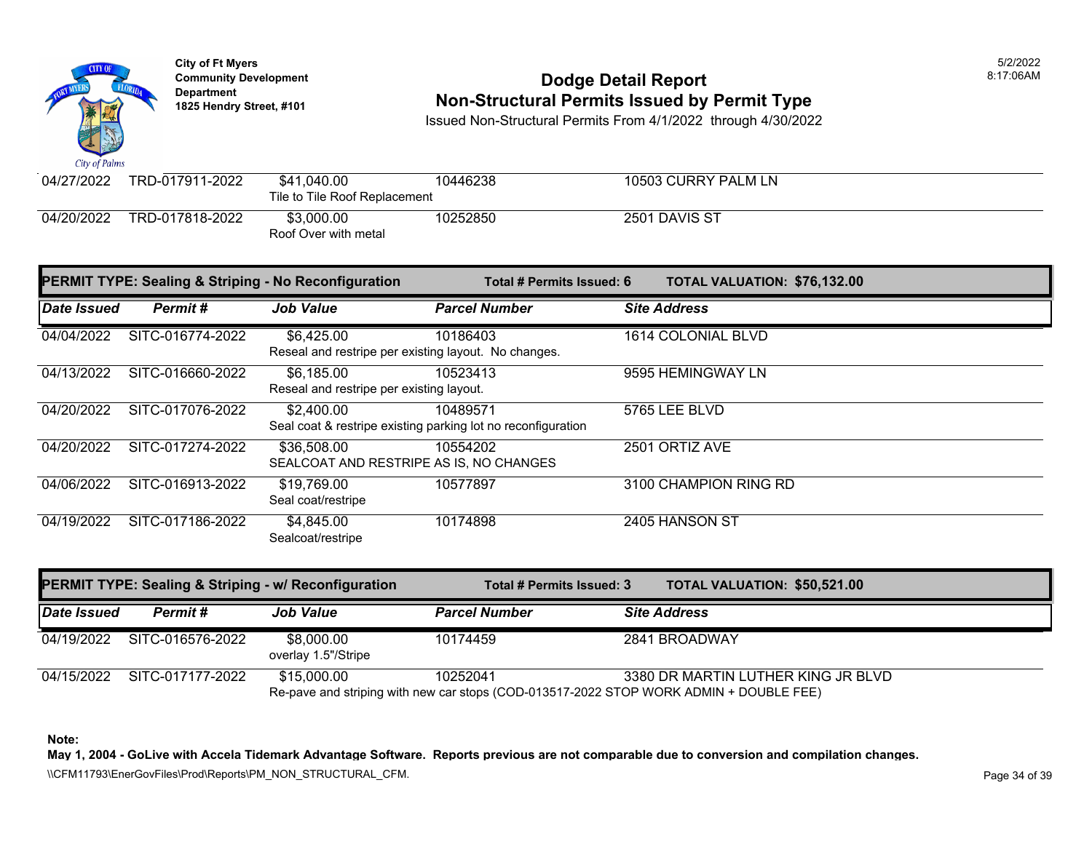

## **Community Development 18:17:06AM**<br>
Dodge Detail Report **Non-Structural Permits Issued by Permit Type** 1825 Hendry Street, #101 **1825 Hendry Street, #101**

Issued Non-Structural Permits From 4/1/2022 through 4/30/2022

| 04/27/2022 | TRD-017911-2022 | \$41,040.00                        | 10446238 | 10503 CURRY PALM LN |  |  |  |  |
|------------|-----------------|------------------------------------|----------|---------------------|--|--|--|--|
|            |                 | Tile to Tile Roof Replacement      |          |                     |  |  |  |  |
| 04/20/2022 | TRD-017818-2022 | \$3,000,00<br>Roof Over with metal | 10252850 | 2501 DAVIS ST       |  |  |  |  |

| <b>PERMIT TYPE: Sealing &amp; Striping - No Reconfiguration</b> |                  |                                                                    | Total # Permits Issued: 6                                                | <b>TOTAL VALUATION: \$76,132.00</b> |
|-----------------------------------------------------------------|------------------|--------------------------------------------------------------------|--------------------------------------------------------------------------|-------------------------------------|
| Date Issued                                                     | Permit#          | <b>Job Value</b>                                                   | <b>Parcel Number</b>                                                     | <b>Site Address</b>                 |
| 04/04/2022                                                      | SITC-016774-2022 | \$6,425.00<br>Reseal and restripe per existing layout. No changes. | 10186403                                                                 | 1614 COLONIAL BLVD                  |
| 04/13/2022                                                      | SITC-016660-2022 | \$6,185.00<br>Reseal and restripe per existing layout.             | 10523413                                                                 | 9595 HEMINGWAY LN                   |
| 04/20/2022                                                      | SITC-017076-2022 | \$2,400.00                                                         | 10489571<br>Seal coat & restripe existing parking lot no reconfiguration | 5765 LEE BLVD                       |
| 04/20/2022                                                      | SITC-017274-2022 | \$36,508.00<br>SEALCOAT AND RESTRIPE AS IS, NO CHANGES             | 10554202                                                                 | 2501 ORTIZ AVE                      |
| 04/06/2022                                                      | SITC-016913-2022 | \$19,769.00<br>Seal coat/restripe                                  | 10577897                                                                 | 3100 CHAMPION RING RD               |
| 04/19/2022                                                      | SITC-017186-2022 | \$4,845.00<br>Sealcoat/restripe                                    | 10174898                                                                 | 2405 HANSON ST                      |

| <b>PERMIT TYPE: Sealing &amp; Striping - w/ Reconfiguration</b> |                  | Total # Permits Issued: 3         | <b>TOTAL VALUATION: \$50,521.00</b> |                                                                                                                              |
|-----------------------------------------------------------------|------------------|-----------------------------------|-------------------------------------|------------------------------------------------------------------------------------------------------------------------------|
| Date Issued                                                     | Permit #         | <b>Job Value</b>                  | <b>Parcel Number</b>                | <b>Site Address</b>                                                                                                          |
| 04/19/2022                                                      | SITC-016576-2022 | \$8,000.00<br>overlay 1.5"/Stripe | 10174459                            | 2841 BROADWAY                                                                                                                |
| 04/15/2022                                                      | SITC-017177-2022 | \$15,000.00                       | 10252041                            | 3380 DR MARTIN LUTHER KING JR BLVD<br>Re-pave and striping with new car stops (COD-013517-2022 STOP WORK ADMIN + DOUBLE FEE) |

**Note:** 

**May 1, 2004 - GoLive with Accela Tidemark Advantage Software. Reports previous are not comparable due to conversion and compilation changes.** 

\\CFM11793\EnerGovFiles\Prod\Reports\PM\_NON\_STRUCTURAL\_CFM.<br>Rage 34 of 39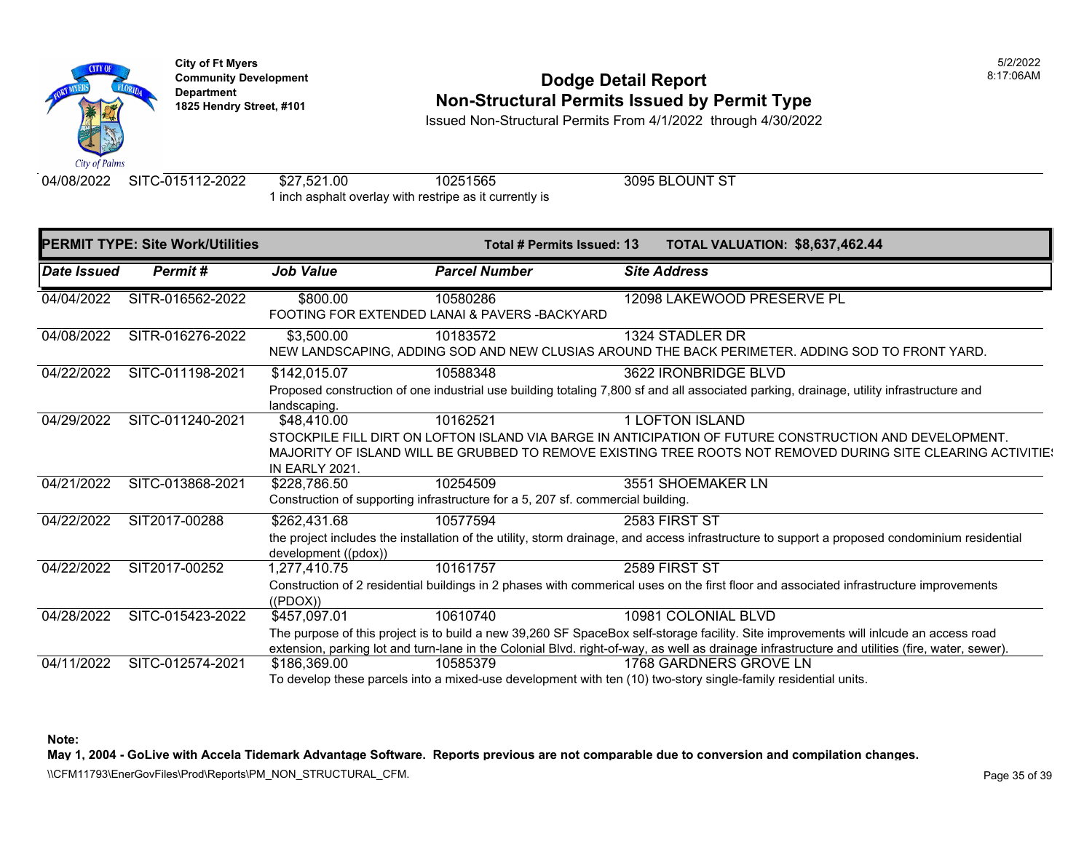

# **Community Development 18:17:06AM**<br>
Dodge Detail Report **Non-Structural Permits Issued by Permit Type** 1825 Hendry Street, #101 **1825 Hendry Street, #101**

Issued Non-Structural Permits From 4/1/2022 through 4/30/2022

04/08/2022 SITC-015112-2022 \$27,521.00 10251565 3095 BLOUNT ST 1 inch asphalt overlay with restripe as it currently is

|                    | <b>PERMIT TYPE: Site Work/Utilities</b> |                       | Total # Permits Issued: 13                                                      | <b>TOTAL VALUATION: \$8,637,462.44</b>                                                                                                          |  |
|--------------------|-----------------------------------------|-----------------------|---------------------------------------------------------------------------------|-------------------------------------------------------------------------------------------------------------------------------------------------|--|
| <b>Date Issued</b> | Permit#                                 | <b>Job Value</b>      | <b>Parcel Number</b>                                                            | <b>Site Address</b>                                                                                                                             |  |
| 04/04/2022         | SITR-016562-2022                        | \$800.00              | 10580286<br>FOOTING FOR EXTENDED LANAI & PAVERS - BACKYARD                      | 12098 LAKEWOOD PRESERVE PL                                                                                                                      |  |
|                    |                                         |                       |                                                                                 |                                                                                                                                                 |  |
| 04/08/2022         | SITR-016276-2022                        | \$3,500.00            | 10183572                                                                        | 1324 STADLER DR                                                                                                                                 |  |
|                    |                                         |                       |                                                                                 | NEW LANDSCAPING, ADDING SOD AND NEW CLUSIAS AROUND THE BACK PERIMETER. ADDING SOD TO FRONT YARD.                                                |  |
| 04/22/2022         | SITC-011198-2021                        | \$142,015.07          | 10588348                                                                        | 3622 IRONBRIDGE BLVD                                                                                                                            |  |
|                    |                                         |                       |                                                                                 | Proposed construction of one industrial use building totaling 7,800 sf and all associated parking, drainage, utility infrastructure and         |  |
|                    |                                         | landscaping.          |                                                                                 |                                                                                                                                                 |  |
| 04/29/2022         | SITC-011240-2021                        | \$48,410.00           | 10162521                                                                        | 1 LOFTON ISLAND                                                                                                                                 |  |
|                    |                                         |                       |                                                                                 | STOCKPILE FILL DIRT ON LOFTON ISLAND VIA BARGE IN ANTICIPATION OF FUTURE CONSTRUCTION AND DEVELOPMENT.                                          |  |
|                    |                                         |                       |                                                                                 | MAJORITY OF ISLAND WILL BE GRUBBED TO REMOVE EXISTING TREE ROOTS NOT REMOVED DURING SITE CLEARING ACTIVITIE:                                    |  |
|                    |                                         | <b>IN EARLY 2021.</b> |                                                                                 |                                                                                                                                                 |  |
| 04/21/2022         | SITC-013868-2021                        | \$228,786.50          | 10254509                                                                        | 3551 SHOEMAKER LN                                                                                                                               |  |
|                    |                                         |                       | Construction of supporting infrastructure for a 5, 207 sf. commercial building. |                                                                                                                                                 |  |
| 04/22/2022         | SIT2017-00288                           | \$262,431.68          | 10577594                                                                        | 2583 FIRST ST                                                                                                                                   |  |
|                    |                                         | development ((pdox))  |                                                                                 | the project includes the installation of the utility, storm drainage, and access infrastructure to support a proposed condominium residential   |  |
| 04/22/2022         | SIT2017-00252                           | 1,277,410.75          | 10161757                                                                        | 2589 FIRST ST                                                                                                                                   |  |
|                    |                                         | ((PDOX))              |                                                                                 | Construction of 2 residential buildings in 2 phases with commerical uses on the first floor and associated infrastructure improvements          |  |
| 04/28/2022         | SITC-015423-2022                        | \$457,097.01          | 10610740                                                                        | 10981 COLONIAL BLVD                                                                                                                             |  |
|                    |                                         |                       |                                                                                 | The purpose of this project is to build a new 39,260 SF SpaceBox self-storage facility. Site improvements will inlcude an access road           |  |
|                    |                                         |                       |                                                                                 | extension, parking lot and turn-lane in the Colonial Blvd. right-of-way, as well as drainage infrastructure and utilities (fire, water, sewer). |  |
| 04/11/2022         | SITC-012574-2021                        | \$186,369.00          | 10585379                                                                        | 1768 GARDNERS GROVE LN                                                                                                                          |  |
|                    |                                         |                       |                                                                                 | To develop these parcels into a mixed-use development with ten (10) two-story single-family residential units.                                  |  |

**Note:** 

**May 1, 2004 - GoLive with Accela Tidemark Advantage Software. Reports previous are not comparable due to conversion and compilation changes.** 

\\CFM11793\EnerGovFiles\Prod\Reports\PM\_NON\_STRUCTURAL\_CFM.<br>Rage 35 of 39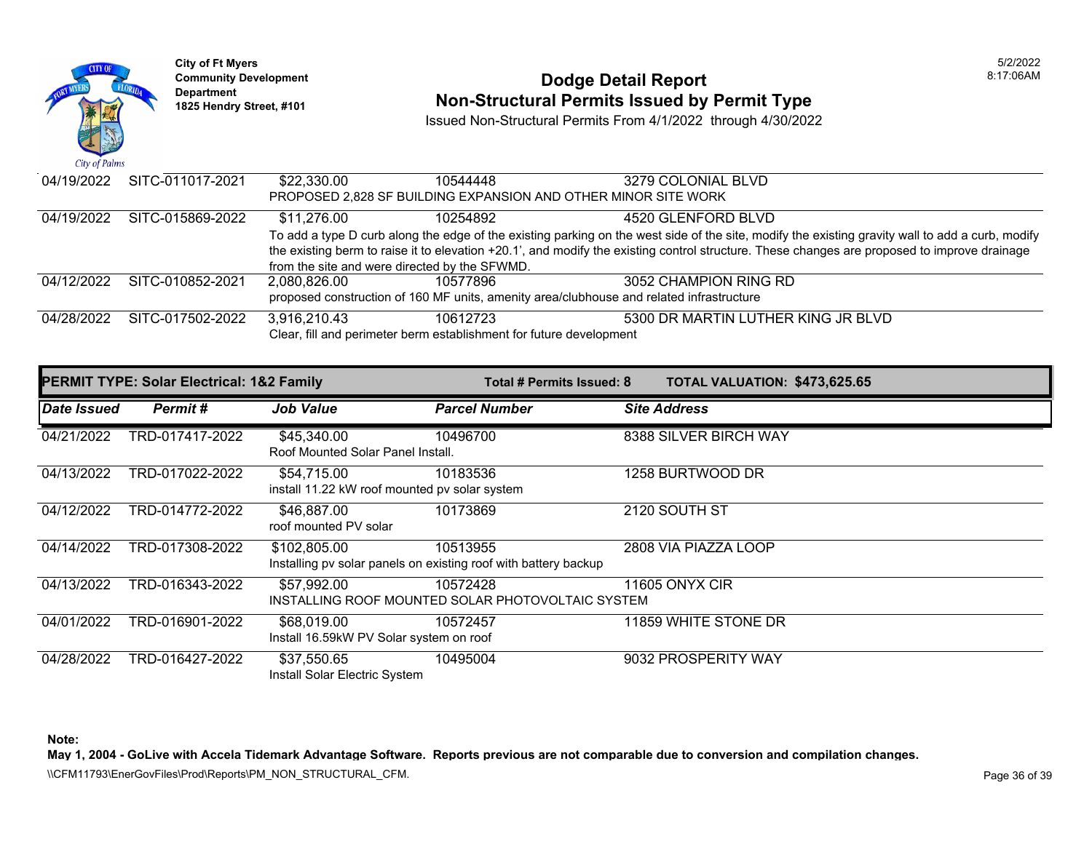

## **Community Development 18:17:06AM**<br>
Dodge Detail Report **Non-Structural Permits Issued by Permit Type** 1825 Hendry Street, #101 **1825 Hendry Street, #101**

Issued Non-Structural Permits From 4/1/2022 through 4/30/2022

| 04/19/2022 | SITC-011017-2021 | \$22.330.00                                   | 10544448                                                                                 | 3279 COLONIAL BLVD                                                                                                                               |
|------------|------------------|-----------------------------------------------|------------------------------------------------------------------------------------------|--------------------------------------------------------------------------------------------------------------------------------------------------|
|            |                  |                                               | PROPOSED 2,828 SF BUILDING EXPANSION AND OTHER MINOR SITE WORK                           |                                                                                                                                                  |
| 04/19/2022 | SITC-015869-2022 | \$11.276.00                                   | 10254892                                                                                 | 4520 GLENFORD BLVD                                                                                                                               |
|            |                  |                                               |                                                                                          | To add a type D curb along the edge of the existing parking on the west side of the site, modify the existing gravity wall to add a curb, modify |
|            |                  |                                               |                                                                                          | the existing berm to raise it to elevation +20.1', and modify the existing control structure. These changes are proposed to improve drainage     |
|            |                  | from the site and were directed by the SFWMD. |                                                                                          |                                                                                                                                                  |
| 04/12/2022 | SITC-010852-2021 | 2.080.826.00                                  | 10577896                                                                                 | 3052 CHAMPION RING RD                                                                                                                            |
|            |                  |                                               | proposed construction of 160 MF units, amenity area/clubhouse and related infrastructure |                                                                                                                                                  |
| 04/28/2022 | SITC-017502-2022 | 3,916,210.43                                  | 10612723                                                                                 | 5300 DR MARTIN LUTHER KING JR BLVD                                                                                                               |
|            |                  |                                               | Clear, fill and perimeter berm establishment for future development                      |                                                                                                                                                  |

|             | <b>PERMIT TYPE: Solar Electrical: 1&amp;2 Family</b> |                                                              | Total # Permits Issued: 8                                                   | TOTAL VALUATION: \$473,625.65 |
|-------------|------------------------------------------------------|--------------------------------------------------------------|-----------------------------------------------------------------------------|-------------------------------|
| Date Issued | <b>Permit#</b>                                       | <b>Job Value</b>                                             | <b>Parcel Number</b>                                                        | <b>Site Address</b>           |
| 04/21/2022  | TRD-017417-2022                                      | \$45,340.00<br>Roof Mounted Solar Panel Install.             | 10496700                                                                    | 8388 SILVER BIRCH WAY         |
| 04/13/2022  | TRD-017022-2022                                      | \$54,715.00<br>install 11.22 kW roof mounted pv solar system | 10183536                                                                    | 1258 BURTWOOD DR              |
| 04/12/2022  | TRD-014772-2022                                      | \$46,887.00<br>roof mounted PV solar                         | 10173869                                                                    | 2120 SOUTH ST                 |
| 04/14/2022  | TRD-017308-2022                                      | \$102,805.00                                                 | 10513955<br>Installing pv solar panels on existing roof with battery backup | 2808 VIA PIAZZA LOOP          |
| 04/13/2022  | TRD-016343-2022                                      | \$57,992.00                                                  | 10572428<br>INSTALLING ROOF MOUNTED SOLAR PHOTOVOLTAIC SYSTEM               | <b>11605 ONYX CIR</b>         |
| 04/01/2022  | TRD-016901-2022                                      | \$68,019.00<br>Install 16.59kW PV Solar system on roof       | 10572457                                                                    | 11859 WHITE STONE DR          |
| 04/28/2022  | TRD-016427-2022                                      | \$37,550.65<br>Install Solar Electric System                 | 10495004                                                                    | 9032 PROSPERITY WAY           |

**Note:** 

**May 1, 2004 - GoLive with Accela Tidemark Advantage Software. Reports previous are not comparable due to conversion and compilation changes.**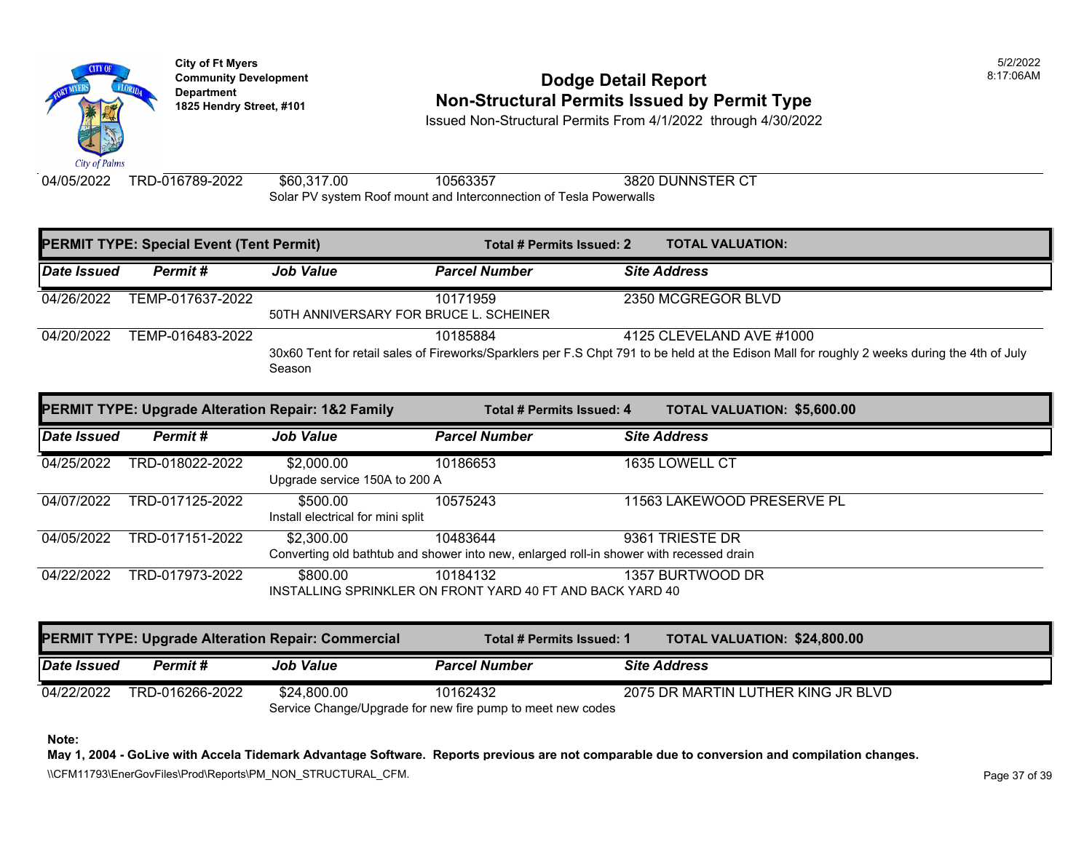

**City of Ft Myers** 5/2/2022 Department<br>1825 Hendry Street, #101

### **Community Development 8:17:06AM Non-Structural Permits Issued by Permit Type**

Issued Non-Structural Permits From 4/1/2022 through 4/30/2022

04/05/2022 TRD-016789-2022 \$60,317.00 10563357 3820 DUNNSTER CT

Solar PV system Roof mount and Interconnection of Tesla Powerwalls

| <b>PERMIT TYPE: Special Event (Tent Permit)</b> |                  |                                                           | Total # Permits Issued: 2                                                                           |  | <b>TOTAL VALUATION:</b>                                                                                                                                                  |
|-------------------------------------------------|------------------|-----------------------------------------------------------|-----------------------------------------------------------------------------------------------------|--|--------------------------------------------------------------------------------------------------------------------------------------------------------------------------|
| Date Issued                                     | Permit#          | <b>Job Value</b>                                          | <b>Parcel Number</b>                                                                                |  | <b>Site Address</b>                                                                                                                                                      |
| 04/26/2022                                      | TEMP-017637-2022 | 50TH ANNIVERSARY FOR BRUCE L. SCHEINER                    | 10171959                                                                                            |  | 2350 MCGREGOR BLVD                                                                                                                                                       |
| 04/20/2022                                      | TEMP-016483-2022 | Season                                                    | 10185884                                                                                            |  | 4125 CLEVELAND AVE #1000<br>30x60 Tent for retail sales of Fireworks/Sparklers per F.S Chpt 791 to be held at the Edison Mall for roughly 2 weeks during the 4th of July |
|                                                 |                  | PERMIT TYPE: Upgrade Alteration Repair: 1&2 Family        | <b>Total # Permits Issued: 4</b>                                                                    |  | <b>TOTAL VALUATION: \$5,600.00</b>                                                                                                                                       |
| <b>Date Issued</b>                              | Permit#          | <b>Job Value</b>                                          | <b>Parcel Number</b>                                                                                |  | <b>Site Address</b>                                                                                                                                                      |
| 04/25/2022                                      | TRD-018022-2022  | \$2,000.00<br>Upgrade service 150A to 200 A               | 10186653                                                                                            |  | 1635 LOWELL CT                                                                                                                                                           |
| 04/07/2022                                      | TRD-017125-2022  | \$500.00<br>Install electrical for mini split             | 10575243                                                                                            |  | 11563 LAKEWOOD PRESERVE PL                                                                                                                                               |
| 04/05/2022                                      | TRD-017151-2022  | \$2,300.00                                                | 10483644<br>Converting old bathtub and shower into new, enlarged roll-in shower with recessed drain |  | 9361 TRIESTE DR                                                                                                                                                          |
| 04/22/2022                                      | TRD-017973-2022  | \$800.00                                                  | 10184132<br>INSTALLING SPRINKLER ON FRONT YARD 40 FT AND BACK YARD 40                               |  | 1357 BURTWOOD DR                                                                                                                                                         |
|                                                 |                  | <b>PERMIT TYPE: Upgrade Alteration Repair: Commercial</b> | Total # Permits Issued: 1                                                                           |  | <b>TOTAL VALUATION: \$24,800.00</b>                                                                                                                                      |
| Date Issued                                     | Permit#          | <b>Job Value</b>                                          | <b>Parcel Number</b>                                                                                |  | <b>Site Address</b>                                                                                                                                                      |
| 04/22/2022                                      | TRD-016266-2022  | \$24,800.00                                               | 10162432                                                                                            |  | 2075 DR MARTIN LUTHER KING JR BLVD                                                                                                                                       |

Service Change/Upgrade for new fire pump to meet new codes

**Note:** 

**May 1, 2004 - GoLive with Accela Tidemark Advantage Software. Reports previous are not comparable due to conversion and compilation changes.** 

\\CFM11793\EnerGovFiles\Prod\Reports\PM\_NON\_STRUCTURAL\_CFM.<br>Rage 37 of 39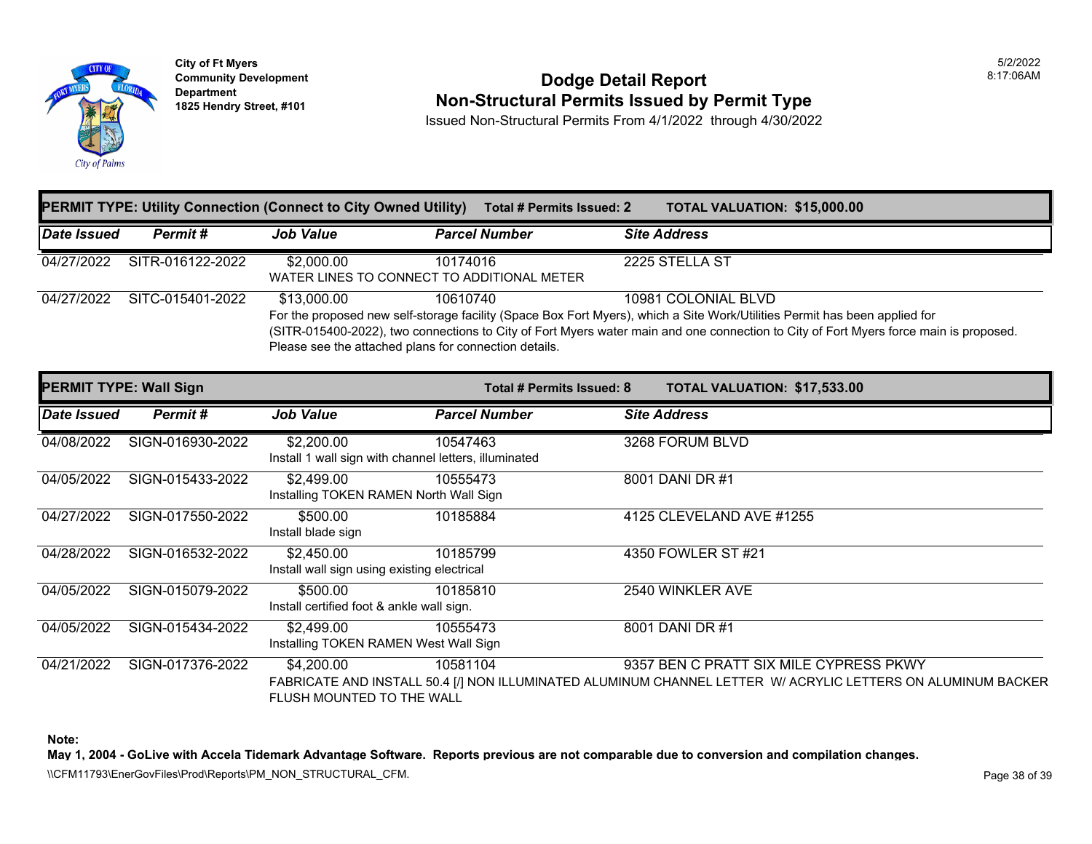

**City of Ft Myers Community Development Department 1825 Hendry Street, #101** 

### **Dodge Detail Report Non-Structural Permits Issued by Permit Type**

Issued Non-Structural Permits From 4/1/2022 through 4/30/2022

|                               |                  |                                                                      | <b>PERMIT TYPE: Utility Connection (Connect to City Owned Utility)</b> Total # Permits Issued: 2 | <b>TOTAL VALUATION: \$15,000.00</b>                                                                                                                                                                                                                                                        |
|-------------------------------|------------------|----------------------------------------------------------------------|--------------------------------------------------------------------------------------------------|--------------------------------------------------------------------------------------------------------------------------------------------------------------------------------------------------------------------------------------------------------------------------------------------|
| <b>Date Issued</b>            | Permit#          | <b>Job Value</b>                                                     | <b>Parcel Number</b>                                                                             | <b>Site Address</b>                                                                                                                                                                                                                                                                        |
| 04/27/2022                    | SITR-016122-2022 | \$2,000.00<br>WATER LINES TO CONNECT TO ADDITIONAL METER             | 10174016                                                                                         | 2225 STELLA ST                                                                                                                                                                                                                                                                             |
| 04/27/2022                    | SITC-015401-2022 | \$13,000.00<br>Please see the attached plans for connection details. | 10610740                                                                                         | 10981 COLONIAL BLVD<br>For the proposed new self-storage facility (Space Box Fort Myers), which a Site Work/Utilities Permit has been applied for<br>(SITR-015400-2022), two connections to City of Fort Myers water main and one connection to City of Fort Myers force main is proposed. |
| <b>PERMIT TYPE: Wall Sign</b> |                  |                                                                      | Total # Permits Issued: 8                                                                        | TOTAL VALUATION: \$17,533.00                                                                                                                                                                                                                                                               |
| Date Issued                   | Permit#          | <b>Job Value</b>                                                     | <b>Parcel Number</b>                                                                             | <b>Site Address</b>                                                                                                                                                                                                                                                                        |
| 04/08/2022                    | SIGN-016930-2022 | \$2,200.00<br>Install 1 wall sign with channel letters, illuminated  | 10547463                                                                                         | 3268 FORUM BLVD                                                                                                                                                                                                                                                                            |
| 04/05/2022                    | SIGN-015433-2022 | \$2,499.00<br>Installing TOKEN RAMEN North Wall Sign                 | 10555473                                                                                         | 8001 DANI DR #1                                                                                                                                                                                                                                                                            |
| 04/27/2022                    | SIGN-017550-2022 | \$500.00<br>Install blade sign                                       | 10185884                                                                                         | 4125 CLEVELAND AVE #1255                                                                                                                                                                                                                                                                   |
| 04/28/2022                    | SIGN-016532-2022 | \$2,450.00<br>Install wall sign using existing electrical            | 10185799                                                                                         | 4350 FOWLER ST #21                                                                                                                                                                                                                                                                         |
| 04/05/2022                    | SIGN-015079-2022 | \$500.00<br>Install certified foot & ankle wall sign.                | 10185810                                                                                         | 2540 WINKLER AVE                                                                                                                                                                                                                                                                           |
| 04/05/2022                    | SIGN-015434-2022 | \$2,499.00<br>Installing TOKEN RAMEN West Wall Sign                  | 10555473                                                                                         | 8001 DANI DR #1                                                                                                                                                                                                                                                                            |
| 04/21/2022                    | SIGN-017376-2022 | \$4,200.00<br>FLUSH MOUNTED TO THE WALL                              | 10581104                                                                                         | 9357 BEN C PRATT SIX MILE CYPRESS PKWY<br>FABRICATE AND INSTALL 50.4 [/] NON ILLUMINATED ALUMINUM CHANNEL LETTER W/ ACRYLIC LETTERS ON ALUMINUM BACKER                                                                                                                                     |

**Note:** 

**May 1, 2004 - GoLive with Accela Tidemark Advantage Software. Reports previous are not comparable due to conversion and compilation changes.** 

\\CFM11793\EnerGovFiles\Prod\Reports\PM\_NON\_STRUCTURAL\_CFM.<br>Rage 38 of 39